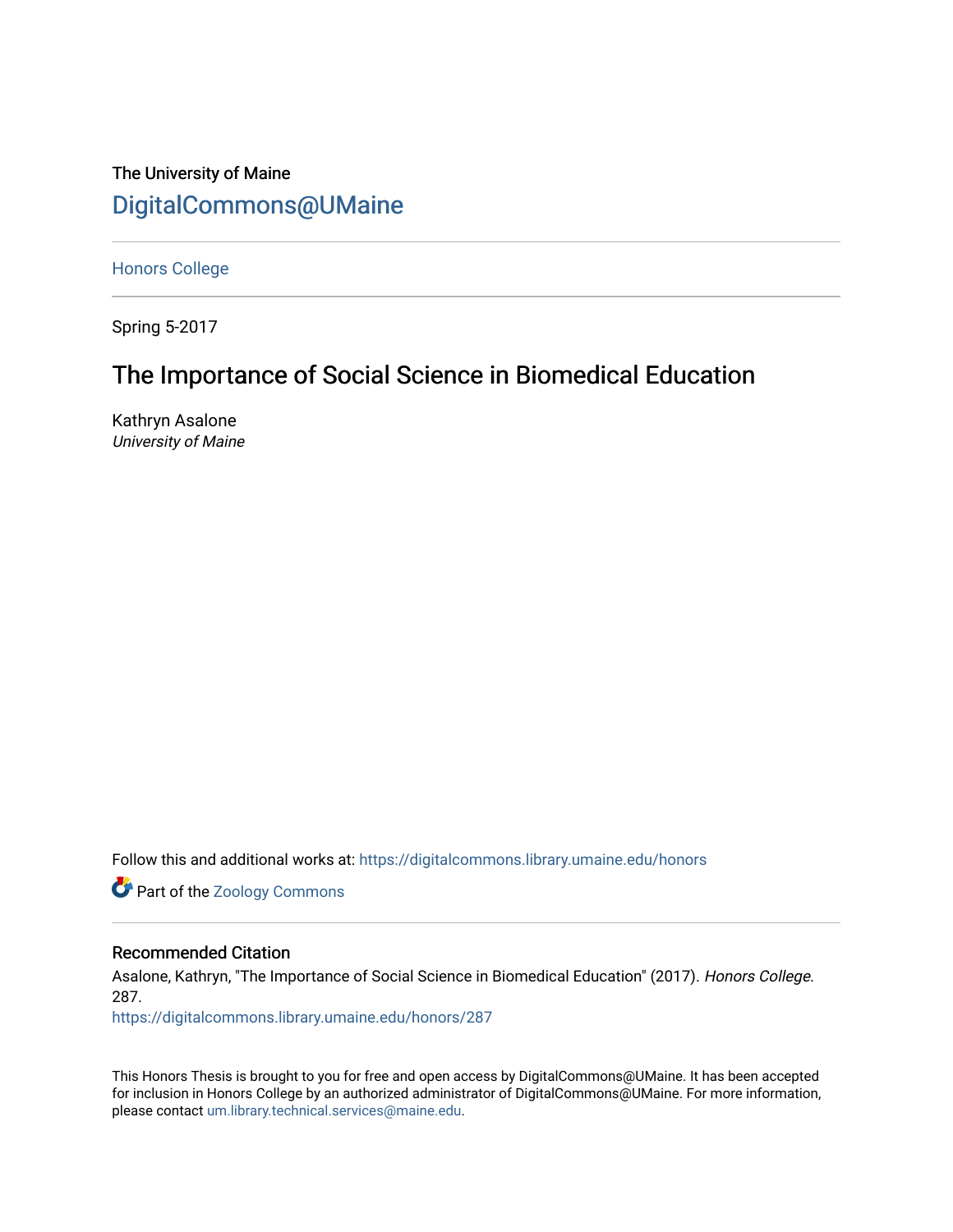# The University of Maine [DigitalCommons@UMaine](https://digitalcommons.library.umaine.edu/)

[Honors College](https://digitalcommons.library.umaine.edu/honors)

Spring 5-2017

# The Importance of Social Science in Biomedical Education

Kathryn Asalone University of Maine

Follow this and additional works at: [https://digitalcommons.library.umaine.edu/honors](https://digitalcommons.library.umaine.edu/honors?utm_source=digitalcommons.library.umaine.edu%2Fhonors%2F287&utm_medium=PDF&utm_campaign=PDFCoverPages) 

**Part of the Zoology Commons** 

## Recommended Citation

Asalone, Kathryn, "The Importance of Social Science in Biomedical Education" (2017). Honors College. 287.

[https://digitalcommons.library.umaine.edu/honors/287](https://digitalcommons.library.umaine.edu/honors/287?utm_source=digitalcommons.library.umaine.edu%2Fhonors%2F287&utm_medium=PDF&utm_campaign=PDFCoverPages) 

This Honors Thesis is brought to you for free and open access by DigitalCommons@UMaine. It has been accepted for inclusion in Honors College by an authorized administrator of DigitalCommons@UMaine. For more information, please contact [um.library.technical.services@maine.edu.](mailto:um.library.technical.services@maine.edu)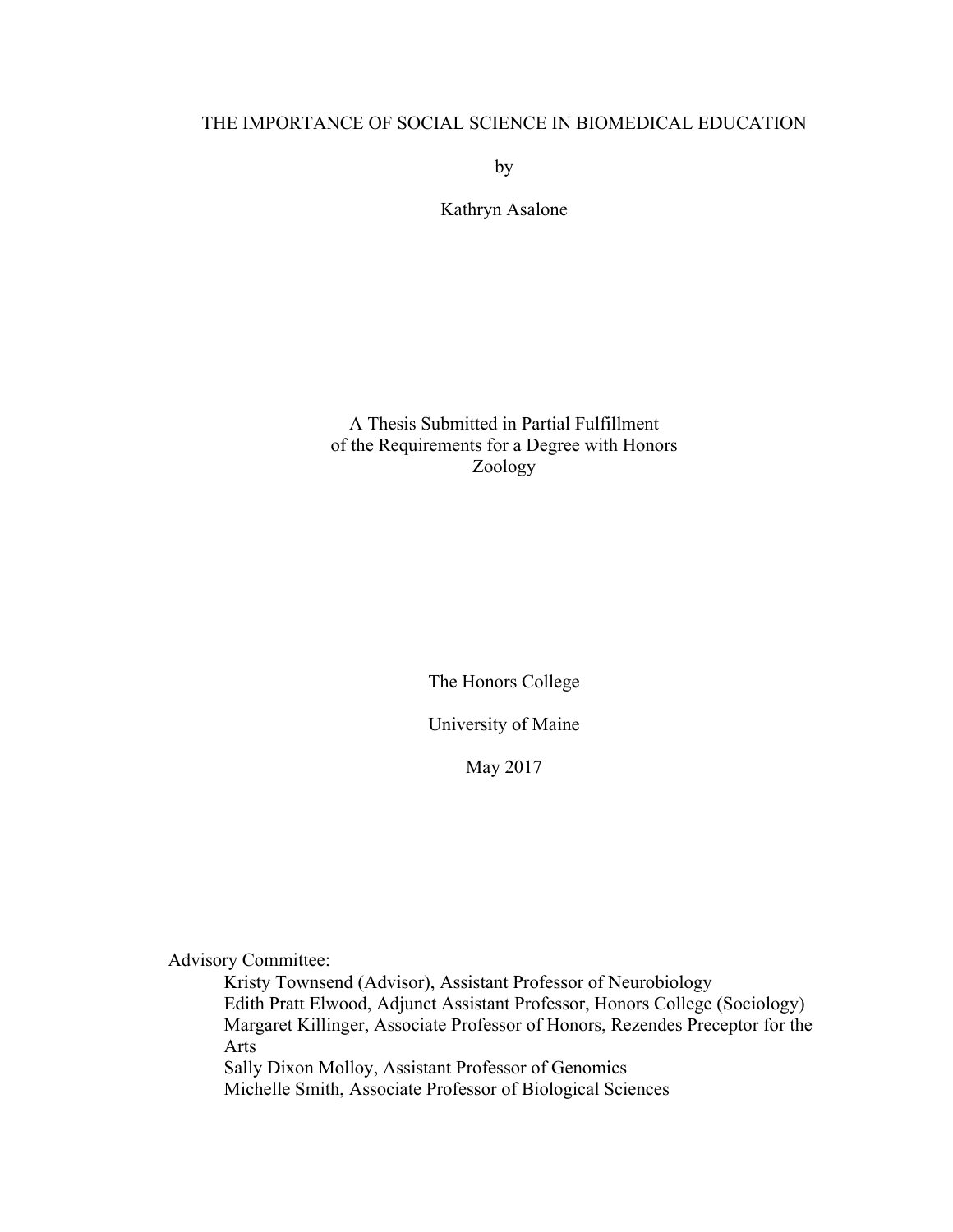# THE IMPORTANCE OF SOCIAL SCIENCE IN BIOMEDICAL EDUCATION

by

Kathryn Asalone

A Thesis Submitted in Partial Fulfillment of the Requirements for a Degree with Honors Zoology

The Honors College

University of Maine

May 2017

Advisory Committee:

Kristy Townsend (Advisor), Assistant Professor of Neurobiology Edith Pratt Elwood, Adjunct Assistant Professor, Honors College (Sociology) Margaret Killinger, Associate Professor of Honors, Rezendes Preceptor for the Arts Sally Dixon Molloy, Assistant Professor of Genomics Michelle Smith, Associate Professor of Biological Sciences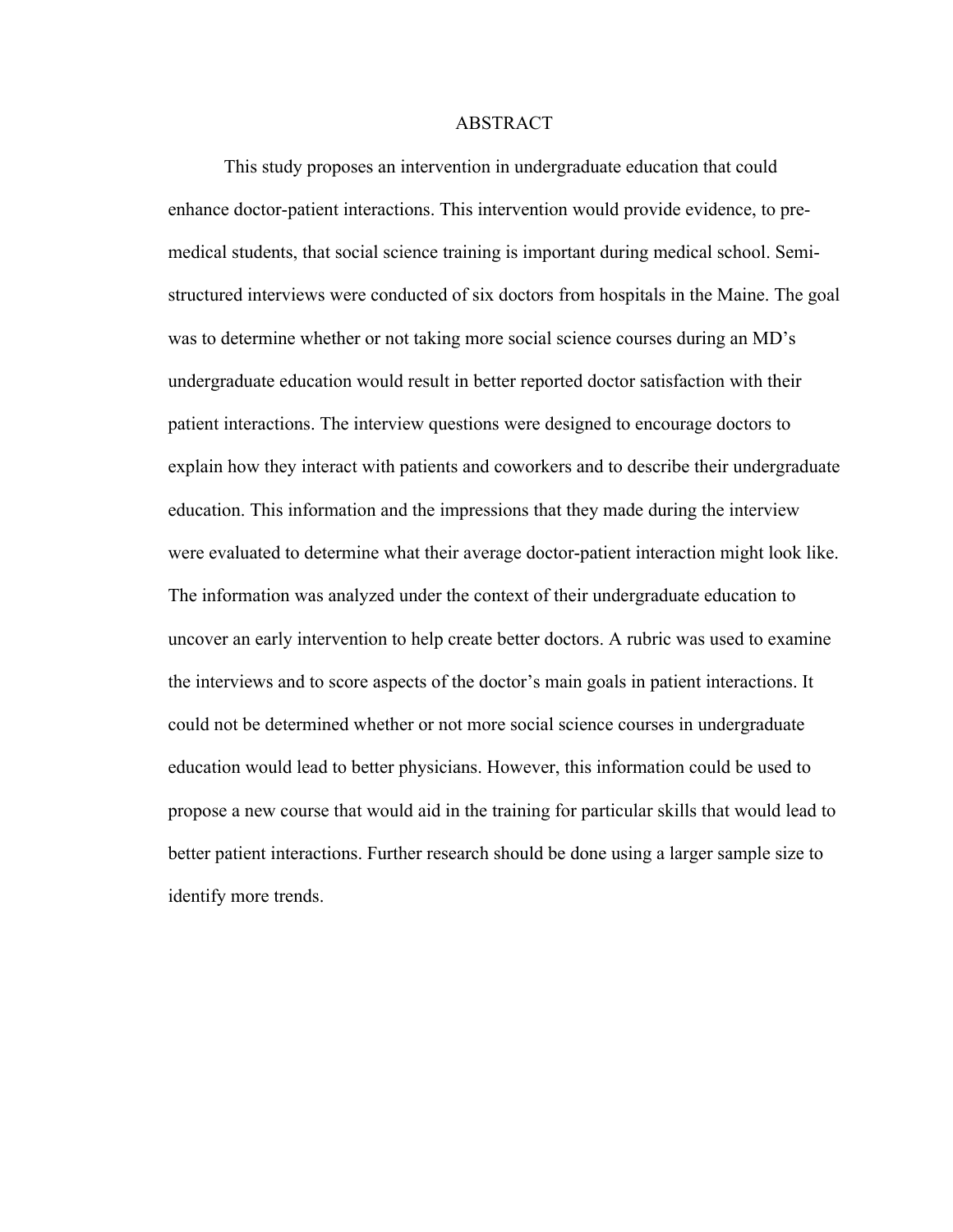#### **ABSTRACT**

This study proposes an intervention in undergraduate education that could enhance doctor-patient interactions. This intervention would provide evidence, to premedical students, that social science training is important during medical school. Semistructured interviews were conducted of six doctors from hospitals in the Maine. The goal was to determine whether or not taking more social science courses during an MD's undergraduate education would result in better reported doctor satisfaction with their patient interactions. The interview questions were designed to encourage doctors to explain how they interact with patients and coworkers and to describe their undergraduate education. This information and the impressions that they made during the interview were evaluated to determine what their average doctor-patient interaction might look like. The information was analyzed under the context of their undergraduate education to uncover an early intervention to help create better doctors. A rubric was used to examine the interviews and to score aspects of the doctor's main goals in patient interactions. It could not be determined whether or not more social science courses in undergraduate education would lead to better physicians. However, this information could be used to propose a new course that would aid in the training for particular skills that would lead to better patient interactions. Further research should be done using a larger sample size to identify more trends.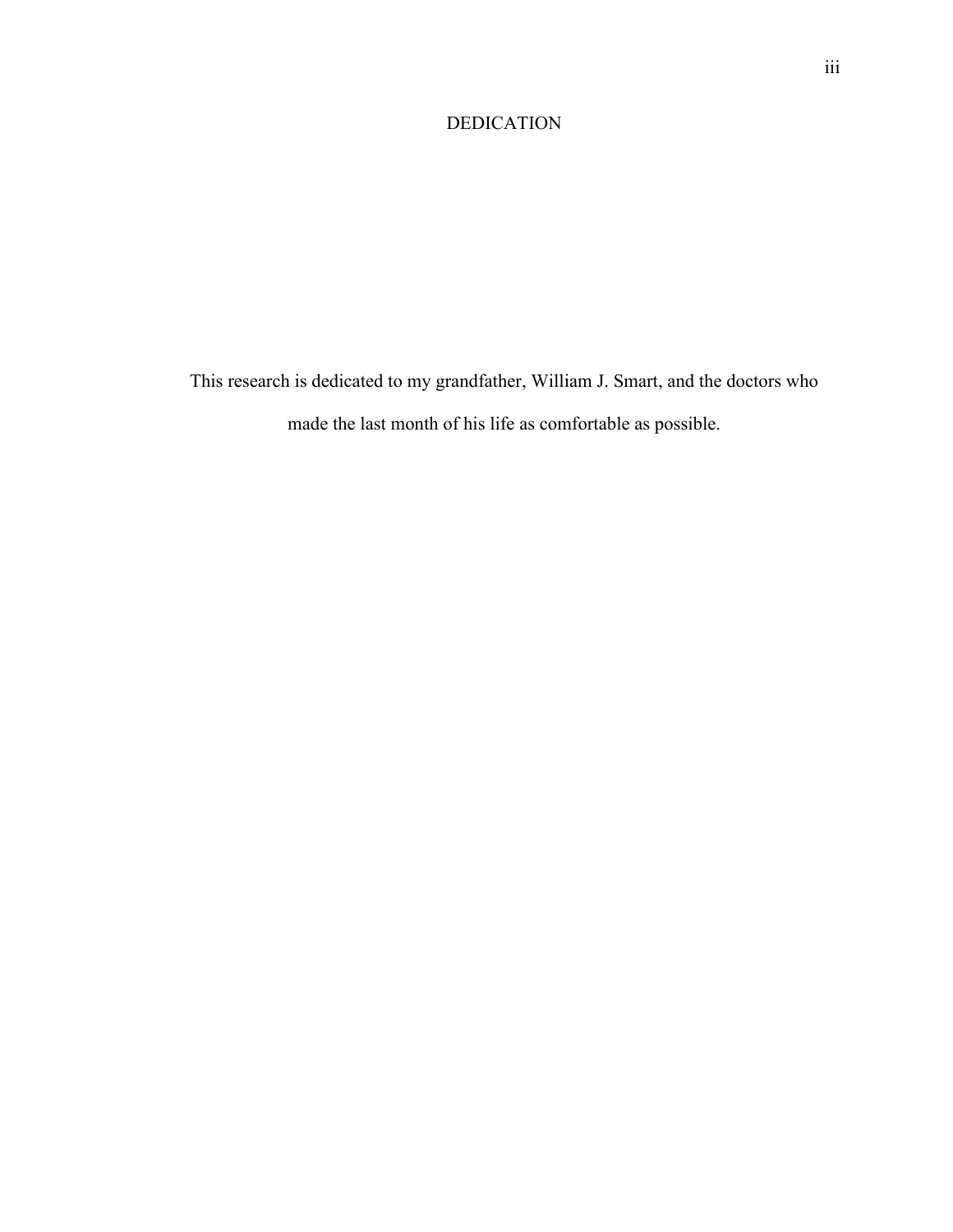# DEDICATION

This research is dedicated to my grandfather, William J. Smart, and the doctors who made the last month of his life as comfortable as possible.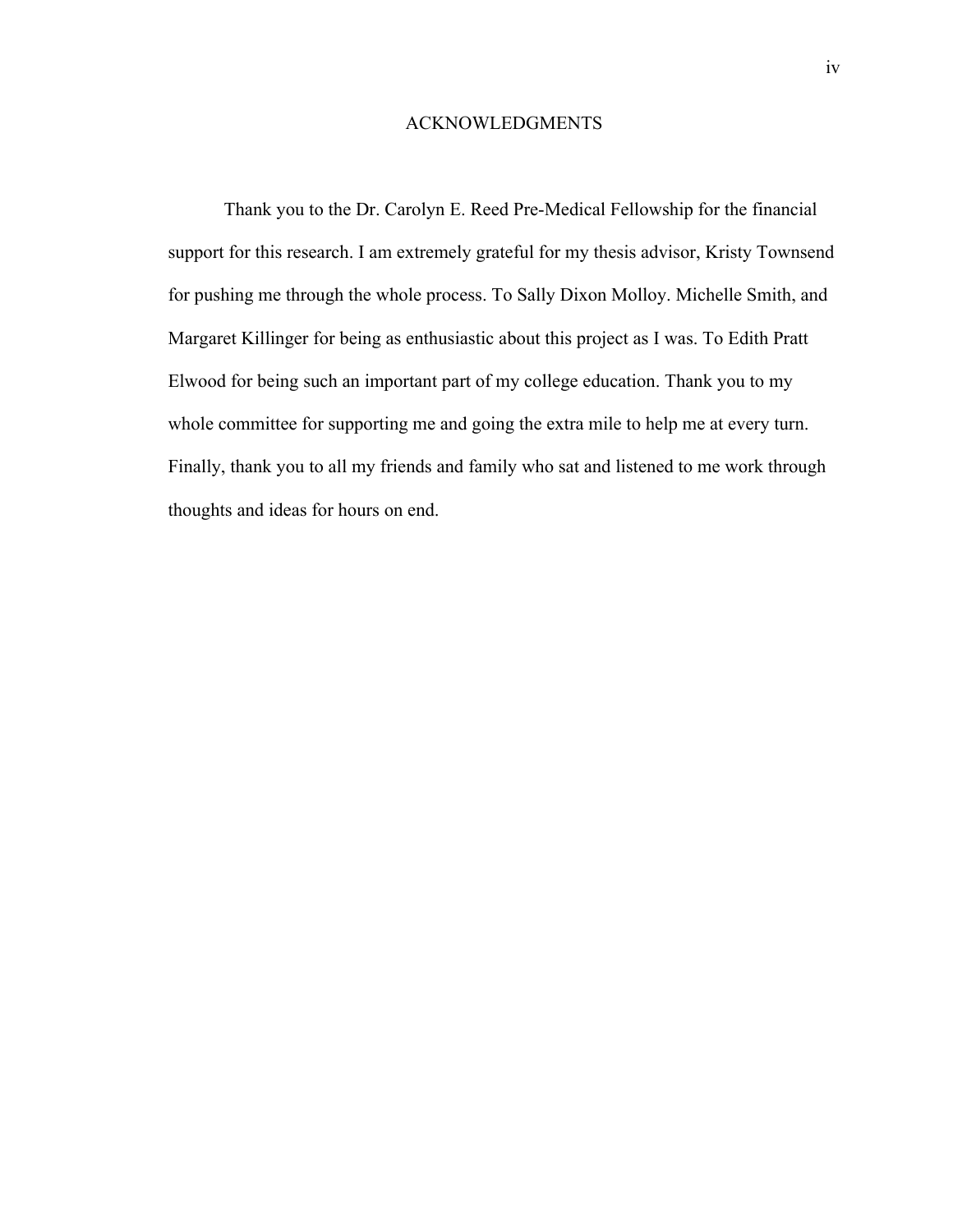#### ACKNOWLEDGMENTS

Thank you to the Dr. Carolyn E. Reed Pre-Medical Fellowship for the financial support for this research. I am extremely grateful for my thesis advisor, Kristy Townsend for pushing me through the whole process. To Sally Dixon Molloy. Michelle Smith, and Margaret Killinger for being as enthusiastic about this project as I was. To Edith Pratt Elwood for being such an important part of my college education. Thank you to my whole committee for supporting me and going the extra mile to help me at every turn. Finally, thank you to all my friends and family who sat and listened to me work through thoughts and ideas for hours on end.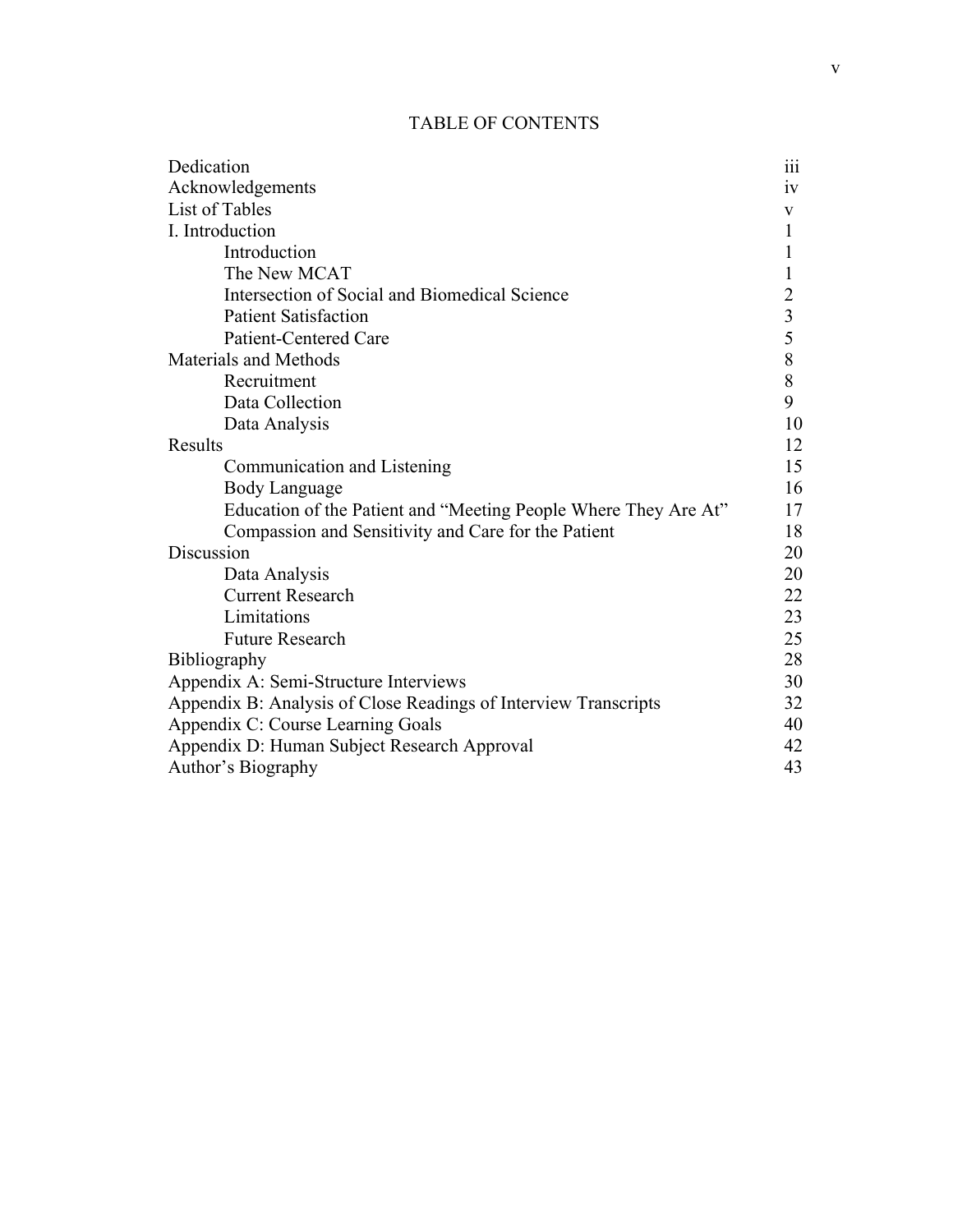# TABLE OF CONTENTS

| Dedication                                                      | .<br>111       |
|-----------------------------------------------------------------|----------------|
| Acknowledgements                                                | 1V             |
| List of Tables                                                  | V              |
| I. Introduction                                                 | 1              |
| Introduction                                                    | 1              |
| The New MCAT                                                    | 1              |
| Intersection of Social and Biomedical Science                   | $\overline{2}$ |
| <b>Patient Satisfaction</b>                                     | $\overline{3}$ |
| <b>Patient-Centered Care</b>                                    | 5              |
| <b>Materials and Methods</b>                                    | 8              |
| Recruitment                                                     | 8              |
| Data Collection                                                 | 9              |
| Data Analysis                                                   | 10             |
| <b>Results</b>                                                  | 12             |
| Communication and Listening                                     | 15             |
| <b>Body Language</b>                                            | 16             |
| Education of the Patient and "Meeting People Where They Are At" | 17             |
| Compassion and Sensitivity and Care for the Patient             | 18             |
| Discussion                                                      | 20             |
| Data Analysis                                                   | 20             |
| <b>Current Research</b>                                         | 22             |
| Limitations                                                     | 23             |
| <b>Future Research</b>                                          | 25             |
| <b>Bibliography</b>                                             | 28             |
| Appendix A: Semi-Structure Interviews                           | 30             |
| Appendix B: Analysis of Close Readings of Interview Transcripts | 32             |
| Appendix C: Course Learning Goals                               | 40             |
| Appendix D: Human Subject Research Approval                     | 42             |
| Author's Biography                                              | 43             |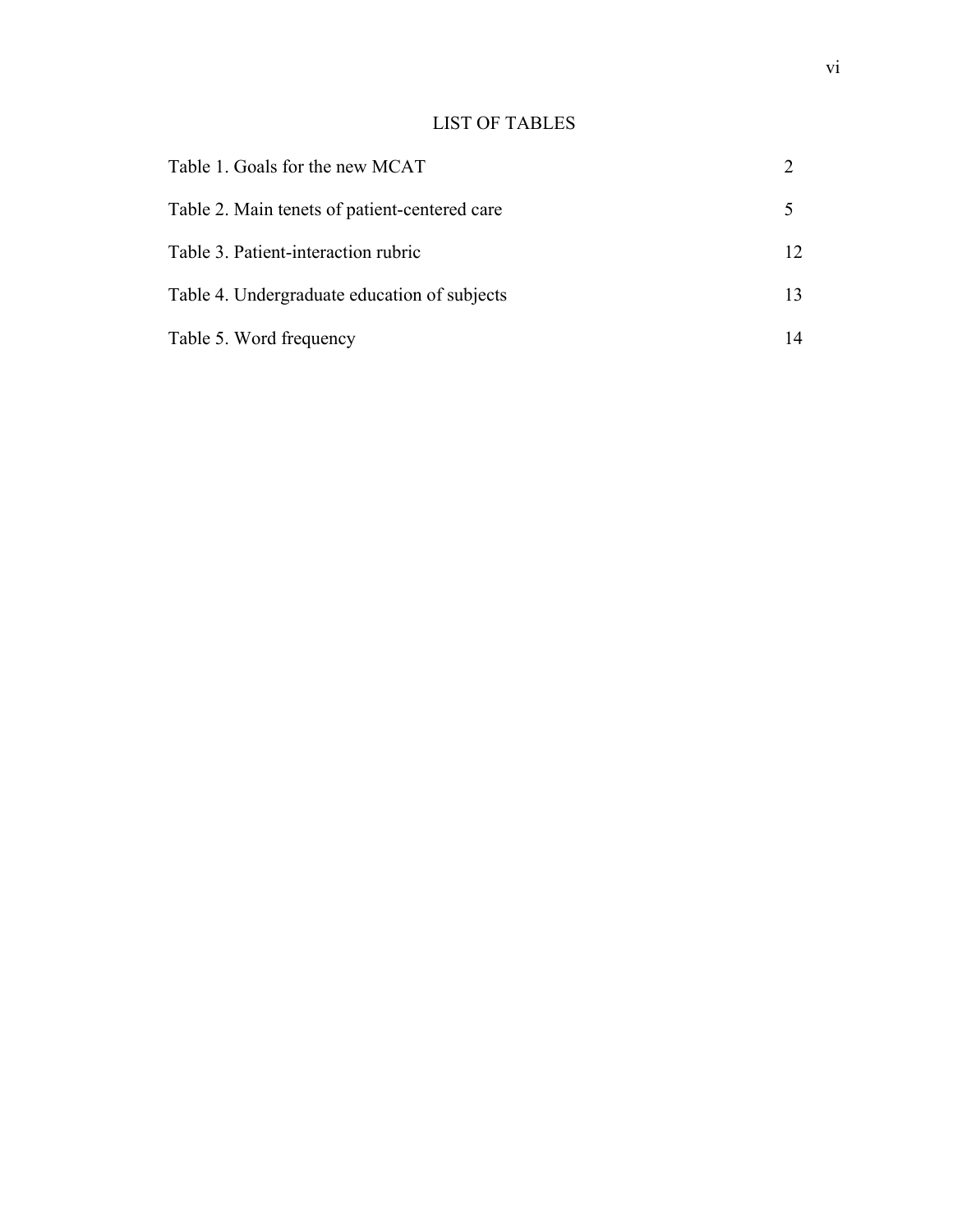# LIST OF TABLES

| Table 1. Goals for the new MCAT               |    |
|-----------------------------------------------|----|
| Table 2. Main tenets of patient-centered care |    |
| Table 3. Patient-interaction rubric           | 12 |
| Table 4. Undergraduate education of subjects  | 13 |
| Table 5. Word frequency                       | 14 |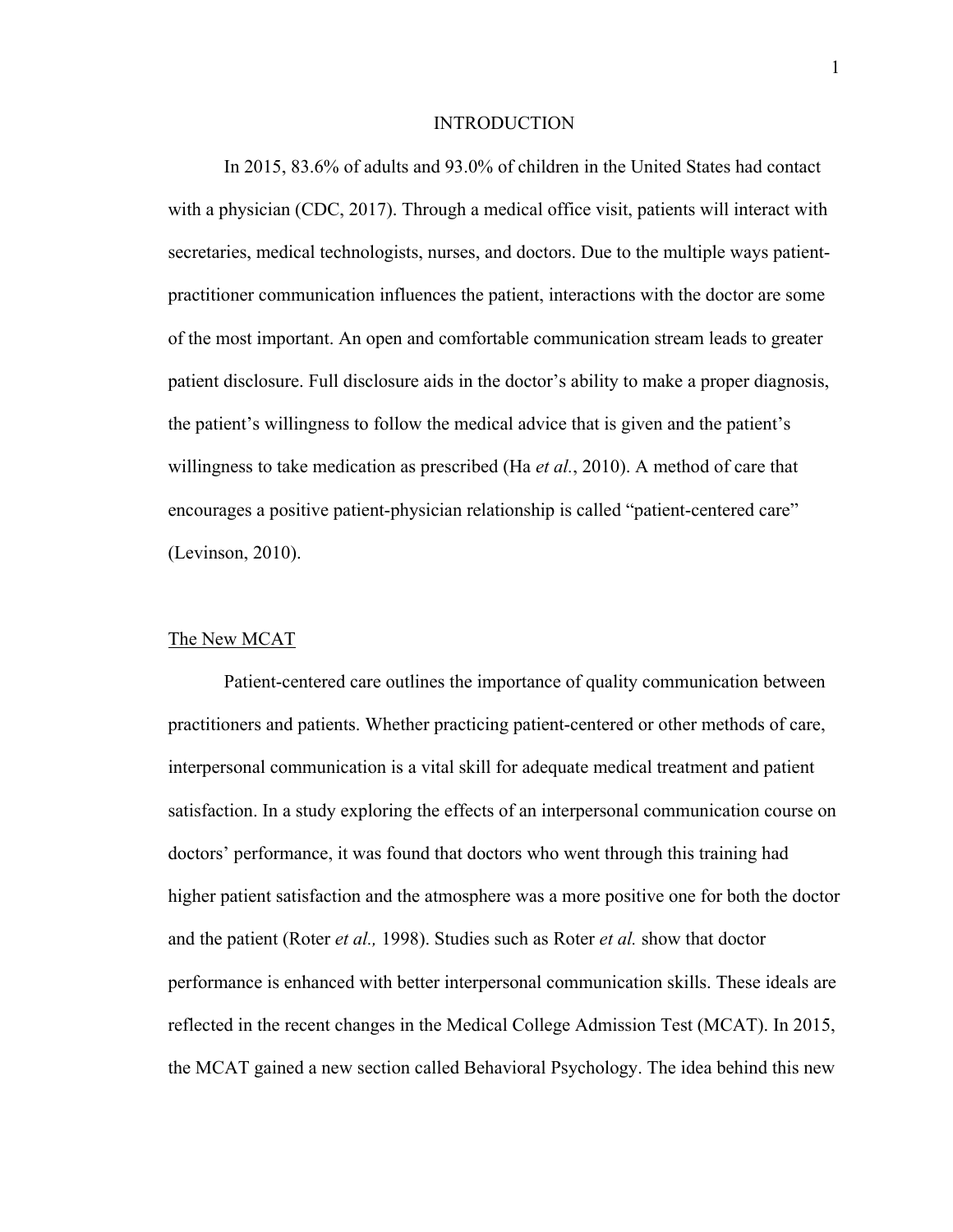#### INTRODUCTION

In 2015, 83.6% of adults and 93.0% of children in the United States had contact with a physician (CDC, 2017). Through a medical office visit, patients will interact with secretaries, medical technologists, nurses, and doctors. Due to the multiple ways patientpractitioner communication influences the patient, interactions with the doctor are some of the most important. An open and comfortable communication stream leads to greater patient disclosure. Full disclosure aids in the doctor's ability to make a proper diagnosis, the patient's willingness to follow the medical advice that is given and the patient's willingness to take medication as prescribed (Ha *et al.*, 2010). A method of care that encourages a positive patient-physician relationship is called "patient-centered care" (Levinson, 2010).

#### The New MCAT

Patient-centered care outlines the importance of quality communication between practitioners and patients. Whether practicing patient-centered or other methods of care, interpersonal communication is a vital skill for adequate medical treatment and patient satisfaction. In a study exploring the effects of an interpersonal communication course on doctors' performance, it was found that doctors who went through this training had higher patient satisfaction and the atmosphere was a more positive one for both the doctor and the patient (Roter *et al.,* 1998). Studies such as Roter *et al.* show that doctor performance is enhanced with better interpersonal communication skills. These ideals are reflected in the recent changes in the Medical College Admission Test (MCAT). In 2015, the MCAT gained a new section called Behavioral Psychology. The idea behind this new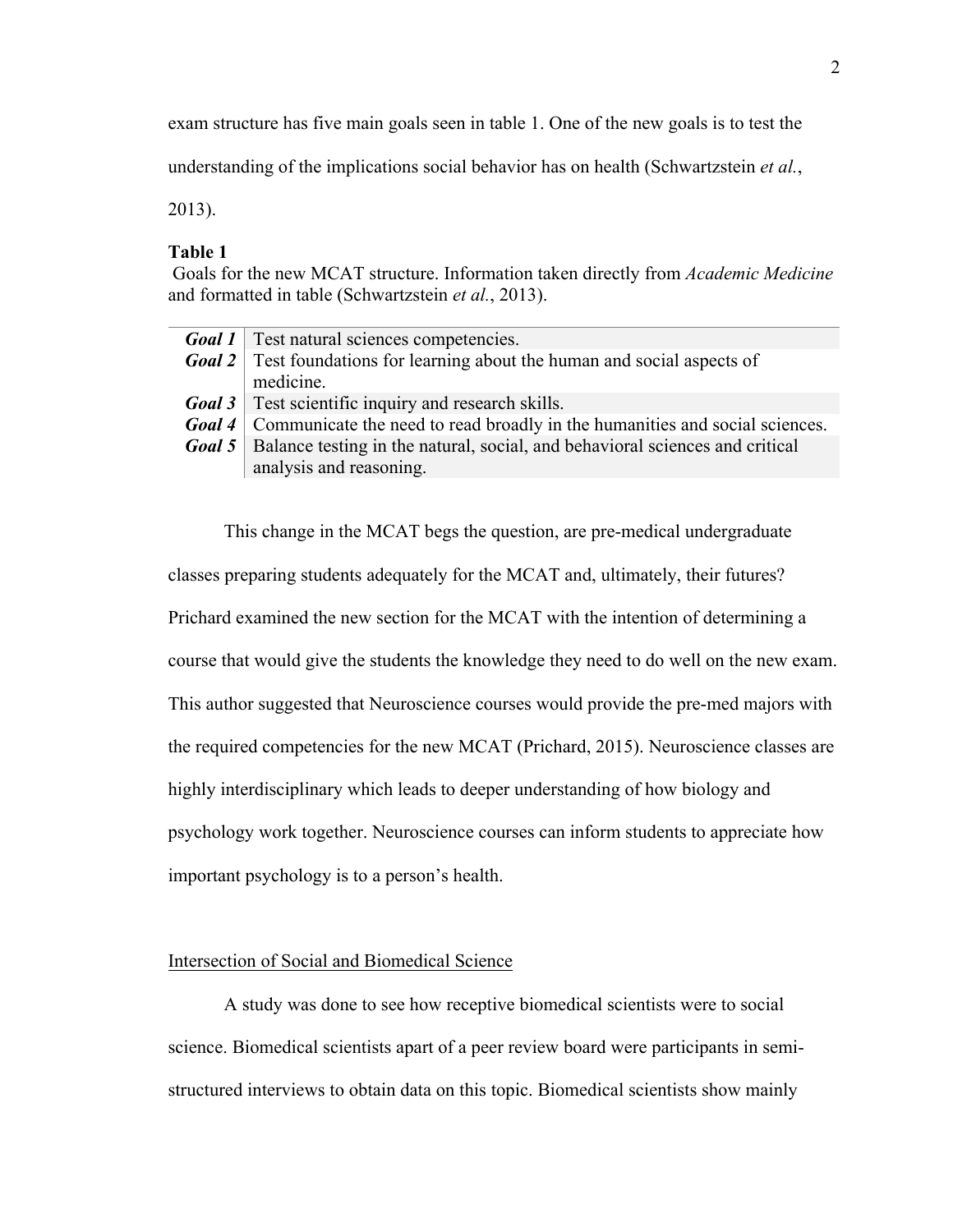exam structure has five main goals seen in table 1. One of the new goals is to test the

understanding of the implications social behavior has on health (Schwartzstein *et al.*,

2013).

### **Table 1**

Goals for the new MCAT structure. Information taken directly from *Academic Medicine* and formatted in table (Schwartzstein *et al.*, 2013).

| <b>Goal 1</b>   Test natural sciences competencies.                                          |
|----------------------------------------------------------------------------------------------|
| <b>Goal 2</b> Test foundations for learning about the human and social aspects of            |
| medicine.                                                                                    |
| <b>Goal 3</b> Test scientific inquiry and research skills.                                   |
| <b>Goal 4</b> Communicate the need to read broadly in the humanities and social sciences.    |
| <b>Goal 5</b>   Balance testing in the natural, social, and behavioral sciences and critical |
| analysis and reasoning.                                                                      |
|                                                                                              |

This change in the MCAT begs the question, are pre-medical undergraduate classes preparing students adequately for the MCAT and, ultimately, their futures? Prichard examined the new section for the MCAT with the intention of determining a course that would give the students the knowledge they need to do well on the new exam. This author suggested that Neuroscience courses would provide the pre-med majors with the required competencies for the new MCAT (Prichard, 2015). Neuroscience classes are highly interdisciplinary which leads to deeper understanding of how biology and psychology work together. Neuroscience courses can inform students to appreciate how important psychology is to a person's health.

## Intersection of Social and Biomedical Science

A study was done to see how receptive biomedical scientists were to social science. Biomedical scientists apart of a peer review board were participants in semistructured interviews to obtain data on this topic. Biomedical scientists show mainly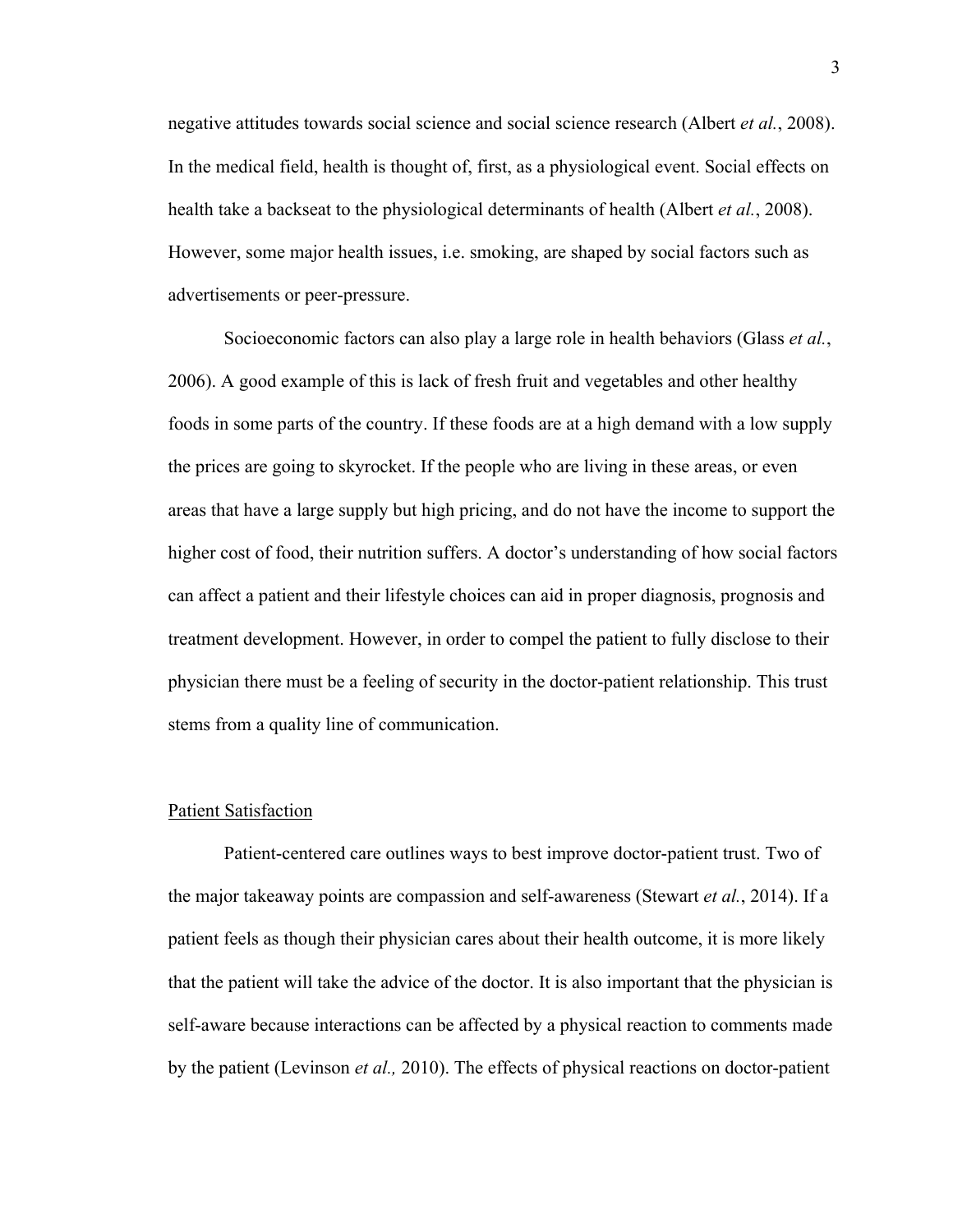negative attitudes towards social science and social science research (Albert *et al.*, 2008). In the medical field, health is thought of, first, as a physiological event. Social effects on health take a backseat to the physiological determinants of health (Albert *et al.*, 2008). However, some major health issues, i.e. smoking, are shaped by social factors such as advertisements or peer-pressure.

Socioeconomic factors can also play a large role in health behaviors (Glass *et al.*, 2006). A good example of this is lack of fresh fruit and vegetables and other healthy foods in some parts of the country. If these foods are at a high demand with a low supply the prices are going to skyrocket. If the people who are living in these areas, or even areas that have a large supply but high pricing, and do not have the income to support the higher cost of food, their nutrition suffers. A doctor's understanding of how social factors can affect a patient and their lifestyle choices can aid in proper diagnosis, prognosis and treatment development. However, in order to compel the patient to fully disclose to their physician there must be a feeling of security in the doctor-patient relationship. This trust stems from a quality line of communication.

#### Patient Satisfaction

Patient-centered care outlines ways to best improve doctor-patient trust. Two of the major takeaway points are compassion and self-awareness (Stewart *et al.*, 2014). If a patient feels as though their physician cares about their health outcome, it is more likely that the patient will take the advice of the doctor. It is also important that the physician is self-aware because interactions can be affected by a physical reaction to comments made by the patient (Levinson *et al.,* 2010). The effects of physical reactions on doctor-patient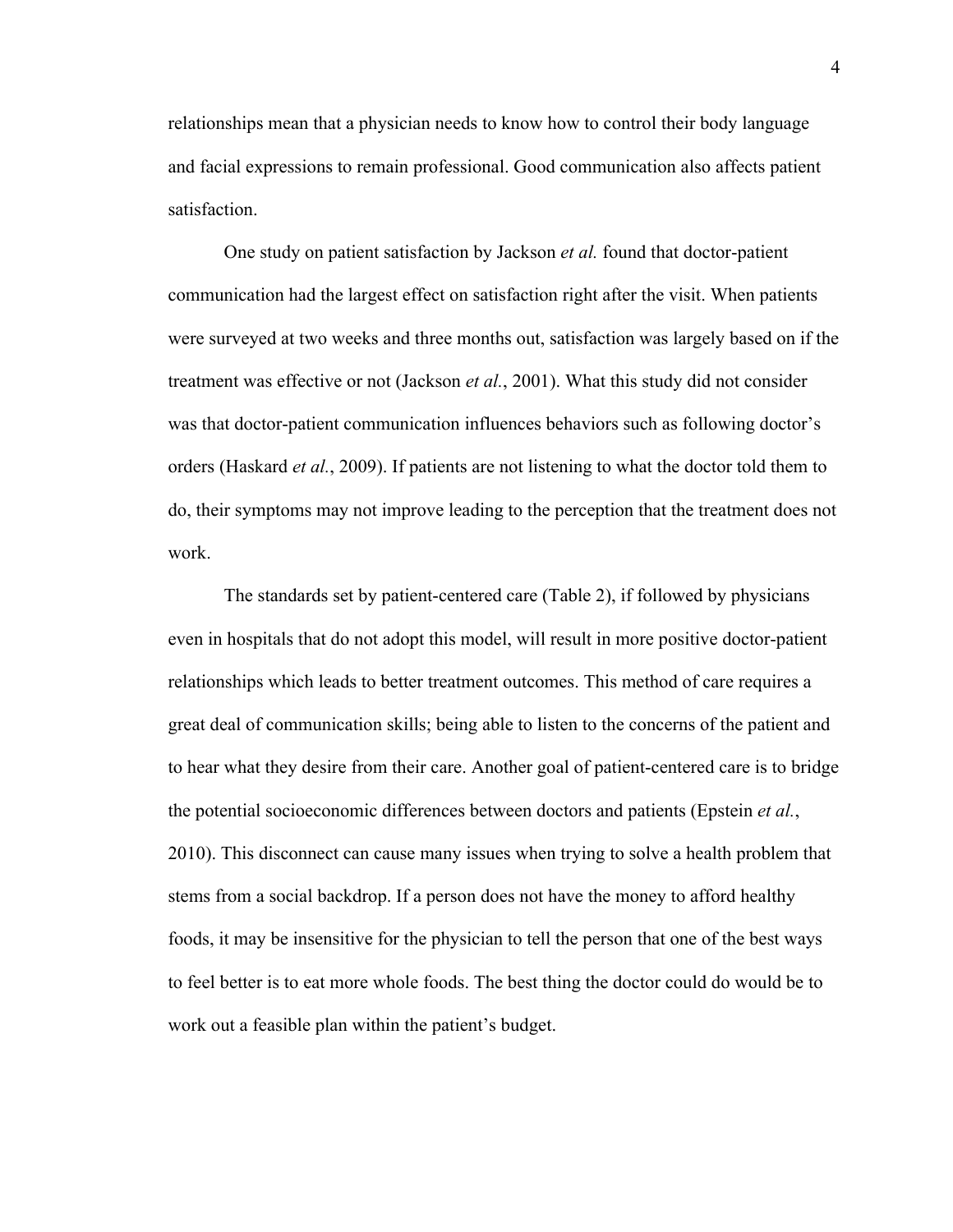relationships mean that a physician needs to know how to control their body language and facial expressions to remain professional. Good communication also affects patient satisfaction.

One study on patient satisfaction by Jackson *et al.* found that doctor-patient communication had the largest effect on satisfaction right after the visit. When patients were surveyed at two weeks and three months out, satisfaction was largely based on if the treatment was effective or not (Jackson *et al.*, 2001). What this study did not consider was that doctor-patient communication influences behaviors such as following doctor's orders (Haskard *et al.*, 2009). If patients are not listening to what the doctor told them to do, their symptoms may not improve leading to the perception that the treatment does not work.

The standards set by patient-centered care (Table 2), if followed by physicians even in hospitals that do not adopt this model, will result in more positive doctor-patient relationships which leads to better treatment outcomes. This method of care requires a great deal of communication skills; being able to listen to the concerns of the patient and to hear what they desire from their care. Another goal of patient-centered care is to bridge the potential socioeconomic differences between doctors and patients (Epstein *et al.*, 2010). This disconnect can cause many issues when trying to solve a health problem that stems from a social backdrop. If a person does not have the money to afford healthy foods, it may be insensitive for the physician to tell the person that one of the best ways to feel better is to eat more whole foods. The best thing the doctor could do would be to work out a feasible plan within the patient's budget.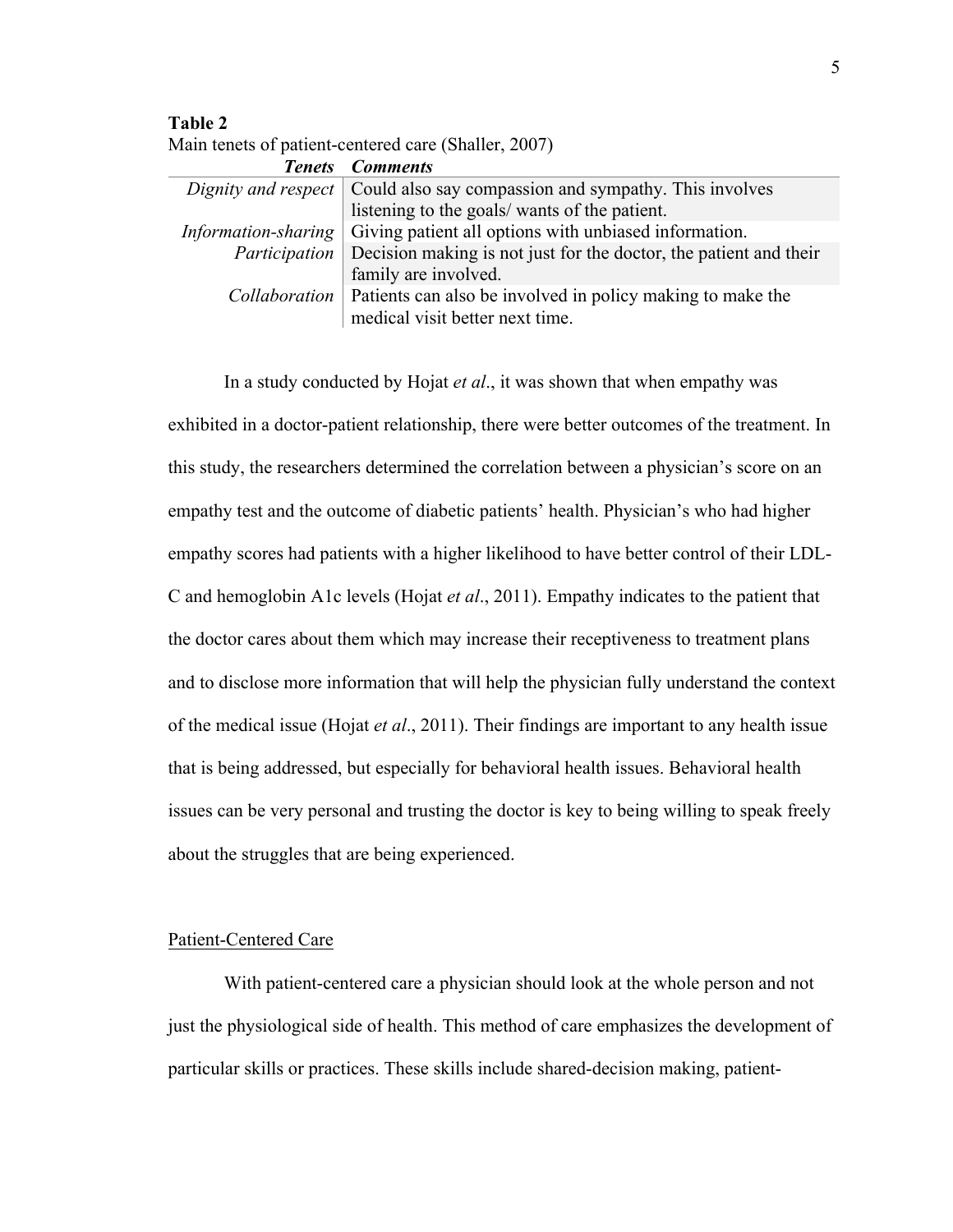**Table 2**

|  | Main tenets of patient-centered care (Shaller, 2007) |  |  |
|--|------------------------------------------------------|--|--|
|--|------------------------------------------------------|--|--|

| <b>Tenets</b> Comments                                                                                               |
|----------------------------------------------------------------------------------------------------------------------|
| Dignity and respect $\vert$ Could also say compassion and sympathy. This involves                                    |
| listening to the goals/ wants of the patient.                                                                        |
| <i>Information-sharing</i> Giving patient all options with unbiased information.                                     |
| <i>Participation</i> Decision making is not just for the doctor, the patient and their                               |
| family are involved.                                                                                                 |
| <i>Collaboration</i>   Patients can also be involved in policy making to make the<br>medical visit better next time. |
|                                                                                                                      |

In a study conducted by Hojat *et al*., it was shown that when empathy was exhibited in a doctor-patient relationship, there were better outcomes of the treatment. In this study, the researchers determined the correlation between a physician's score on an empathy test and the outcome of diabetic patients' health. Physician's who had higher empathy scores had patients with a higher likelihood to have better control of their LDL-C and hemoglobin A1c levels (Hojat *et al*., 2011). Empathy indicates to the patient that the doctor cares about them which may increase their receptiveness to treatment plans and to disclose more information that will help the physician fully understand the context of the medical issue (Hojat *et al*., 2011). Their findings are important to any health issue that is being addressed, but especially for behavioral health issues. Behavioral health issues can be very personal and trusting the doctor is key to being willing to speak freely about the struggles that are being experienced.

# Patient-Centered Care

With patient-centered care a physician should look at the whole person and not just the physiological side of health. This method of care emphasizes the development of particular skills or practices. These skills include shared-decision making, patient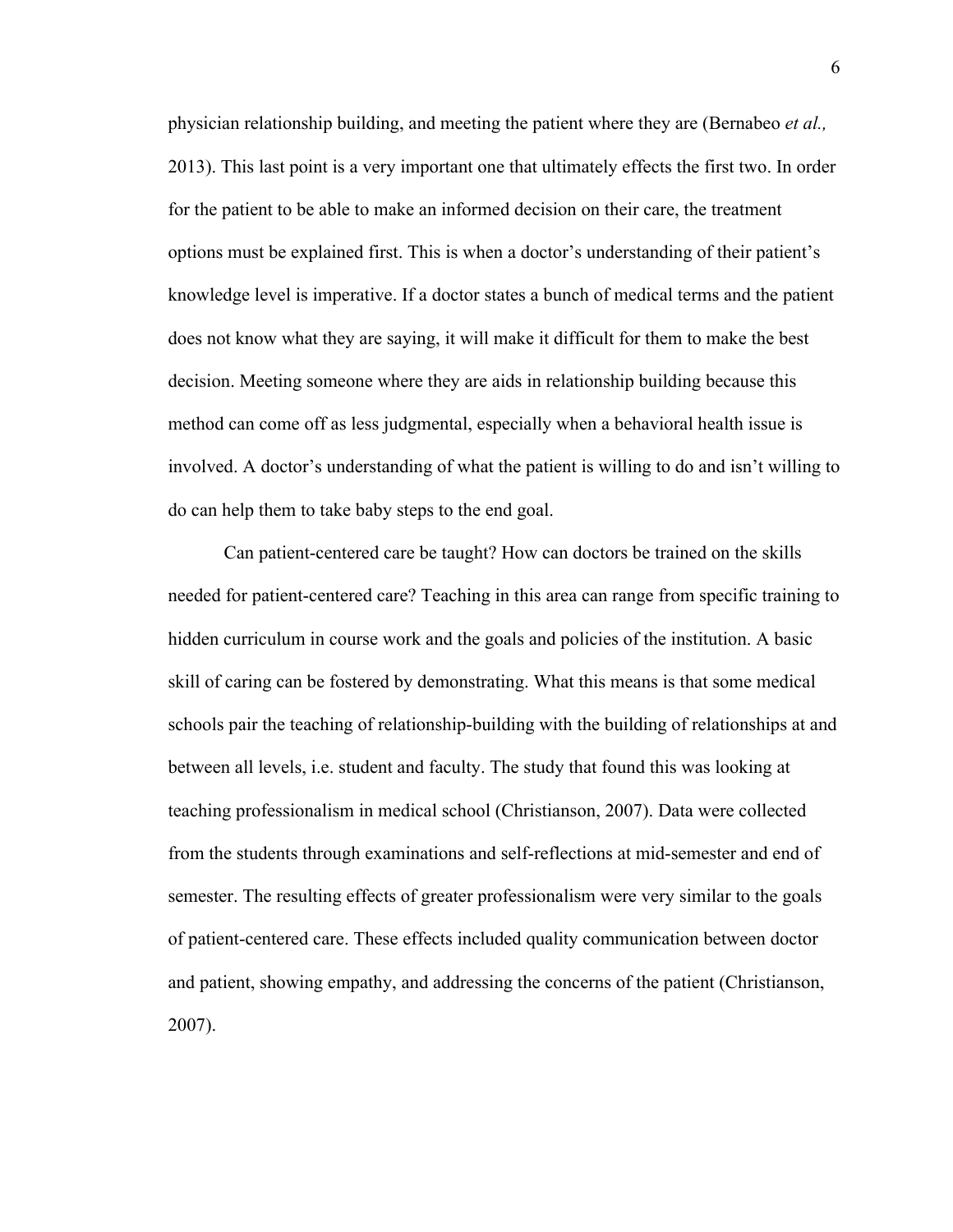physician relationship building, and meeting the patient where they are (Bernabeo *et al.,*  2013). This last point is a very important one that ultimately effects the first two. In order for the patient to be able to make an informed decision on their care, the treatment options must be explained first. This is when a doctor's understanding of their patient's knowledge level is imperative. If a doctor states a bunch of medical terms and the patient does not know what they are saying, it will make it difficult for them to make the best decision. Meeting someone where they are aids in relationship building because this method can come off as less judgmental, especially when a behavioral health issue is involved. A doctor's understanding of what the patient is willing to do and isn't willing to do can help them to take baby steps to the end goal.

Can patient-centered care be taught? How can doctors be trained on the skills needed for patient-centered care? Teaching in this area can range from specific training to hidden curriculum in course work and the goals and policies of the institution. A basic skill of caring can be fostered by demonstrating. What this means is that some medical schools pair the teaching of relationship-building with the building of relationships at and between all levels, i.e. student and faculty. The study that found this was looking at teaching professionalism in medical school (Christianson, 2007). Data were collected from the students through examinations and self-reflections at mid-semester and end of semester. The resulting effects of greater professionalism were very similar to the goals of patient-centered care. These effects included quality communication between doctor and patient, showing empathy, and addressing the concerns of the patient (Christianson, 2007).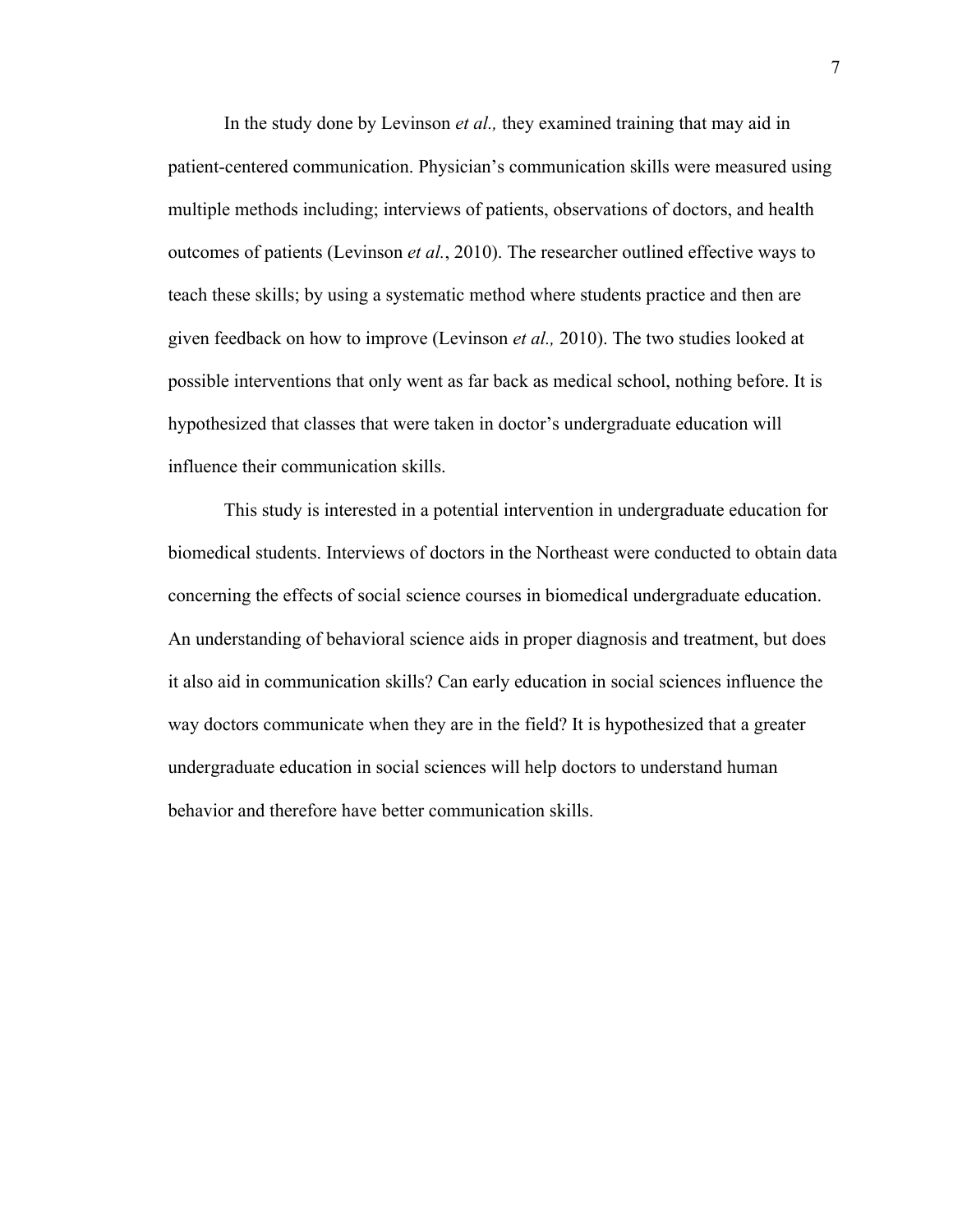In the study done by Levinson *et al.,* they examined training that may aid in patient-centered communication. Physician's communication skills were measured using multiple methods including; interviews of patients, observations of doctors, and health outcomes of patients (Levinson *et al.*, 2010). The researcher outlined effective ways to teach these skills; by using a systematic method where students practice and then are given feedback on how to improve (Levinson *et al.,* 2010). The two studies looked at possible interventions that only went as far back as medical school, nothing before. It is hypothesized that classes that were taken in doctor's undergraduate education will influence their communication skills.

This study is interested in a potential intervention in undergraduate education for biomedical students. Interviews of doctors in the Northeast were conducted to obtain data concerning the effects of social science courses in biomedical undergraduate education. An understanding of behavioral science aids in proper diagnosis and treatment, but does it also aid in communication skills? Can early education in social sciences influence the way doctors communicate when they are in the field? It is hypothesized that a greater undergraduate education in social sciences will help doctors to understand human behavior and therefore have better communication skills.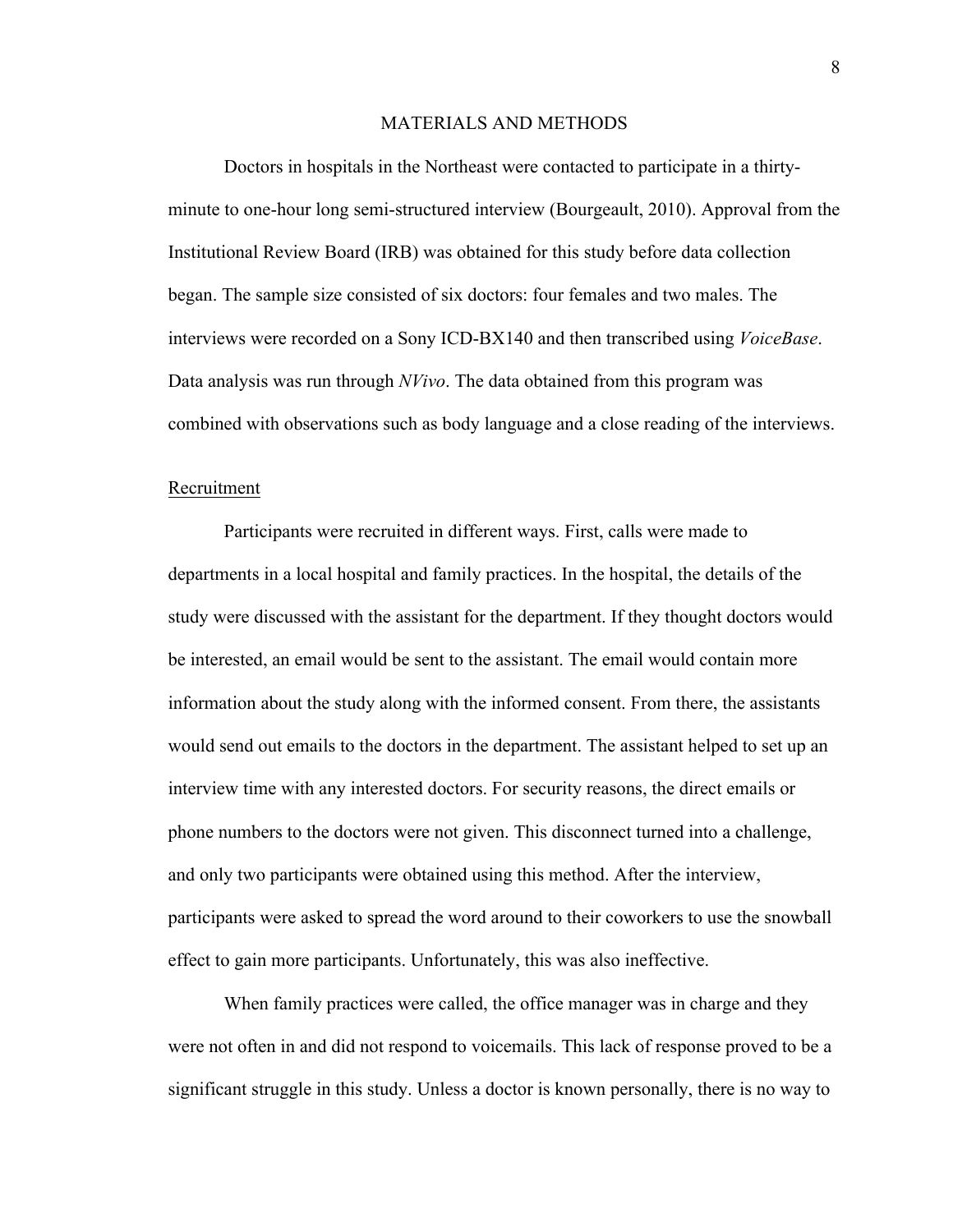#### MATERIALS AND METHODS

Doctors in hospitals in the Northeast were contacted to participate in a thirtyminute to one-hour long semi-structured interview (Bourgeault, 2010). Approval from the Institutional Review Board (IRB) was obtained for this study before data collection began. The sample size consisted of six doctors: four females and two males. The interviews were recorded on a Sony ICD-BX140 and then transcribed using *VoiceBase*. Data analysis was run through *NVivo*. The data obtained from this program was combined with observations such as body language and a close reading of the interviews.

#### Recruitment

Participants were recruited in different ways. First, calls were made to departments in a local hospital and family practices. In the hospital, the details of the study were discussed with the assistant for the department. If they thought doctors would be interested, an email would be sent to the assistant. The email would contain more information about the study along with the informed consent. From there, the assistants would send out emails to the doctors in the department. The assistant helped to set up an interview time with any interested doctors. For security reasons, the direct emails or phone numbers to the doctors were not given. This disconnect turned into a challenge, and only two participants were obtained using this method. After the interview, participants were asked to spread the word around to their coworkers to use the snowball effect to gain more participants. Unfortunately, this was also ineffective.

When family practices were called, the office manager was in charge and they were not often in and did not respond to voicemails. This lack of response proved to be a significant struggle in this study. Unless a doctor is known personally, there is no way to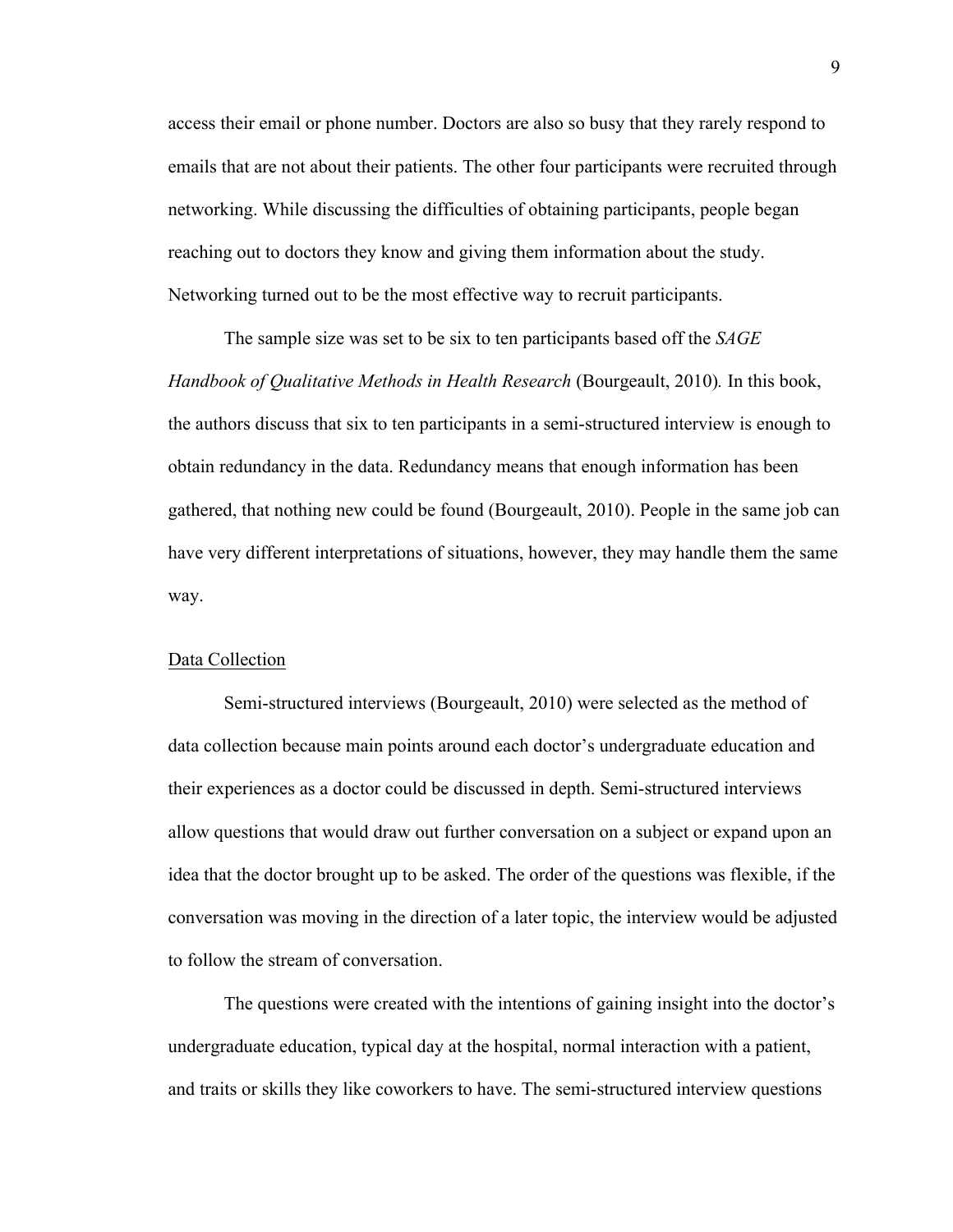access their email or phone number. Doctors are also so busy that they rarely respond to emails that are not about their patients. The other four participants were recruited through networking. While discussing the difficulties of obtaining participants, people began reaching out to doctors they know and giving them information about the study. Networking turned out to be the most effective way to recruit participants.

The sample size was set to be six to ten participants based off the *SAGE Handbook of Qualitative Methods in Health Research* (Bourgeault, 2010)*.* In this book, the authors discuss that six to ten participants in a semi-structured interview is enough to obtain redundancy in the data. Redundancy means that enough information has been gathered, that nothing new could be found (Bourgeault, 2010). People in the same job can have very different interpretations of situations, however, they may handle them the same way.

### Data Collection

Semi-structured interviews (Bourgeault, 2010) were selected as the method of data collection because main points around each doctor's undergraduate education and their experiences as a doctor could be discussed in depth. Semi-structured interviews allow questions that would draw out further conversation on a subject or expand upon an idea that the doctor brought up to be asked. The order of the questions was flexible, if the conversation was moving in the direction of a later topic, the interview would be adjusted to follow the stream of conversation.

The questions were created with the intentions of gaining insight into the doctor's undergraduate education, typical day at the hospital, normal interaction with a patient, and traits or skills they like coworkers to have. The semi-structured interview questions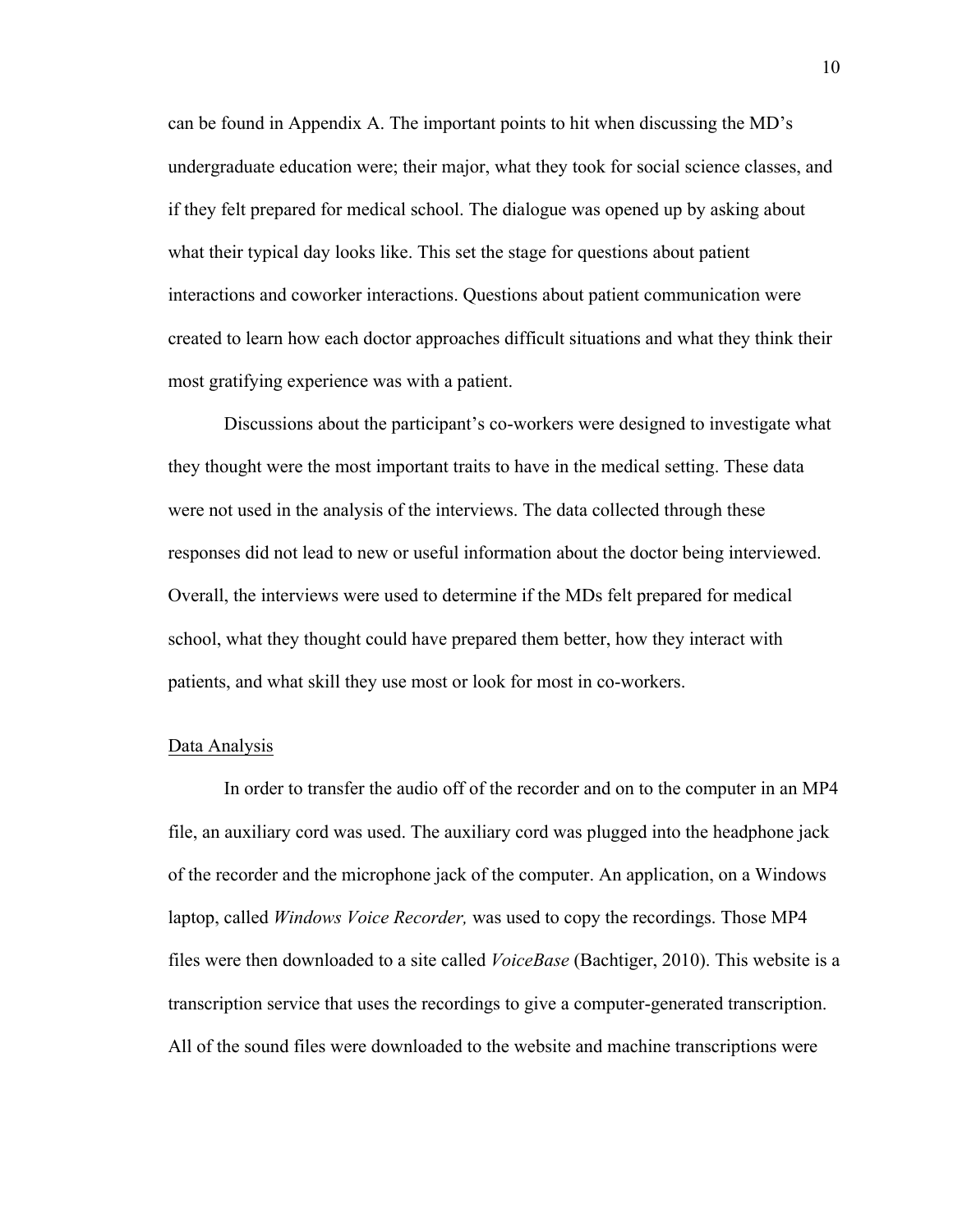can be found in Appendix A. The important points to hit when discussing the MD's undergraduate education were; their major, what they took for social science classes, and if they felt prepared for medical school. The dialogue was opened up by asking about what their typical day looks like. This set the stage for questions about patient interactions and coworker interactions. Questions about patient communication were created to learn how each doctor approaches difficult situations and what they think their most gratifying experience was with a patient.

Discussions about the participant's co-workers were designed to investigate what they thought were the most important traits to have in the medical setting. These data were not used in the analysis of the interviews. The data collected through these responses did not lead to new or useful information about the doctor being interviewed. Overall, the interviews were used to determine if the MDs felt prepared for medical school, what they thought could have prepared them better, how they interact with patients, and what skill they use most or look for most in co-workers.

#### Data Analysis

In order to transfer the audio off of the recorder and on to the computer in an MP4 file, an auxiliary cord was used. The auxiliary cord was plugged into the headphone jack of the recorder and the microphone jack of the computer. An application, on a Windows laptop, called *Windows Voice Recorder,* was used to copy the recordings. Those MP4 files were then downloaded to a site called *VoiceBase* (Bachtiger, 2010). This website is a transcription service that uses the recordings to give a computer-generated transcription. All of the sound files were downloaded to the website and machine transcriptions were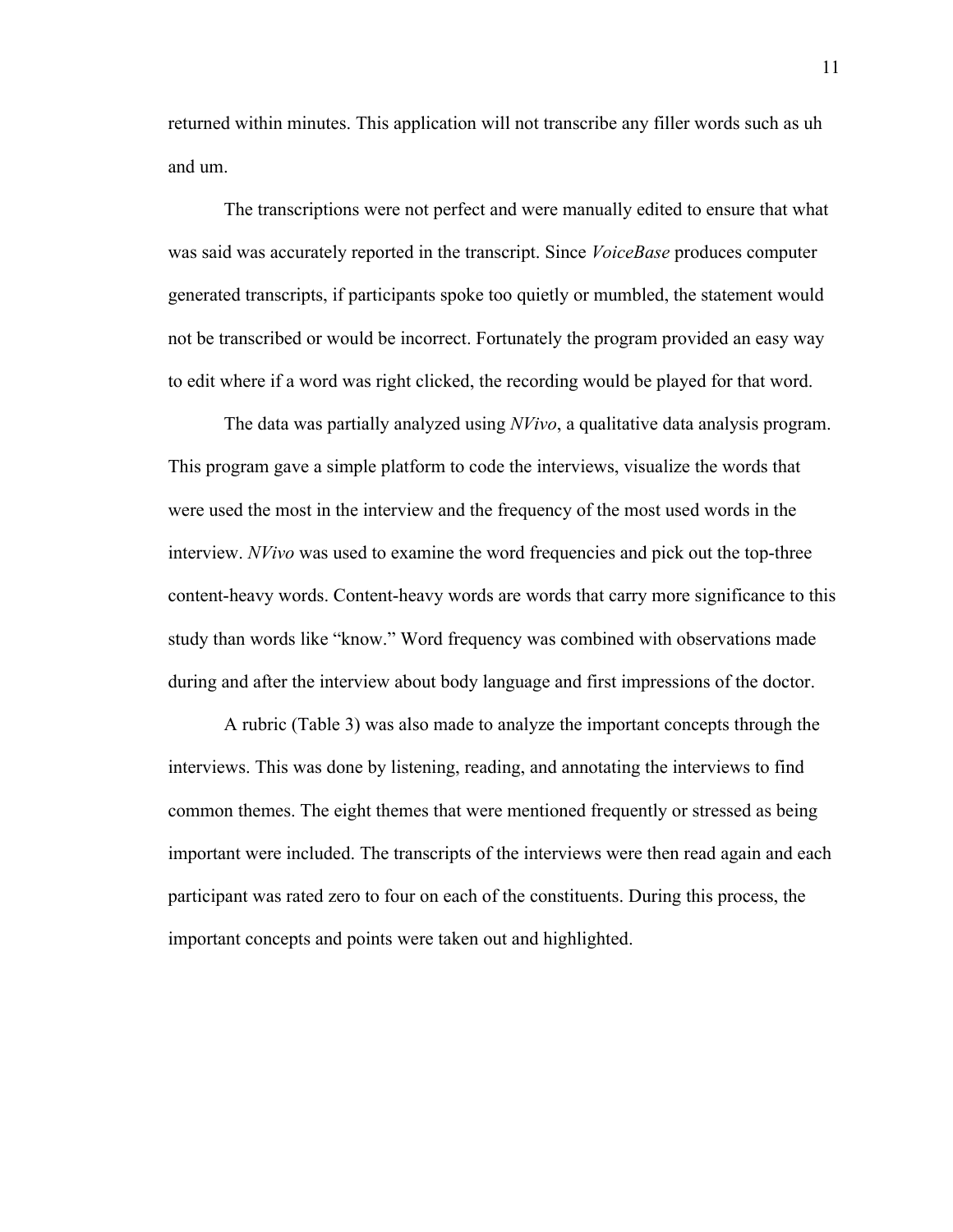returned within minutes. This application will not transcribe any filler words such as uh and um.

The transcriptions were not perfect and were manually edited to ensure that what was said was accurately reported in the transcript. Since *VoiceBase* produces computer generated transcripts, if participants spoke too quietly or mumbled, the statement would not be transcribed or would be incorrect. Fortunately the program provided an easy way to edit where if a word was right clicked, the recording would be played for that word.

The data was partially analyzed using *NVivo*, a qualitative data analysis program. This program gave a simple platform to code the interviews, visualize the words that were used the most in the interview and the frequency of the most used words in the interview. *NVivo* was used to examine the word frequencies and pick out the top-three content-heavy words. Content-heavy words are words that carry more significance to this study than words like "know." Word frequency was combined with observations made during and after the interview about body language and first impressions of the doctor.

A rubric (Table 3) was also made to analyze the important concepts through the interviews. This was done by listening, reading, and annotating the interviews to find common themes. The eight themes that were mentioned frequently or stressed as being important were included. The transcripts of the interviews were then read again and each participant was rated zero to four on each of the constituents. During this process, the important concepts and points were taken out and highlighted.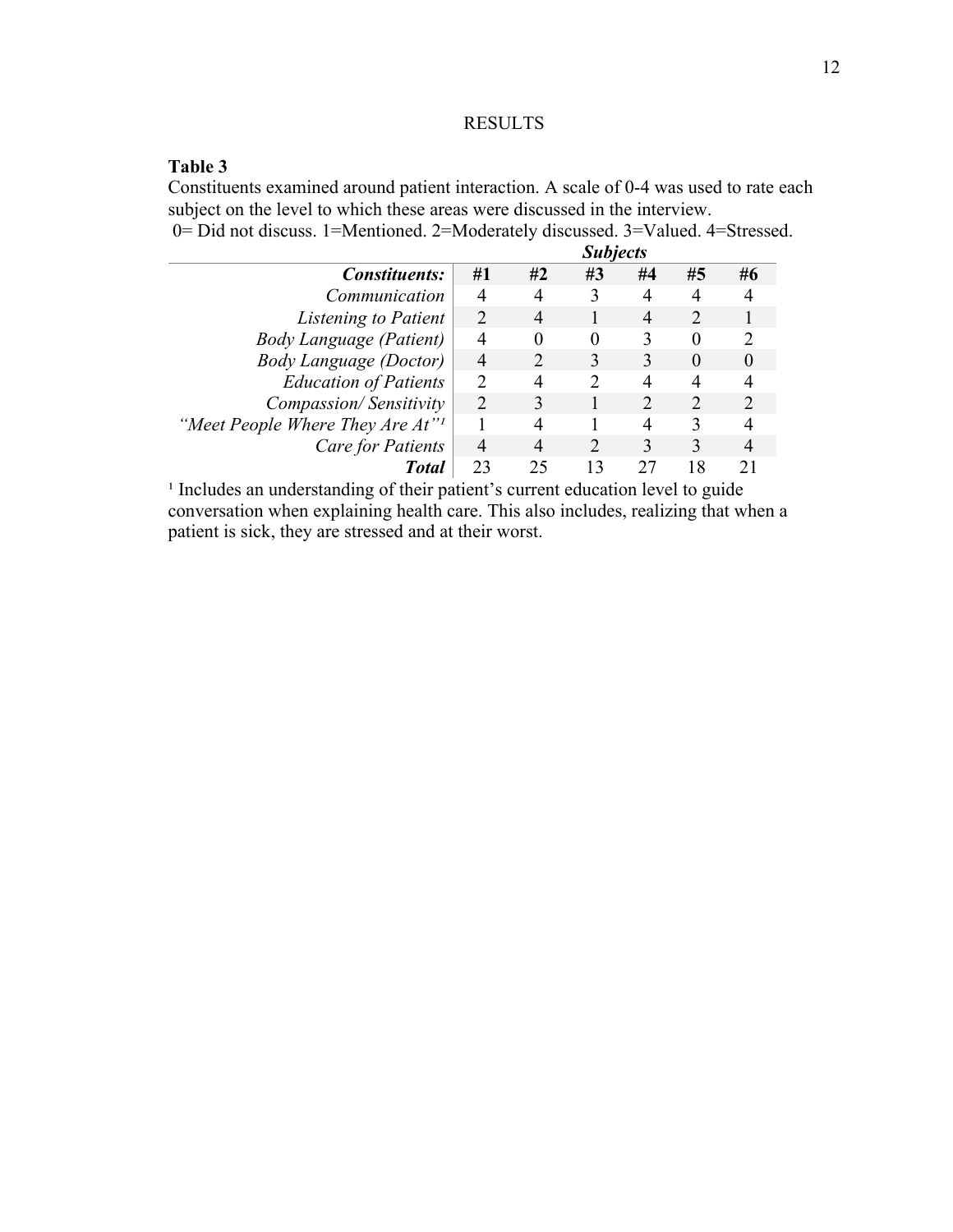# RESULTS

# **Table 3**

Constituents examined around patient interaction. A scale of 0-4 was used to rate each subject on the level to which these areas were discussed in the interview. 0= Did not discuss. 1=Mentioned. 2=Moderately discussed. 3=Valued. 4=Stressed.

|                                              | <b>Subjects</b>             |                |    |    |    |                             |
|----------------------------------------------|-----------------------------|----------------|----|----|----|-----------------------------|
| <i>Constituents:</i>                         | #1                          | #2             | #3 | #4 | #5 | #6                          |
| Communication                                |                             |                |    |    |    |                             |
| Listening to Patient                         | $\mathcal{D}_{\mathcal{A}}$ | $\overline{4}$ |    |    |    |                             |
| <b>Body Language (Patient)</b>               | 4                           | 0              |    |    |    | $\mathcal{D}_{\mathcal{A}}$ |
| <b>Body Language (Doctor)</b>                | 4                           |                |    |    |    | $\theta$                    |
| <b>Education of Patients</b>                 |                             | 4              |    |    |    |                             |
| Compassion/Sensitivity                       | $\mathcal{D}$               |                |    |    |    |                             |
| "Meet People Where They Are At" <sup>1</sup> |                             | 4              |    | 4  |    |                             |
| <b>Care for Patients</b>                     |                             |                |    |    |    |                             |
| <b>Total</b>                                 | 23                          | 25             |    |    |    |                             |

<sup>1</sup> Includes an understanding of their patient's current education level to guide conversation when explaining health care. This also includes, realizing that when a patient is sick, they are stressed and at their worst.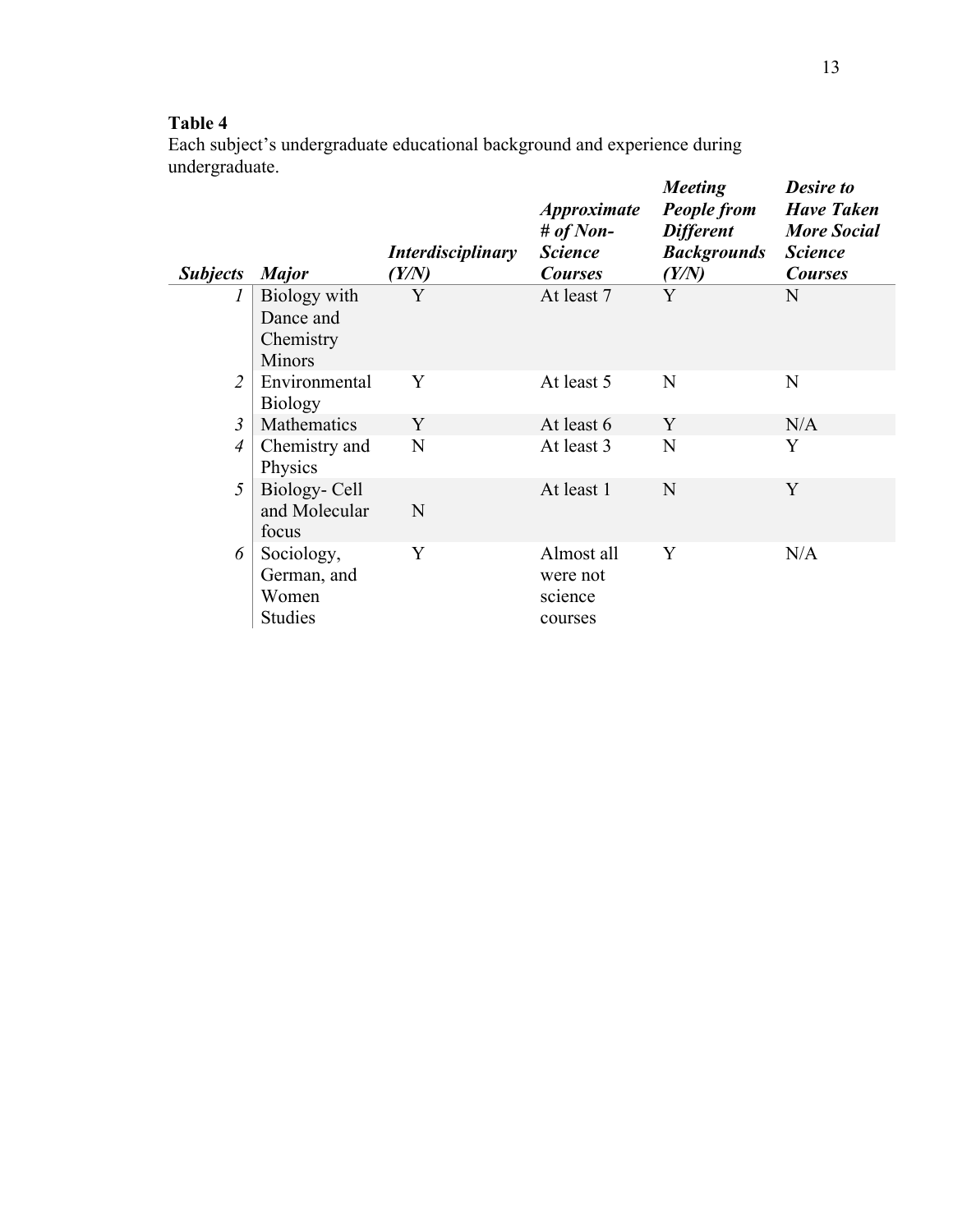# **Table 4**

Each subject's undergraduate educational background and experience during undergraduate.

| <b>Subjects</b> | <b>Major</b>                                            | <i>Interdisciplinary</i><br>(Y/N) | <i><b>Approximate</b></i><br># of Non-<br><b>Science</b><br><b>Courses</b> | <b>Meeting</b><br><b>People from</b><br><b>Different</b><br><b>Backgrounds</b><br>(Y/N) | <b>Desire to</b><br><b>Have Taken</b><br><b>More Social</b><br><b>Science</b><br><b>Courses</b> |
|-----------------|---------------------------------------------------------|-----------------------------------|----------------------------------------------------------------------------|-----------------------------------------------------------------------------------------|-------------------------------------------------------------------------------------------------|
| 1               | Biology with<br>Dance and<br>Chemistry<br><b>Minors</b> | Y                                 | At least 7                                                                 | Y                                                                                       | N                                                                                               |
| $\overline{2}$  | Environmental<br><b>Biology</b>                         | Y                                 | At least 5                                                                 | N                                                                                       | N                                                                                               |
| $\mathfrak{Z}$  | Mathematics                                             | Y                                 | At least 6                                                                 | Y                                                                                       | N/A                                                                                             |
| $\overline{4}$  | Chemistry and<br>Physics                                | N                                 | At least 3                                                                 | N                                                                                       | Y                                                                                               |
| 5               | Biology- Cell<br>and Molecular<br>focus                 | N                                 | At least 1                                                                 | N                                                                                       | Y                                                                                               |
| 6               | Sociology,<br>German, and<br>Women<br><b>Studies</b>    | Y                                 | Almost all<br>were not<br>science<br>courses                               | Y                                                                                       | N/A                                                                                             |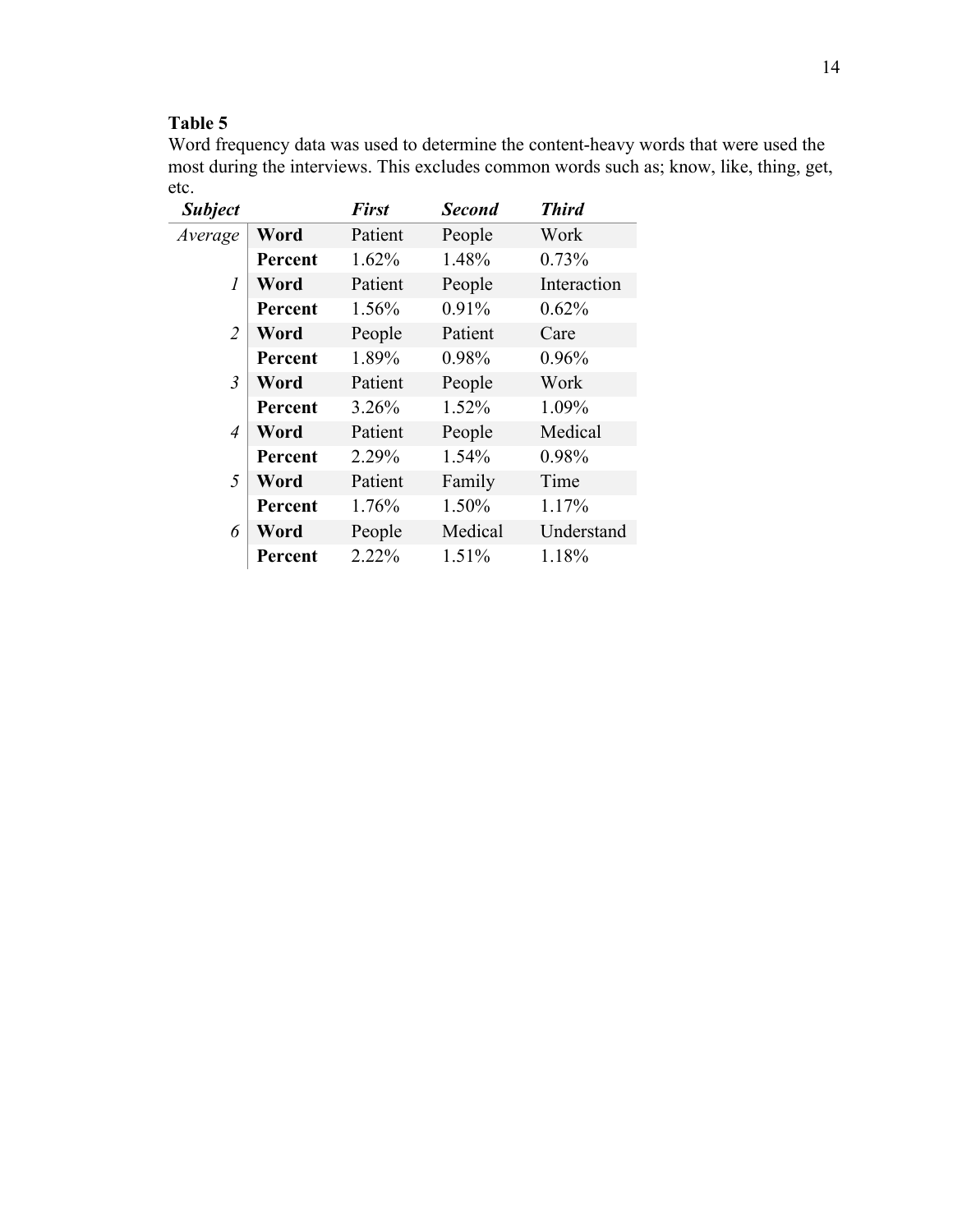# **Table 5**

Word frequency data was used to determine the content-heavy words that were used the most during the interviews. This excludes common words such as; know, like, thing, get, etc.

| <b>Subject</b> |         | <b>First</b> | <b>Second</b> | <b>Third</b> |
|----------------|---------|--------------|---------------|--------------|
| Average        | Word    | Patient      | People        | Work         |
|                | Percent | 1.62%        | 1.48%         | 0.73%        |
| 1              | Word    | Patient      | People        | Interaction  |
|                | Percent | 1.56%        | 0.91%         | 0.62%        |
| $\overline{2}$ | Word    | People       | Patient       | Care         |
|                | Percent | 1.89%        | 0.98%         | 0.96%        |
| 3              | Word    | Patient      | People        | Work         |
|                | Percent | 3.26%        | 1.52%         | 1.09%        |
| 4              | Word    | Patient      | People        | Medical      |
|                | Percent | 2.29%        | 1.54%         | 0.98%        |
| 5              | Word    | Patient      | Family        | Time         |
|                | Percent | 1.76%        | 1.50%         | 1.17%        |
| 6              | Word    | People       | Medical       | Understand   |
|                | Percent | 2.22%        | 1.51%         | 1.18%        |
|                |         |              |               |              |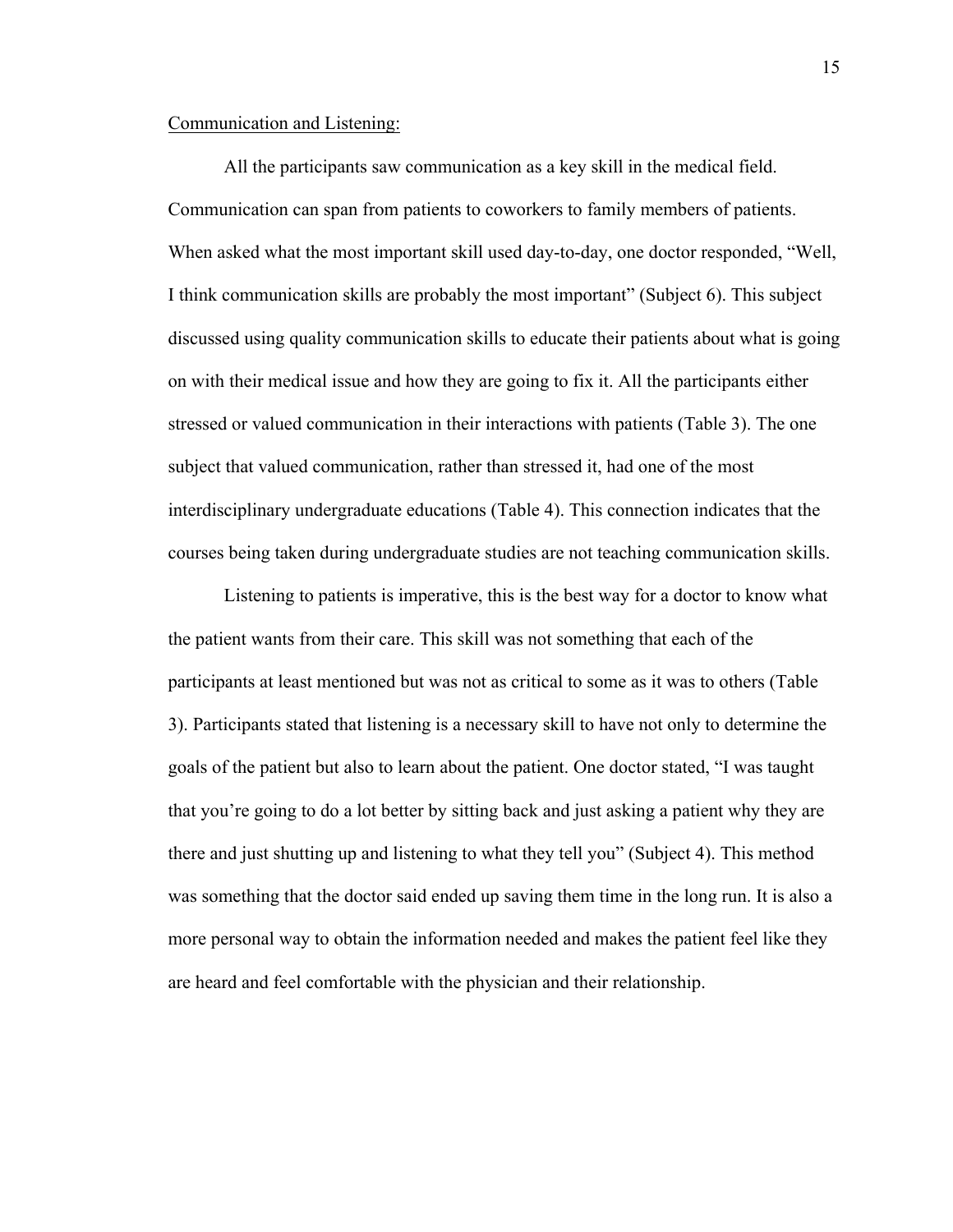# Communication and Listening:

All the participants saw communication as a key skill in the medical field. Communication can span from patients to coworkers to family members of patients. When asked what the most important skill used day-to-day, one doctor responded, "Well, I think communication skills are probably the most important" (Subject 6). This subject discussed using quality communication skills to educate their patients about what is going on with their medical issue and how they are going to fix it. All the participants either stressed or valued communication in their interactions with patients (Table 3). The one subject that valued communication, rather than stressed it, had one of the most interdisciplinary undergraduate educations (Table 4). This connection indicates that the courses being taken during undergraduate studies are not teaching communication skills.

Listening to patients is imperative, this is the best way for a doctor to know what the patient wants from their care. This skill was not something that each of the participants at least mentioned but was not as critical to some as it was to others (Table 3). Participants stated that listening is a necessary skill to have not only to determine the goals of the patient but also to learn about the patient. One doctor stated, "I was taught that you're going to do a lot better by sitting back and just asking a patient why they are there and just shutting up and listening to what they tell you" (Subject 4). This method was something that the doctor said ended up saving them time in the long run. It is also a more personal way to obtain the information needed and makes the patient feel like they are heard and feel comfortable with the physician and their relationship.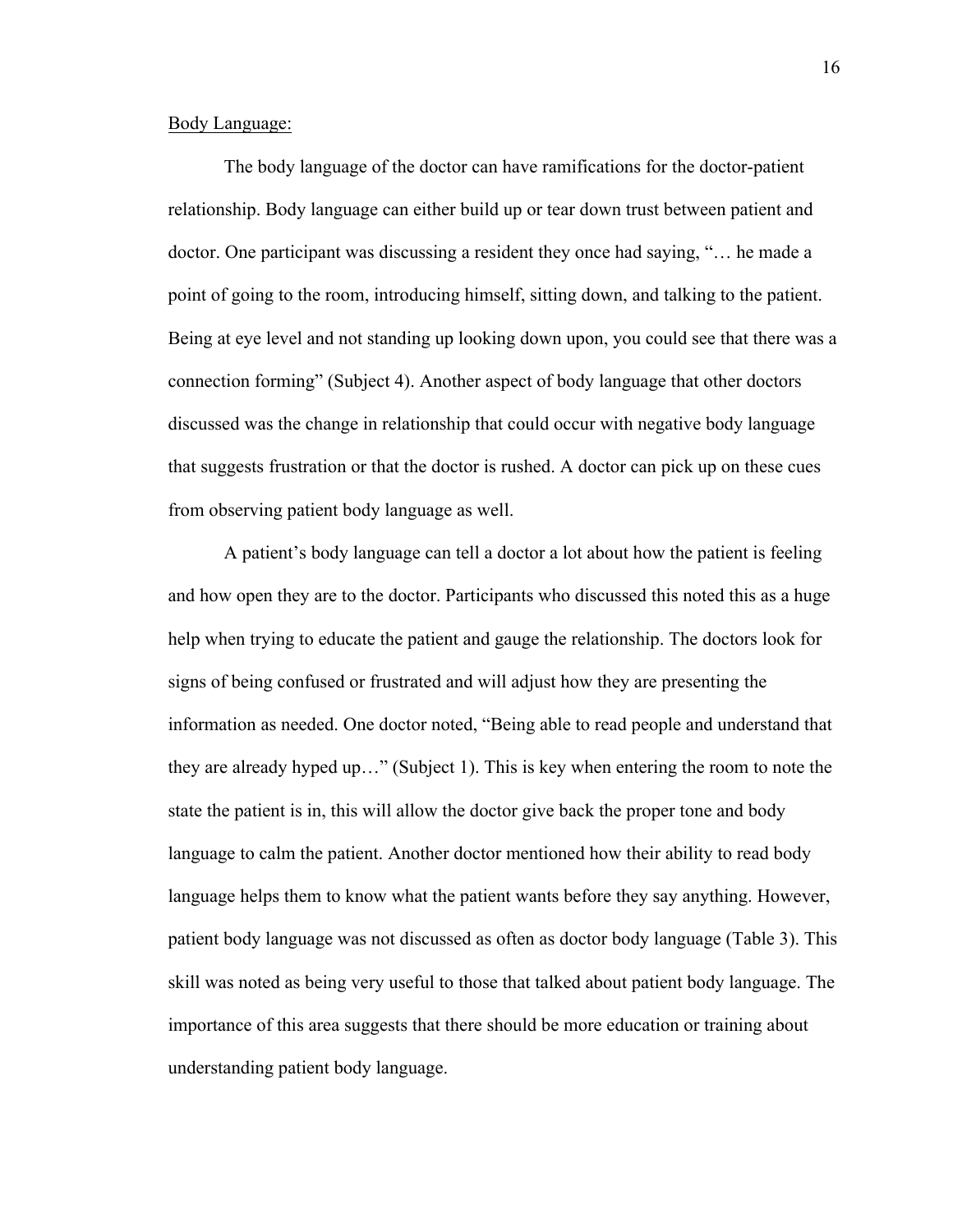#### Body Language:

The body language of the doctor can have ramifications for the doctor-patient relationship. Body language can either build up or tear down trust between patient and doctor. One participant was discussing a resident they once had saying, "… he made a point of going to the room, introducing himself, sitting down, and talking to the patient. Being at eye level and not standing up looking down upon, you could see that there was a connection forming" (Subject 4). Another aspect of body language that other doctors discussed was the change in relationship that could occur with negative body language that suggests frustration or that the doctor is rushed. A doctor can pick up on these cues from observing patient body language as well.

A patient's body language can tell a doctor a lot about how the patient is feeling and how open they are to the doctor. Participants who discussed this noted this as a huge help when trying to educate the patient and gauge the relationship. The doctors look for signs of being confused or frustrated and will adjust how they are presenting the information as needed. One doctor noted, "Being able to read people and understand that they are already hyped up…" (Subject 1). This is key when entering the room to note the state the patient is in, this will allow the doctor give back the proper tone and body language to calm the patient. Another doctor mentioned how their ability to read body language helps them to know what the patient wants before they say anything. However, patient body language was not discussed as often as doctor body language (Table 3). This skill was noted as being very useful to those that talked about patient body language. The importance of this area suggests that there should be more education or training about understanding patient body language.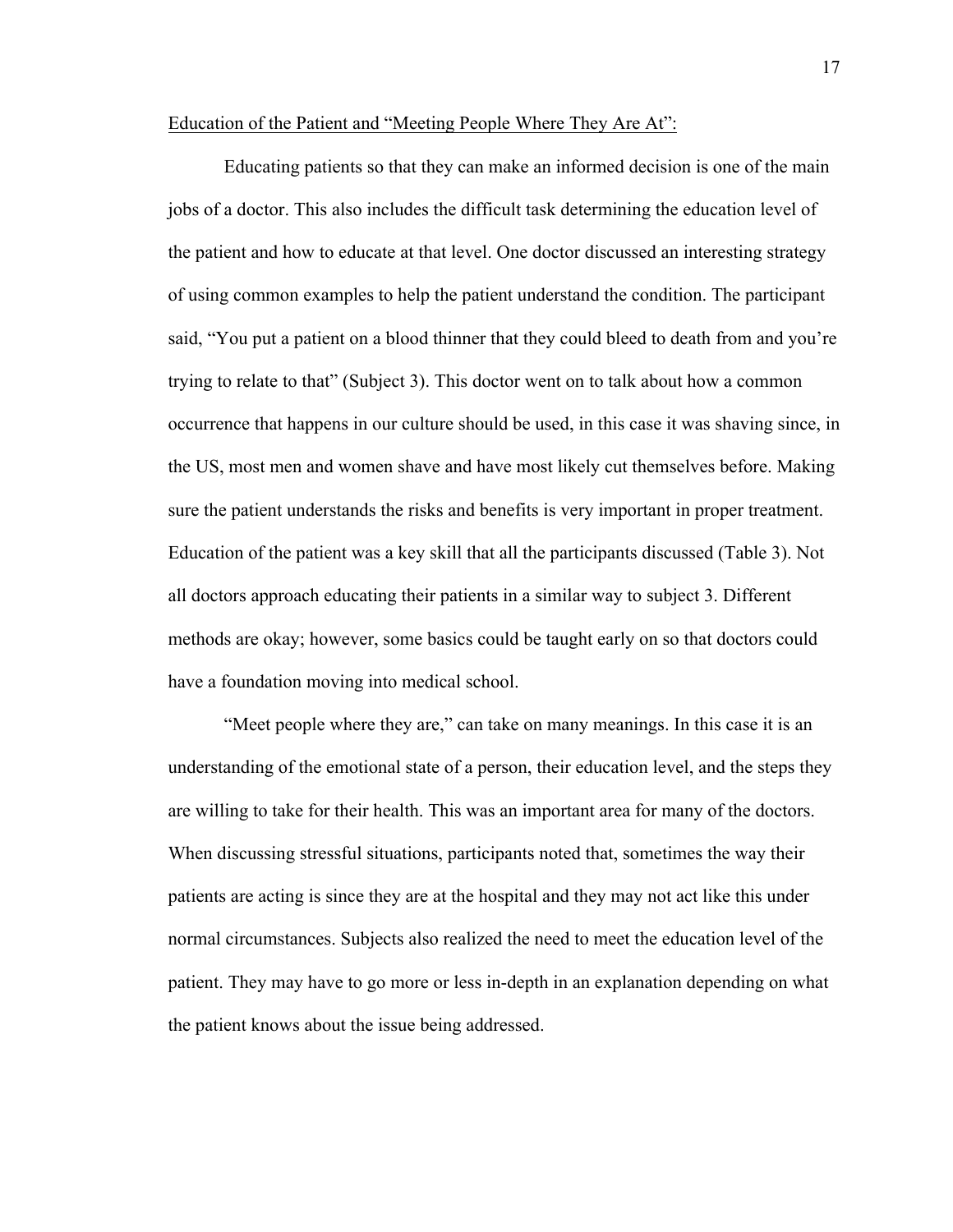#### Education of the Patient and "Meeting People Where They Are At":

Educating patients so that they can make an informed decision is one of the main jobs of a doctor. This also includes the difficult task determining the education level of the patient and how to educate at that level. One doctor discussed an interesting strategy of using common examples to help the patient understand the condition. The participant said, "You put a patient on a blood thinner that they could bleed to death from and you're trying to relate to that" (Subject 3). This doctor went on to talk about how a common occurrence that happens in our culture should be used, in this case it was shaving since, in the US, most men and women shave and have most likely cut themselves before. Making sure the patient understands the risks and benefits is very important in proper treatment. Education of the patient was a key skill that all the participants discussed (Table 3). Not all doctors approach educating their patients in a similar way to subject 3. Different methods are okay; however, some basics could be taught early on so that doctors could have a foundation moving into medical school.

"Meet people where they are," can take on many meanings. In this case it is an understanding of the emotional state of a person, their education level, and the steps they are willing to take for their health. This was an important area for many of the doctors. When discussing stressful situations, participants noted that, sometimes the way their patients are acting is since they are at the hospital and they may not act like this under normal circumstances. Subjects also realized the need to meet the education level of the patient. They may have to go more or less in-depth in an explanation depending on what the patient knows about the issue being addressed.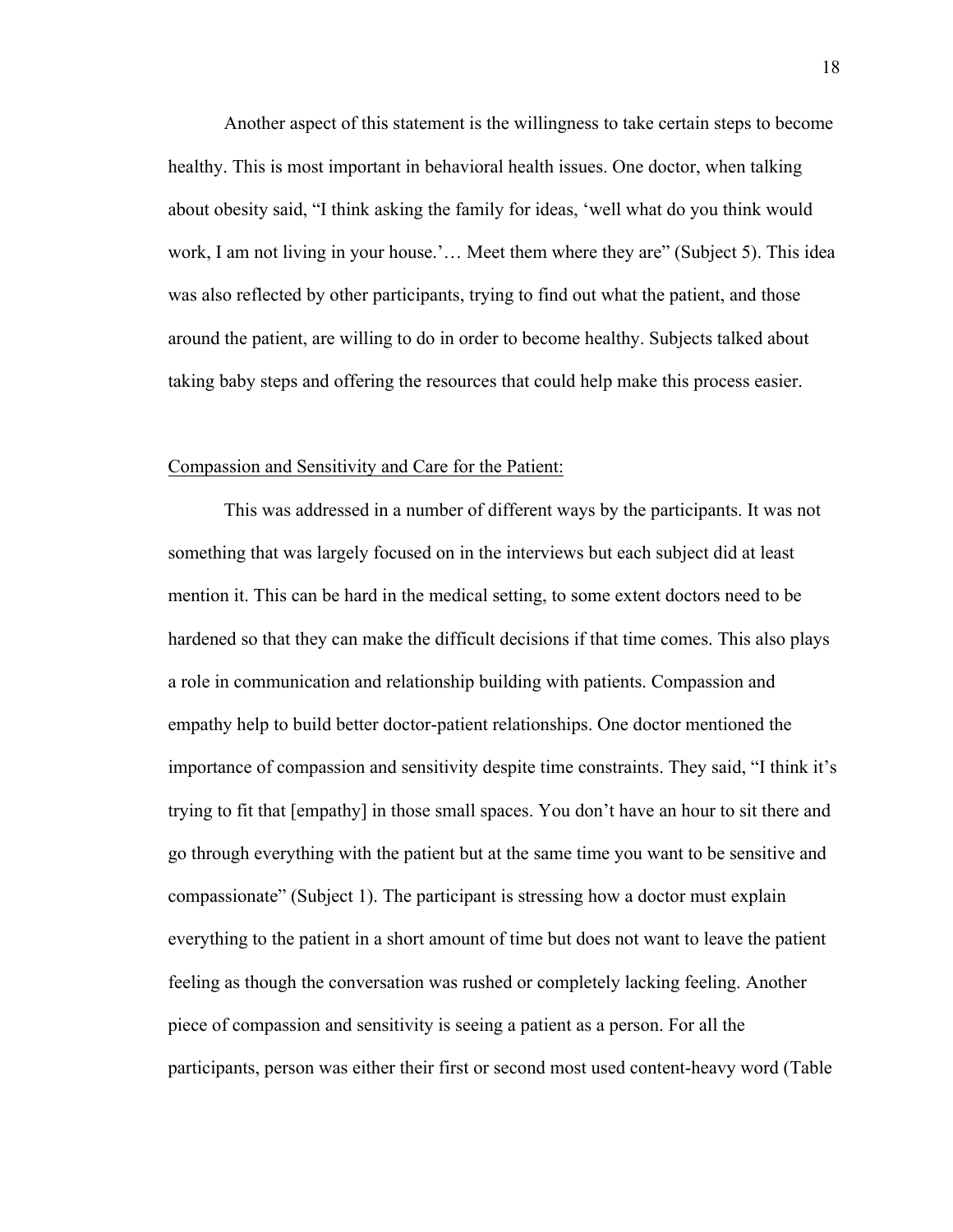Another aspect of this statement is the willingness to take certain steps to become healthy. This is most important in behavioral health issues. One doctor, when talking about obesity said, "I think asking the family for ideas, 'well what do you think would work, I am not living in your house.'… Meet them where they are" (Subject 5). This idea was also reflected by other participants, trying to find out what the patient, and those around the patient, are willing to do in order to become healthy. Subjects talked about taking baby steps and offering the resources that could help make this process easier.

#### Compassion and Sensitivity and Care for the Patient:

This was addressed in a number of different ways by the participants. It was not something that was largely focused on in the interviews but each subject did at least mention it. This can be hard in the medical setting, to some extent doctors need to be hardened so that they can make the difficult decisions if that time comes. This also plays a role in communication and relationship building with patients. Compassion and empathy help to build better doctor-patient relationships. One doctor mentioned the importance of compassion and sensitivity despite time constraints. They said, "I think it's trying to fit that [empathy] in those small spaces. You don't have an hour to sit there and go through everything with the patient but at the same time you want to be sensitive and compassionate" (Subject 1). The participant is stressing how a doctor must explain everything to the patient in a short amount of time but does not want to leave the patient feeling as though the conversation was rushed or completely lacking feeling. Another piece of compassion and sensitivity is seeing a patient as a person. For all the participants, person was either their first or second most used content-heavy word (Table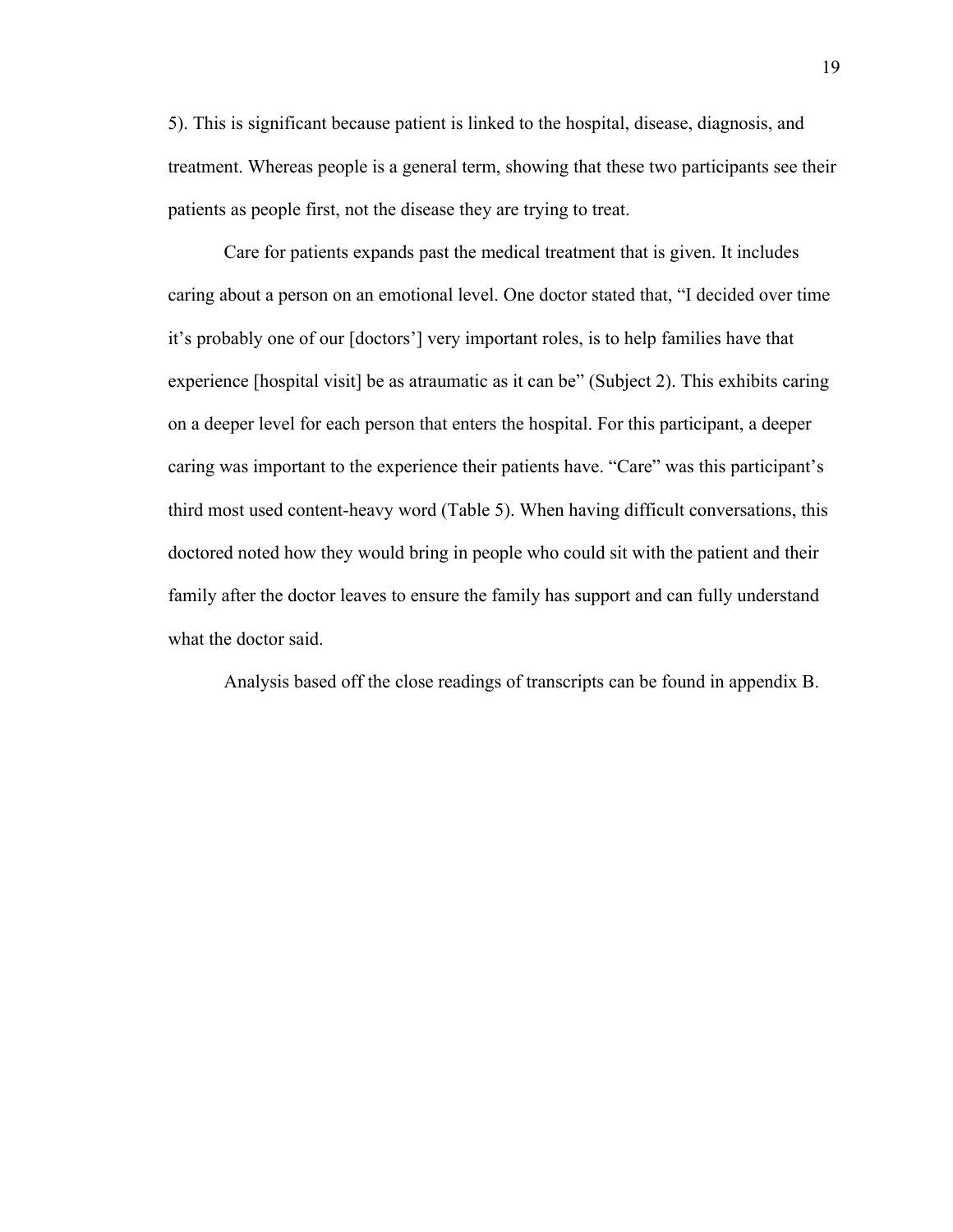5). This is significant because patient is linked to the hospital, disease, diagnosis, and treatment. Whereas people is a general term, showing that these two participants see their patients as people first, not the disease they are trying to treat.

Care for patients expands past the medical treatment that is given. It includes caring about a person on an emotional level. One doctor stated that, "I decided over time it's probably one of our [doctors'] very important roles, is to help families have that experience [hospital visit] be as atraumatic as it can be" (Subject 2). This exhibits caring on a deeper level for each person that enters the hospital. For this participant, a deeper caring was important to the experience their patients have. "Care" was this participant's third most used content-heavy word (Table 5). When having difficult conversations, this doctored noted how they would bring in people who could sit with the patient and their family after the doctor leaves to ensure the family has support and can fully understand what the doctor said.

Analysis based off the close readings of transcripts can be found in appendix B.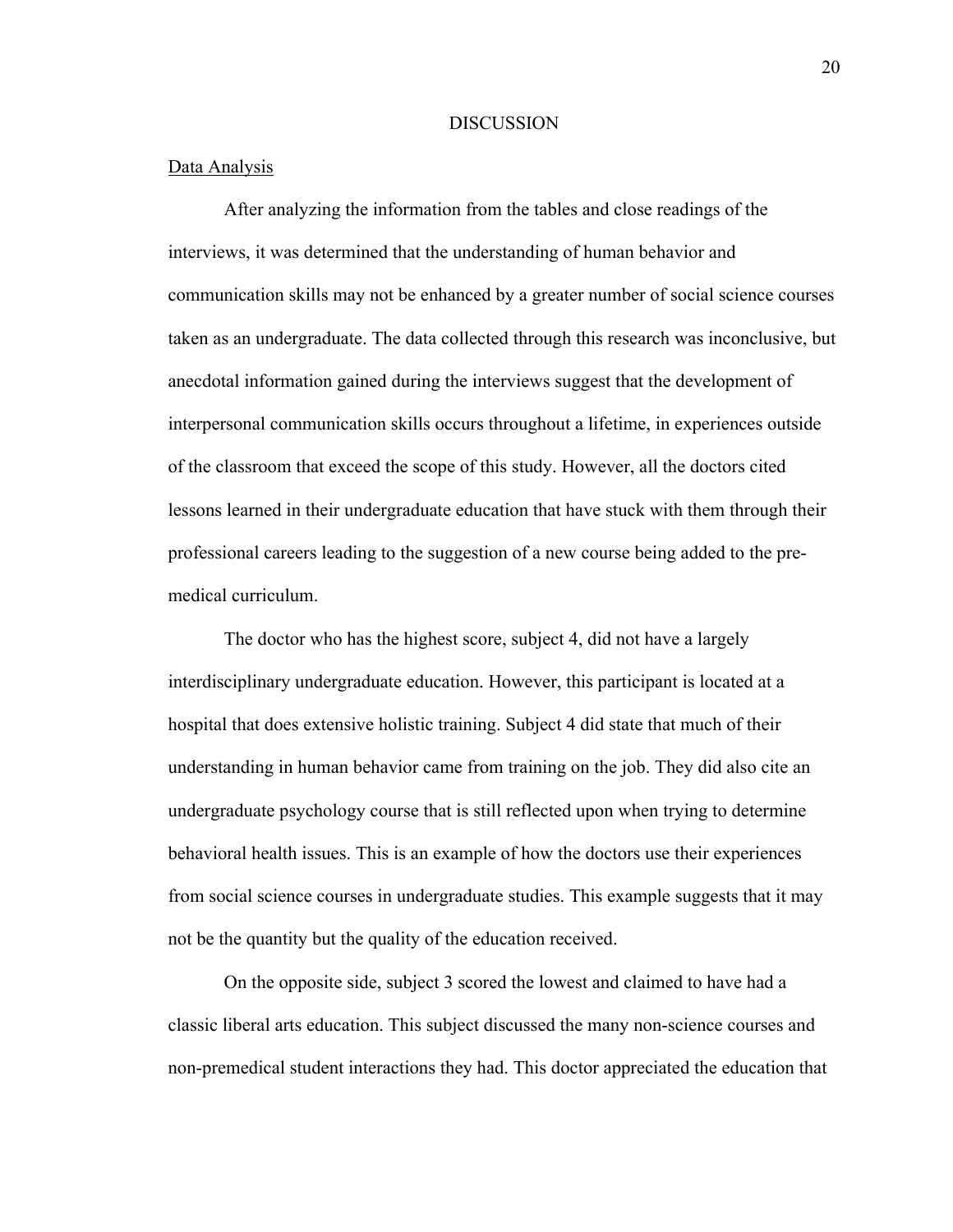#### **DISCUSSION**

#### Data Analysis

After analyzing the information from the tables and close readings of the interviews, it was determined that the understanding of human behavior and communication skills may not be enhanced by a greater number of social science courses taken as an undergraduate. The data collected through this research was inconclusive, but anecdotal information gained during the interviews suggest that the development of interpersonal communication skills occurs throughout a lifetime, in experiences outside of the classroom that exceed the scope of this study. However, all the doctors cited lessons learned in their undergraduate education that have stuck with them through their professional careers leading to the suggestion of a new course being added to the premedical curriculum.

The doctor who has the highest score, subject 4, did not have a largely interdisciplinary undergraduate education. However, this participant is located at a hospital that does extensive holistic training. Subject 4 did state that much of their understanding in human behavior came from training on the job. They did also cite an undergraduate psychology course that is still reflected upon when trying to determine behavioral health issues. This is an example of how the doctors use their experiences from social science courses in undergraduate studies. This example suggests that it may not be the quantity but the quality of the education received.

On the opposite side, subject 3 scored the lowest and claimed to have had a classic liberal arts education. This subject discussed the many non-science courses and non-premedical student interactions they had. This doctor appreciated the education that

20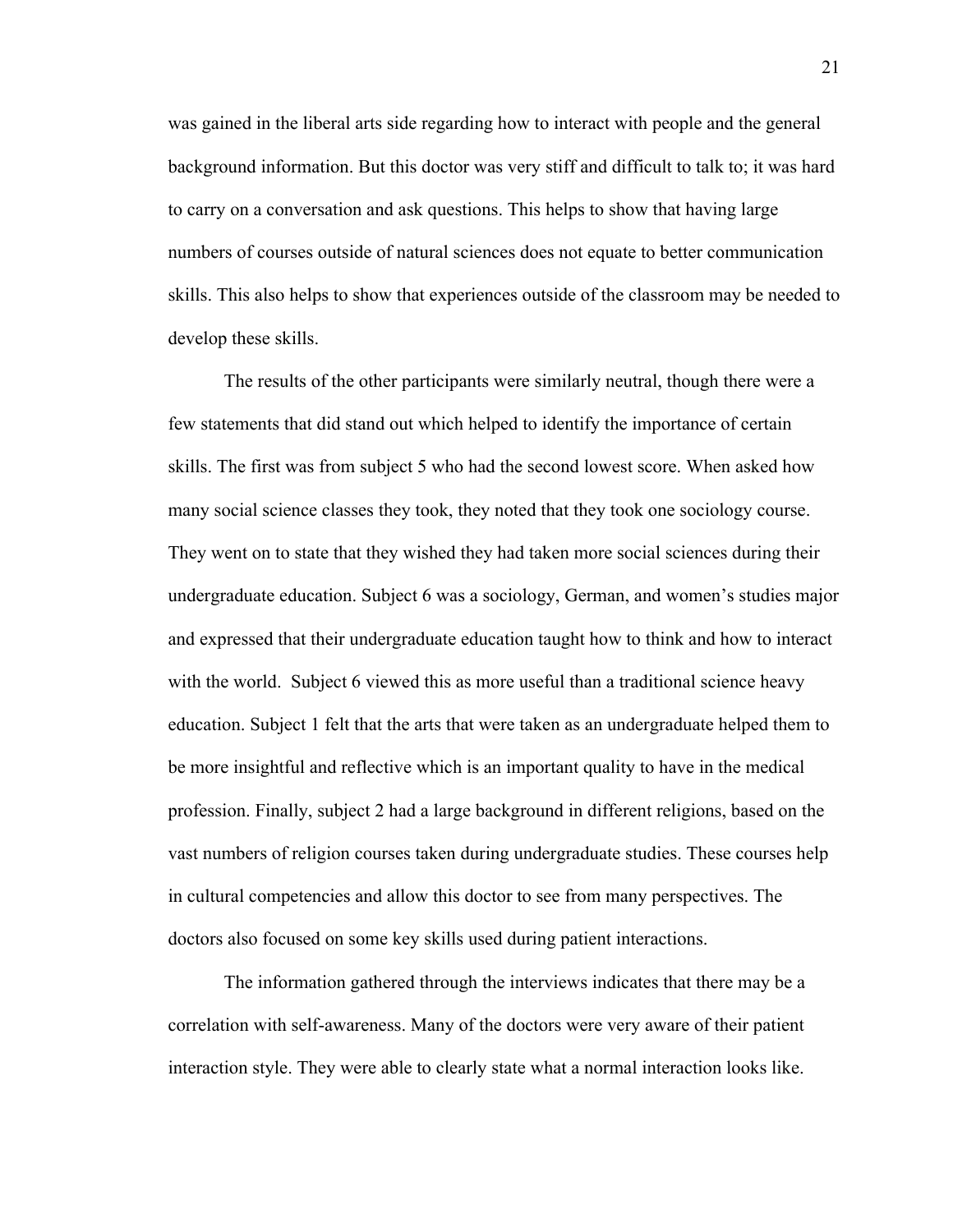was gained in the liberal arts side regarding how to interact with people and the general background information. But this doctor was very stiff and difficult to talk to; it was hard to carry on a conversation and ask questions. This helps to show that having large numbers of courses outside of natural sciences does not equate to better communication skills. This also helps to show that experiences outside of the classroom may be needed to develop these skills.

The results of the other participants were similarly neutral, though there were a few statements that did stand out which helped to identify the importance of certain skills. The first was from subject 5 who had the second lowest score. When asked how many social science classes they took, they noted that they took one sociology course. They went on to state that they wished they had taken more social sciences during their undergraduate education. Subject 6 was a sociology, German, and women's studies major and expressed that their undergraduate education taught how to think and how to interact with the world. Subject 6 viewed this as more useful than a traditional science heavy education. Subject 1 felt that the arts that were taken as an undergraduate helped them to be more insightful and reflective which is an important quality to have in the medical profession. Finally, subject 2 had a large background in different religions, based on the vast numbers of religion courses taken during undergraduate studies. These courses help in cultural competencies and allow this doctor to see from many perspectives. The doctors also focused on some key skills used during patient interactions.

The information gathered through the interviews indicates that there may be a correlation with self-awareness. Many of the doctors were very aware of their patient interaction style. They were able to clearly state what a normal interaction looks like.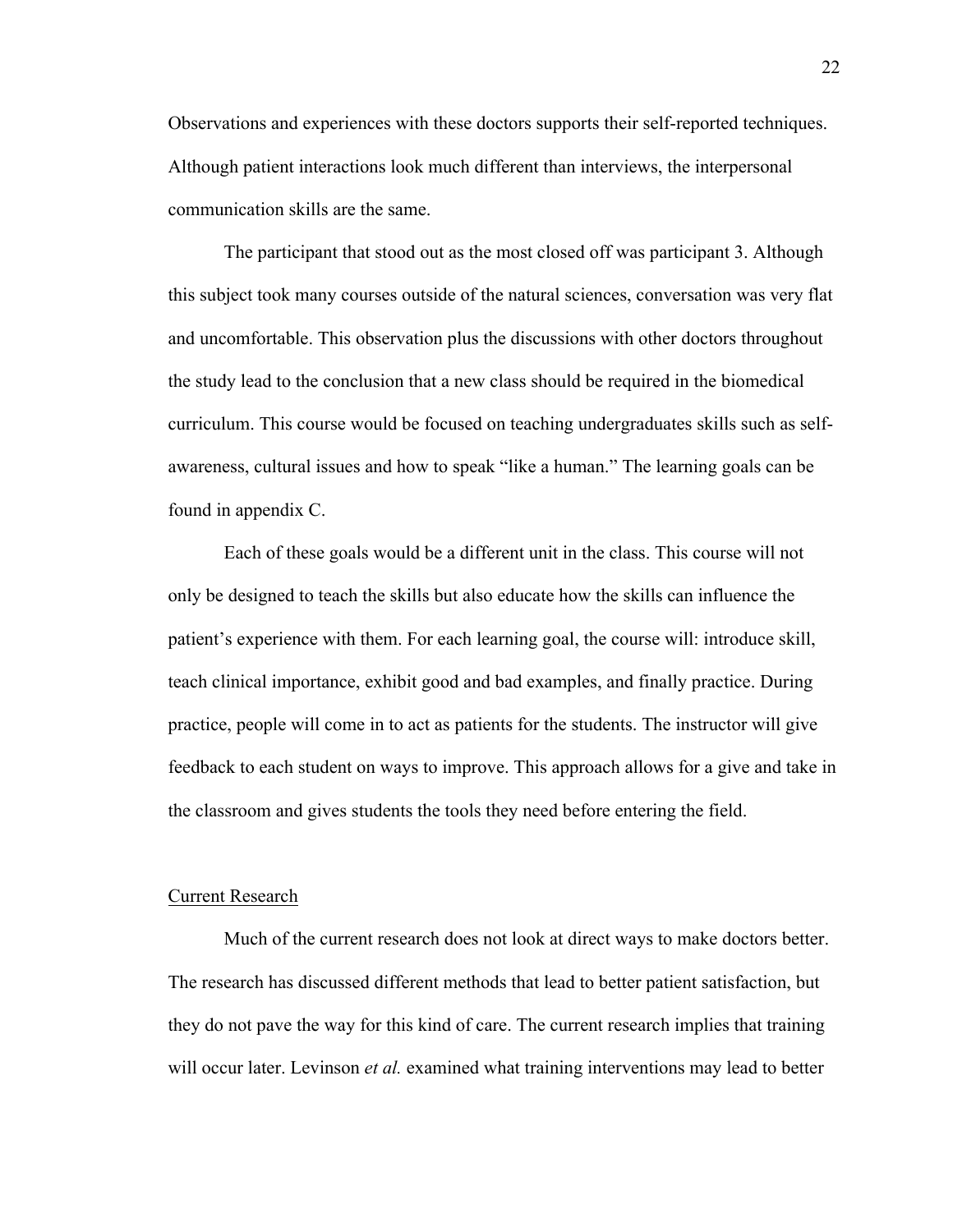Observations and experiences with these doctors supports their self-reported techniques. Although patient interactions look much different than interviews, the interpersonal communication skills are the same.

The participant that stood out as the most closed off was participant 3. Although this subject took many courses outside of the natural sciences, conversation was very flat and uncomfortable. This observation plus the discussions with other doctors throughout the study lead to the conclusion that a new class should be required in the biomedical curriculum. This course would be focused on teaching undergraduates skills such as selfawareness, cultural issues and how to speak "like a human." The learning goals can be found in appendix C.

Each of these goals would be a different unit in the class. This course will not only be designed to teach the skills but also educate how the skills can influence the patient's experience with them. For each learning goal, the course will: introduce skill, teach clinical importance, exhibit good and bad examples, and finally practice. During practice, people will come in to act as patients for the students. The instructor will give feedback to each student on ways to improve. This approach allows for a give and take in the classroom and gives students the tools they need before entering the field.

#### Current Research

Much of the current research does not look at direct ways to make doctors better. The research has discussed different methods that lead to better patient satisfaction, but they do not pave the way for this kind of care. The current research implies that training will occur later. Levinson *et al.* examined what training interventions may lead to better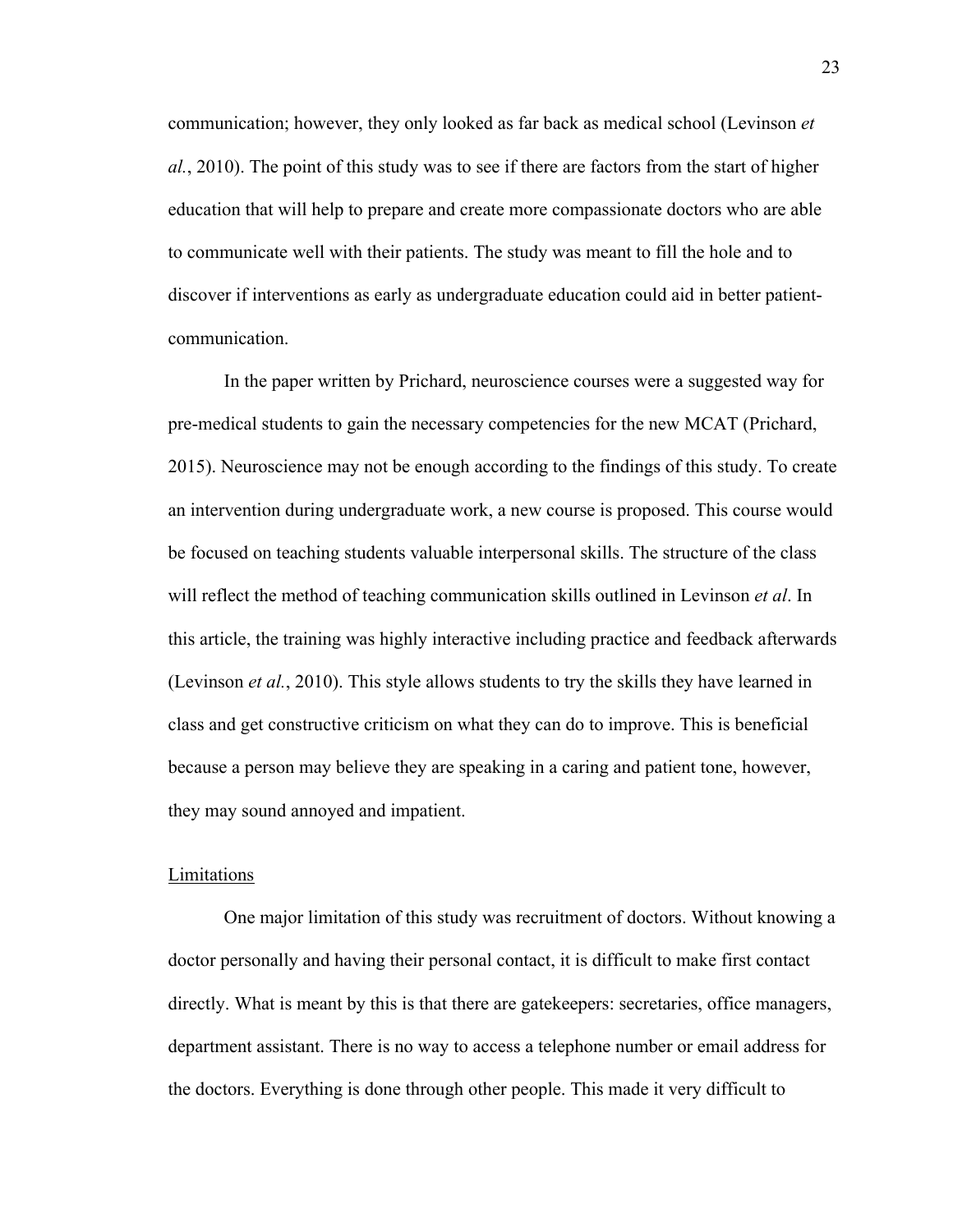communication; however, they only looked as far back as medical school (Levinson *et al.*, 2010). The point of this study was to see if there are factors from the start of higher education that will help to prepare and create more compassionate doctors who are able to communicate well with their patients. The study was meant to fill the hole and to discover if interventions as early as undergraduate education could aid in better patientcommunication.

In the paper written by Prichard, neuroscience courses were a suggested way for pre-medical students to gain the necessary competencies for the new MCAT (Prichard, 2015). Neuroscience may not be enough according to the findings of this study. To create an intervention during undergraduate work, a new course is proposed. This course would be focused on teaching students valuable interpersonal skills. The structure of the class will reflect the method of teaching communication skills outlined in Levinson *et al*. In this article, the training was highly interactive including practice and feedback afterwards (Levinson *et al.*, 2010). This style allows students to try the skills they have learned in class and get constructive criticism on what they can do to improve. This is beneficial because a person may believe they are speaking in a caring and patient tone, however, they may sound annoyed and impatient.

#### Limitations

One major limitation of this study was recruitment of doctors. Without knowing a doctor personally and having their personal contact, it is difficult to make first contact directly. What is meant by this is that there are gatekeepers: secretaries, office managers, department assistant. There is no way to access a telephone number or email address for the doctors. Everything is done through other people. This made it very difficult to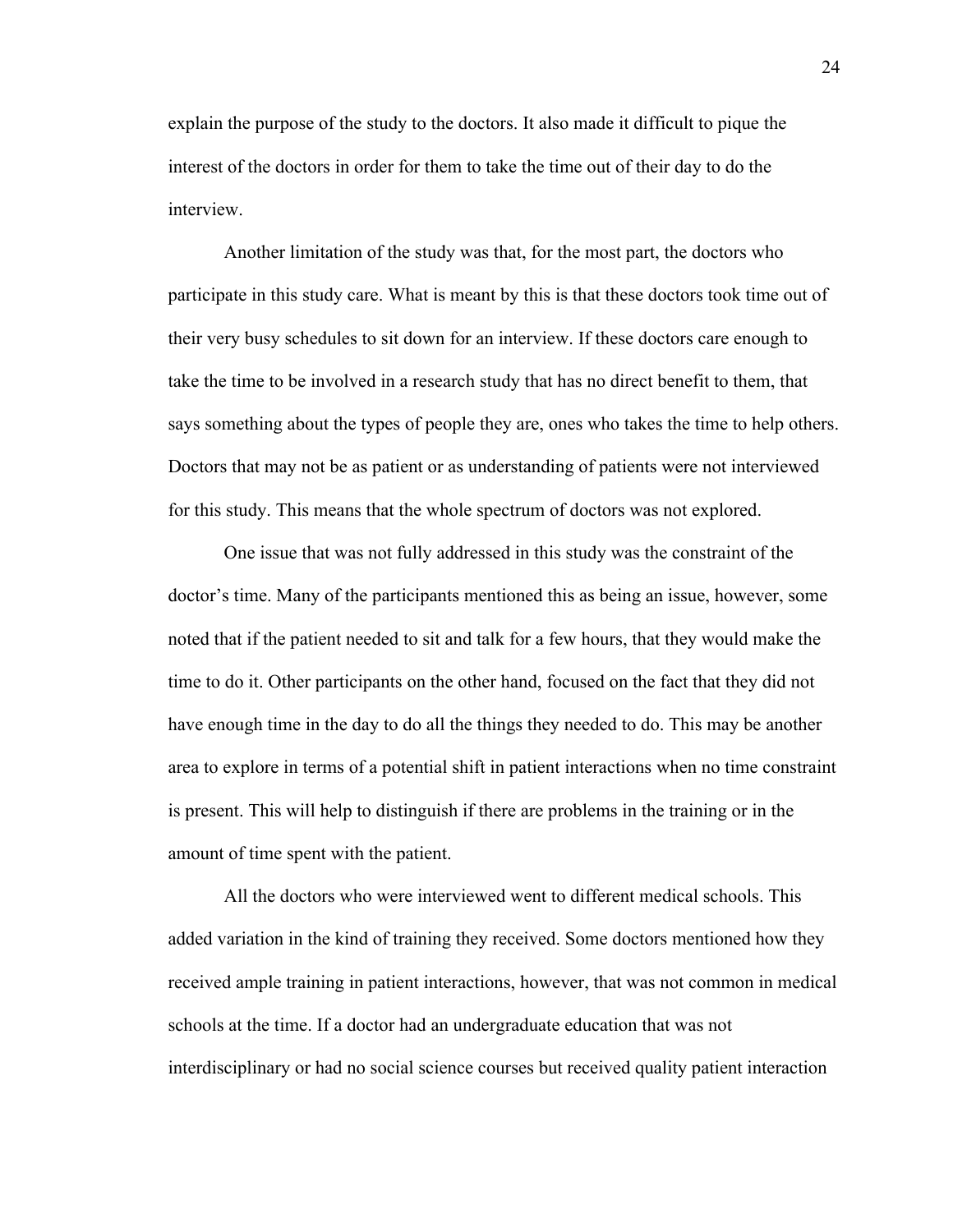explain the purpose of the study to the doctors. It also made it difficult to pique the interest of the doctors in order for them to take the time out of their day to do the interview.

Another limitation of the study was that, for the most part, the doctors who participate in this study care. What is meant by this is that these doctors took time out of their very busy schedules to sit down for an interview. If these doctors care enough to take the time to be involved in a research study that has no direct benefit to them, that says something about the types of people they are, ones who takes the time to help others. Doctors that may not be as patient or as understanding of patients were not interviewed for this study. This means that the whole spectrum of doctors was not explored.

One issue that was not fully addressed in this study was the constraint of the doctor's time. Many of the participants mentioned this as being an issue, however, some noted that if the patient needed to sit and talk for a few hours, that they would make the time to do it. Other participants on the other hand, focused on the fact that they did not have enough time in the day to do all the things they needed to do. This may be another area to explore in terms of a potential shift in patient interactions when no time constraint is present. This will help to distinguish if there are problems in the training or in the amount of time spent with the patient.

All the doctors who were interviewed went to different medical schools. This added variation in the kind of training they received. Some doctors mentioned how they received ample training in patient interactions, however, that was not common in medical schools at the time. If a doctor had an undergraduate education that was not interdisciplinary or had no social science courses but received quality patient interaction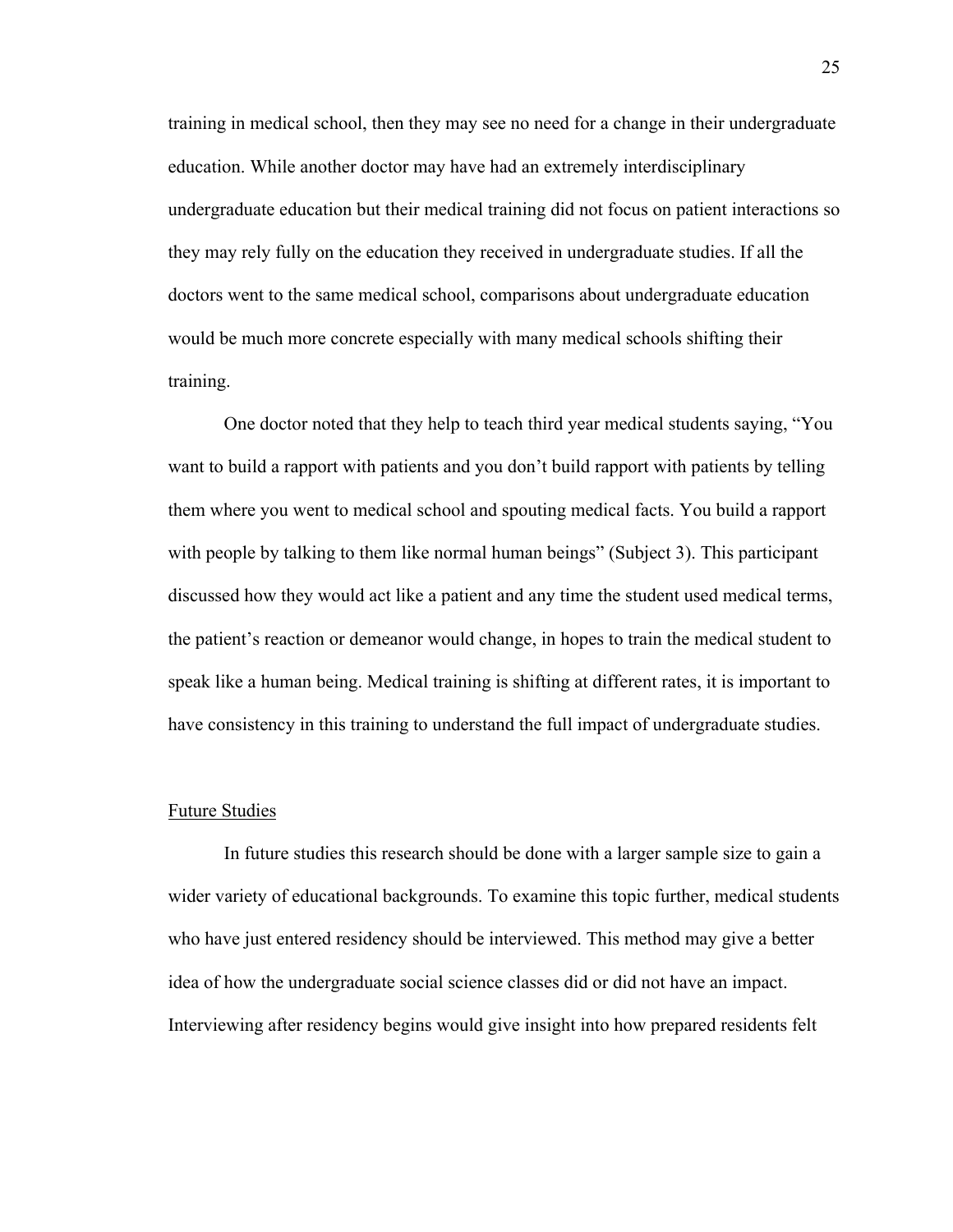training in medical school, then they may see no need for a change in their undergraduate education. While another doctor may have had an extremely interdisciplinary undergraduate education but their medical training did not focus on patient interactions so they may rely fully on the education they received in undergraduate studies. If all the doctors went to the same medical school, comparisons about undergraduate education would be much more concrete especially with many medical schools shifting their training.

One doctor noted that they help to teach third year medical students saying, "You want to build a rapport with patients and you don't build rapport with patients by telling them where you went to medical school and spouting medical facts. You build a rapport with people by talking to them like normal human beings" (Subject 3). This participant discussed how they would act like a patient and any time the student used medical terms, the patient's reaction or demeanor would change, in hopes to train the medical student to speak like a human being. Medical training is shifting at different rates, it is important to have consistency in this training to understand the full impact of undergraduate studies.

#### Future Studies

In future studies this research should be done with a larger sample size to gain a wider variety of educational backgrounds. To examine this topic further, medical students who have just entered residency should be interviewed. This method may give a better idea of how the undergraduate social science classes did or did not have an impact. Interviewing after residency begins would give insight into how prepared residents felt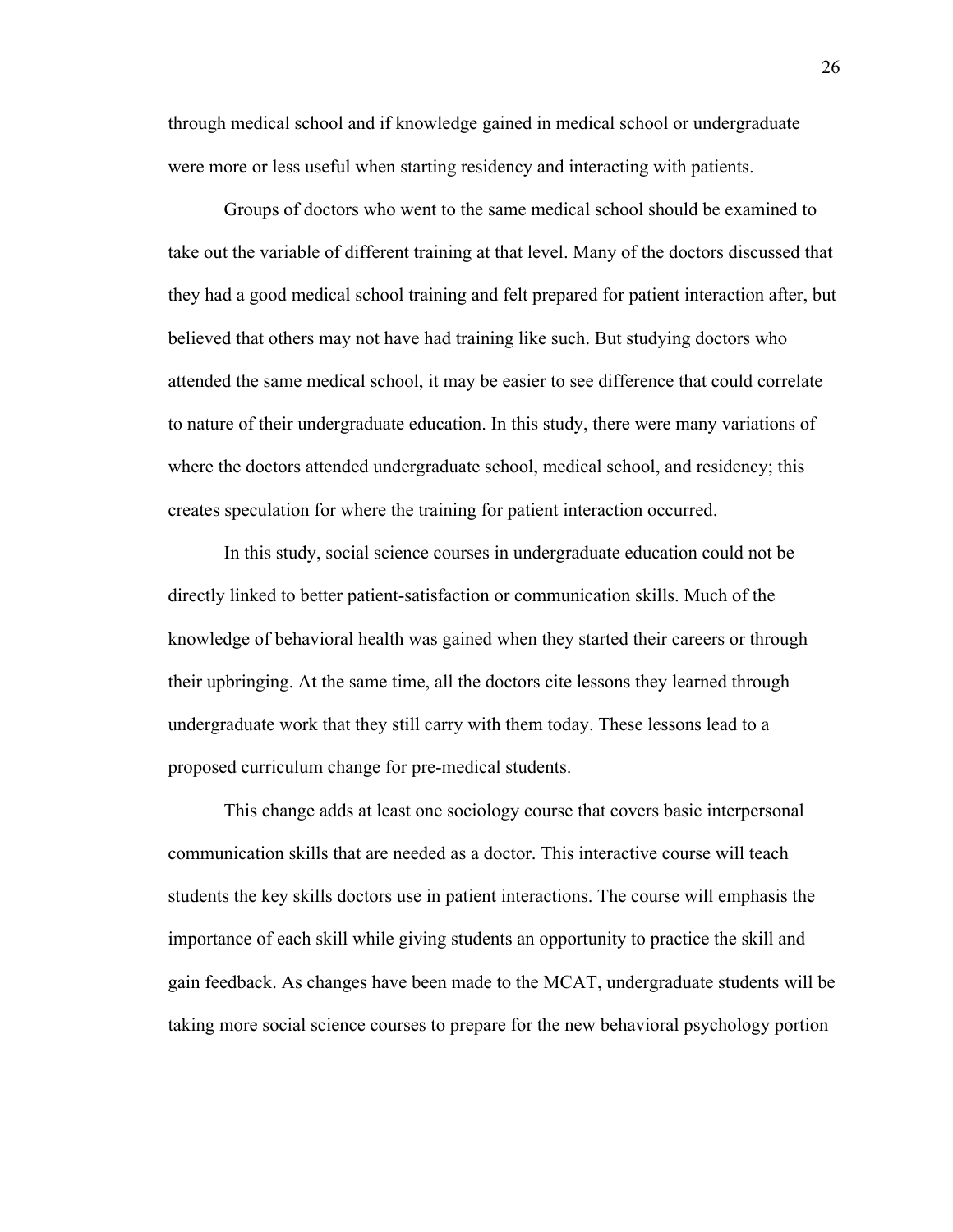through medical school and if knowledge gained in medical school or undergraduate were more or less useful when starting residency and interacting with patients.

Groups of doctors who went to the same medical school should be examined to take out the variable of different training at that level. Many of the doctors discussed that they had a good medical school training and felt prepared for patient interaction after, but believed that others may not have had training like such. But studying doctors who attended the same medical school, it may be easier to see difference that could correlate to nature of their undergraduate education. In this study, there were many variations of where the doctors attended undergraduate school, medical school, and residency; this creates speculation for where the training for patient interaction occurred.

In this study, social science courses in undergraduate education could not be directly linked to better patient-satisfaction or communication skills. Much of the knowledge of behavioral health was gained when they started their careers or through their upbringing. At the same time, all the doctors cite lessons they learned through undergraduate work that they still carry with them today. These lessons lead to a proposed curriculum change for pre-medical students.

This change adds at least one sociology course that covers basic interpersonal communication skills that are needed as a doctor. This interactive course will teach students the key skills doctors use in patient interactions. The course will emphasis the importance of each skill while giving students an opportunity to practice the skill and gain feedback. As changes have been made to the MCAT, undergraduate students will be taking more social science courses to prepare for the new behavioral psychology portion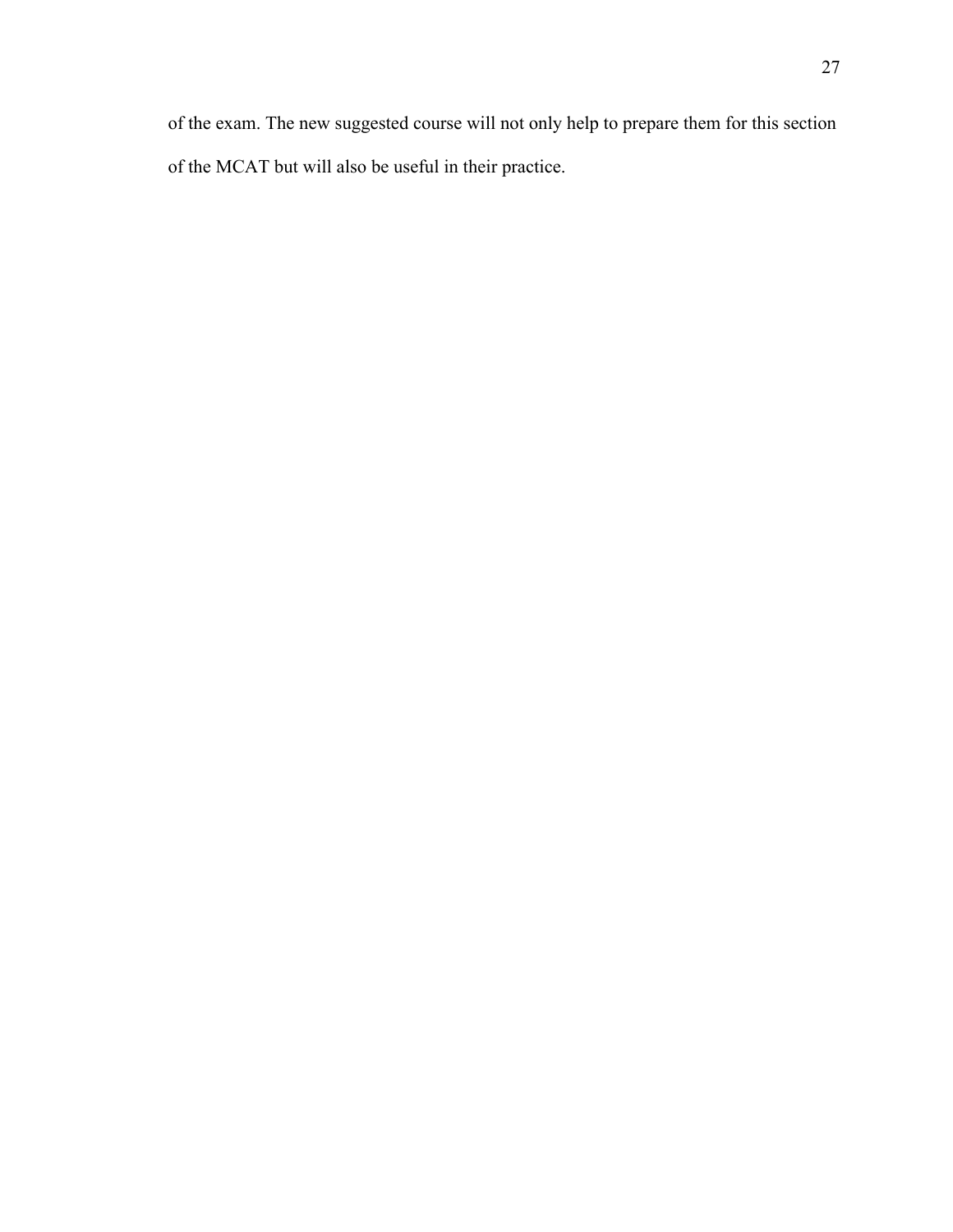of the exam. The new suggested course will not only help to prepare them for this section of the MCAT but will also be useful in their practice.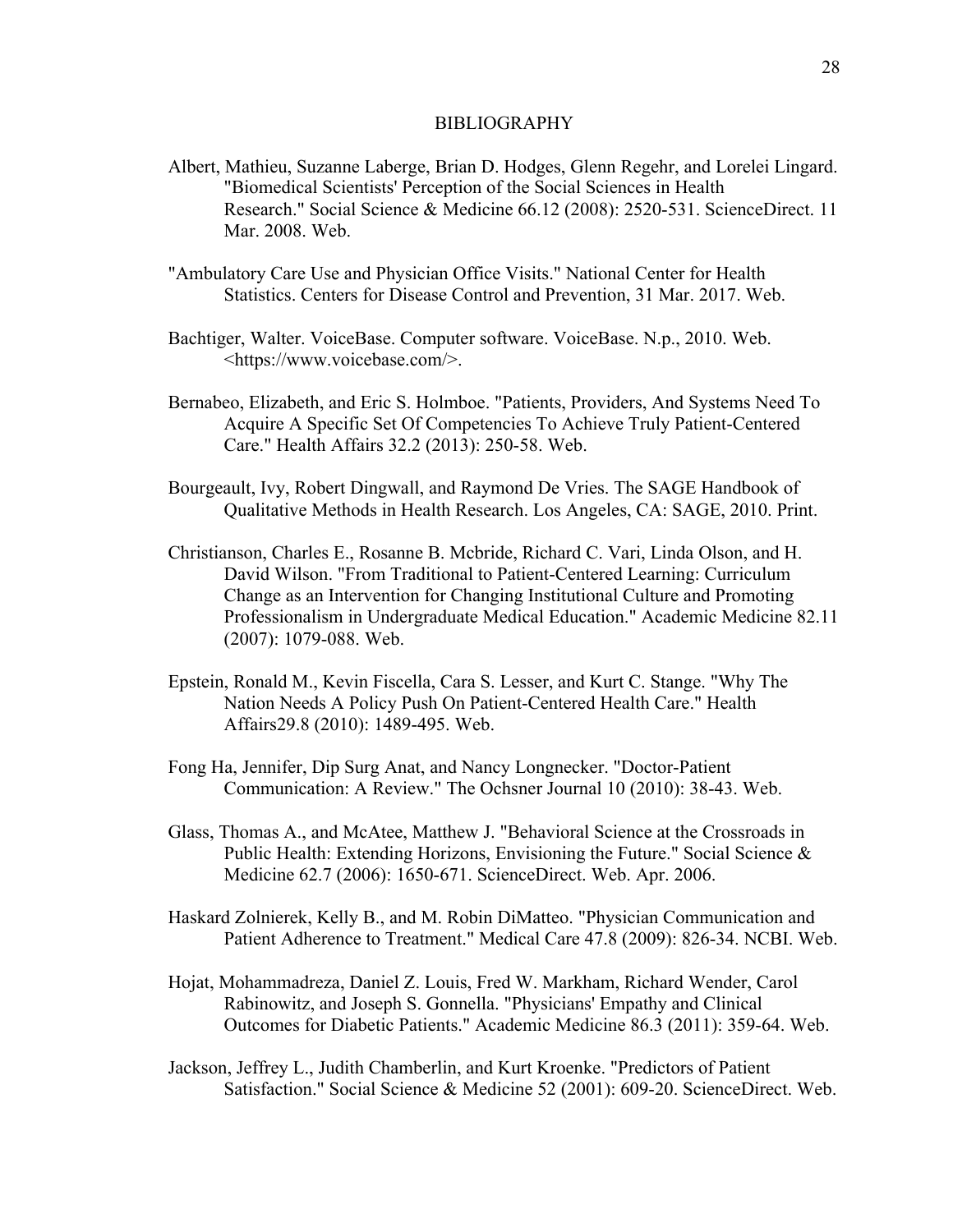#### BIBLIOGRAPHY

- Albert, Mathieu, Suzanne Laberge, Brian D. Hodges, Glenn Regehr, and Lorelei Lingard. "Biomedical Scientists' Perception of the Social Sciences in Health Research." Social Science & Medicine 66.12 (2008): 2520-531. ScienceDirect. 11 Mar. 2008. Web.
- "Ambulatory Care Use and Physician Office Visits." National Center for Health Statistics. Centers for Disease Control and Prevention, 31 Mar. 2017. Web.
- Bachtiger, Walter. VoiceBase. Computer software. VoiceBase. N.p., 2010. Web. <https://www.voicebase.com/>.
- Bernabeo, Elizabeth, and Eric S. Holmboe. "Patients, Providers, And Systems Need To Acquire A Specific Set Of Competencies To Achieve Truly Patient-Centered Care." Health Affairs 32.2 (2013): 250-58. Web.
- Bourgeault, Ivy, Robert Dingwall, and Raymond De Vries. The SAGE Handbook of Qualitative Methods in Health Research. Los Angeles, CA: SAGE, 2010. Print.
- Christianson, Charles E., Rosanne B. Mcbride, Richard C. Vari, Linda Olson, and H. David Wilson. "From Traditional to Patient-Centered Learning: Curriculum Change as an Intervention for Changing Institutional Culture and Promoting Professionalism in Undergraduate Medical Education." Academic Medicine 82.11 (2007): 1079-088. Web.
- Epstein, Ronald M., Kevin Fiscella, Cara S. Lesser, and Kurt C. Stange. "Why The Nation Needs A Policy Push On Patient-Centered Health Care." Health Affairs29.8 (2010): 1489-495. Web.
- Fong Ha, Jennifer, Dip Surg Anat, and Nancy Longnecker. "Doctor-Patient Communication: A Review." The Ochsner Journal 10 (2010): 38-43. Web.
- Glass, Thomas A., and McAtee, Matthew J. "Behavioral Science at the Crossroads in Public Health: Extending Horizons, Envisioning the Future." Social Science & Medicine 62.7 (2006): 1650-671. ScienceDirect. Web. Apr. 2006.
- Haskard Zolnierek, Kelly B., and M. Robin DiMatteo. "Physician Communication and Patient Adherence to Treatment." Medical Care 47.8 (2009): 826-34. NCBI. Web.
- Hojat, Mohammadreza, Daniel Z. Louis, Fred W. Markham, Richard Wender, Carol Rabinowitz, and Joseph S. Gonnella. "Physicians' Empathy and Clinical Outcomes for Diabetic Patients." Academic Medicine 86.3 (2011): 359-64. Web.
- Jackson, Jeffrey L., Judith Chamberlin, and Kurt Kroenke. "Predictors of Patient Satisfaction." Social Science & Medicine 52 (2001): 609-20. ScienceDirect. Web.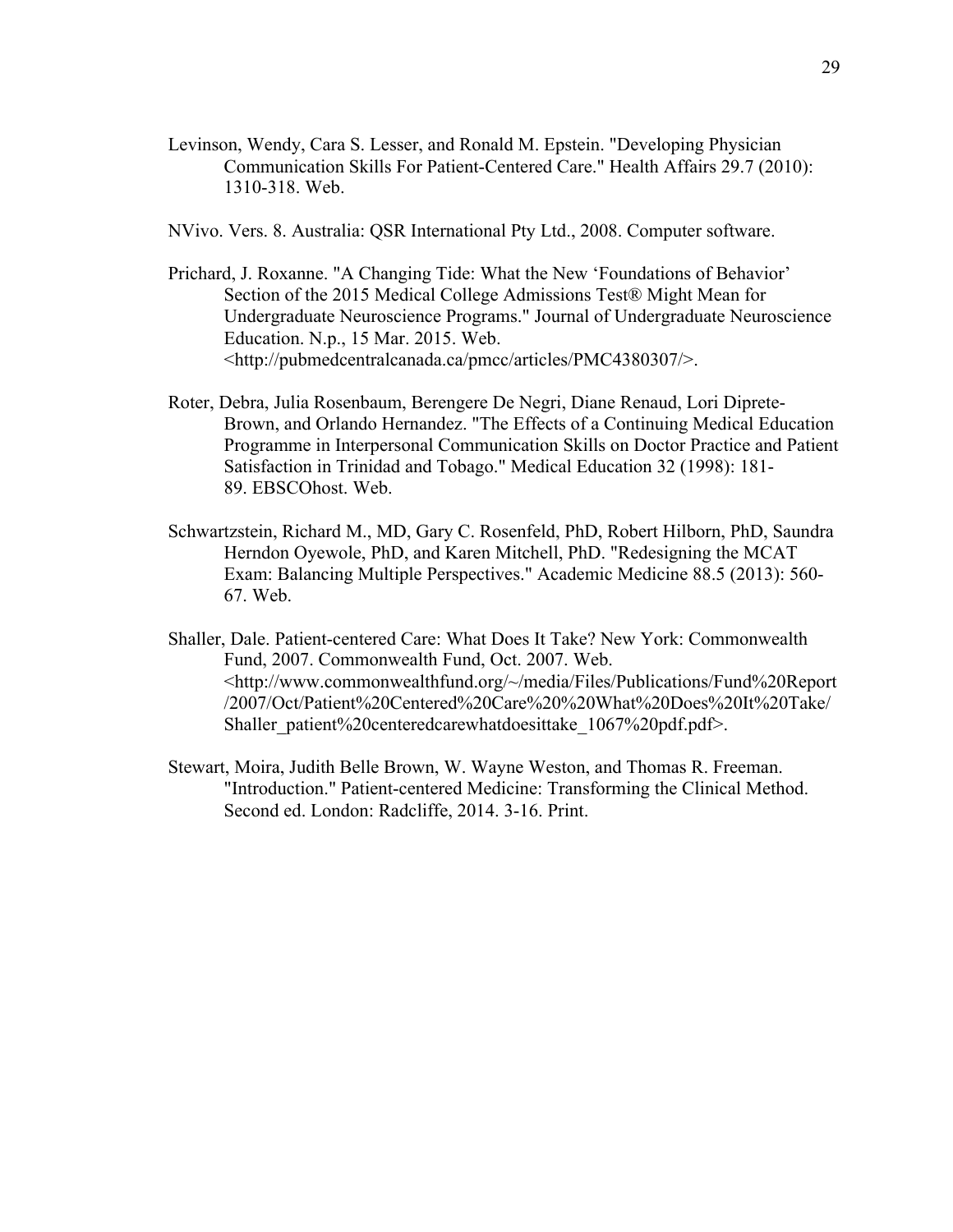- Levinson, Wendy, Cara S. Lesser, and Ronald M. Epstein. "Developing Physician Communication Skills For Patient-Centered Care." Health Affairs 29.7 (2010): 1310-318. Web.
- NVivo. Vers. 8. Australia: QSR International Pty Ltd., 2008. Computer software.
- Prichard, J. Roxanne. "A Changing Tide: What the New 'Foundations of Behavior' Section of the 2015 Medical College Admissions Test® Might Mean for Undergraduate Neuroscience Programs." Journal of Undergraduate Neuroscience Education. N.p., 15 Mar. 2015. Web. <http://pubmedcentralcanada.ca/pmcc/articles/PMC4380307/>.
- Roter, Debra, Julia Rosenbaum, Berengere De Negri, Diane Renaud, Lori Diprete-Brown, and Orlando Hernandez. "The Effects of a Continuing Medical Education Programme in Interpersonal Communication Skills on Doctor Practice and Patient Satisfaction in Trinidad and Tobago." Medical Education 32 (1998): 181- 89. EBSCOhost. Web.
- Schwartzstein, Richard M., MD, Gary C. Rosenfeld, PhD, Robert Hilborn, PhD, Saundra Herndon Oyewole, PhD, and Karen Mitchell, PhD. "Redesigning the MCAT Exam: Balancing Multiple Perspectives." Academic Medicine 88.5 (2013): 560- 67. Web.
- Shaller, Dale. Patient-centered Care: What Does It Take? New York: Commonwealth Fund, 2007. Commonwealth Fund, Oct. 2007. Web. <http://www.commonwealthfund.org/~/media/Files/Publications/Fund%20Report /2007/Oct/Patient%20Centered%20Care%20%20What%20Does%20It%20Take/ Shaller\_patient%20centeredcarewhatdoesittake\_1067%20pdf.pdf>.
- Stewart, Moira, Judith Belle Brown, W. Wayne Weston, and Thomas R. Freeman. "Introduction." Patient-centered Medicine: Transforming the Clinical Method. Second ed. London: Radcliffe, 2014. 3-16. Print.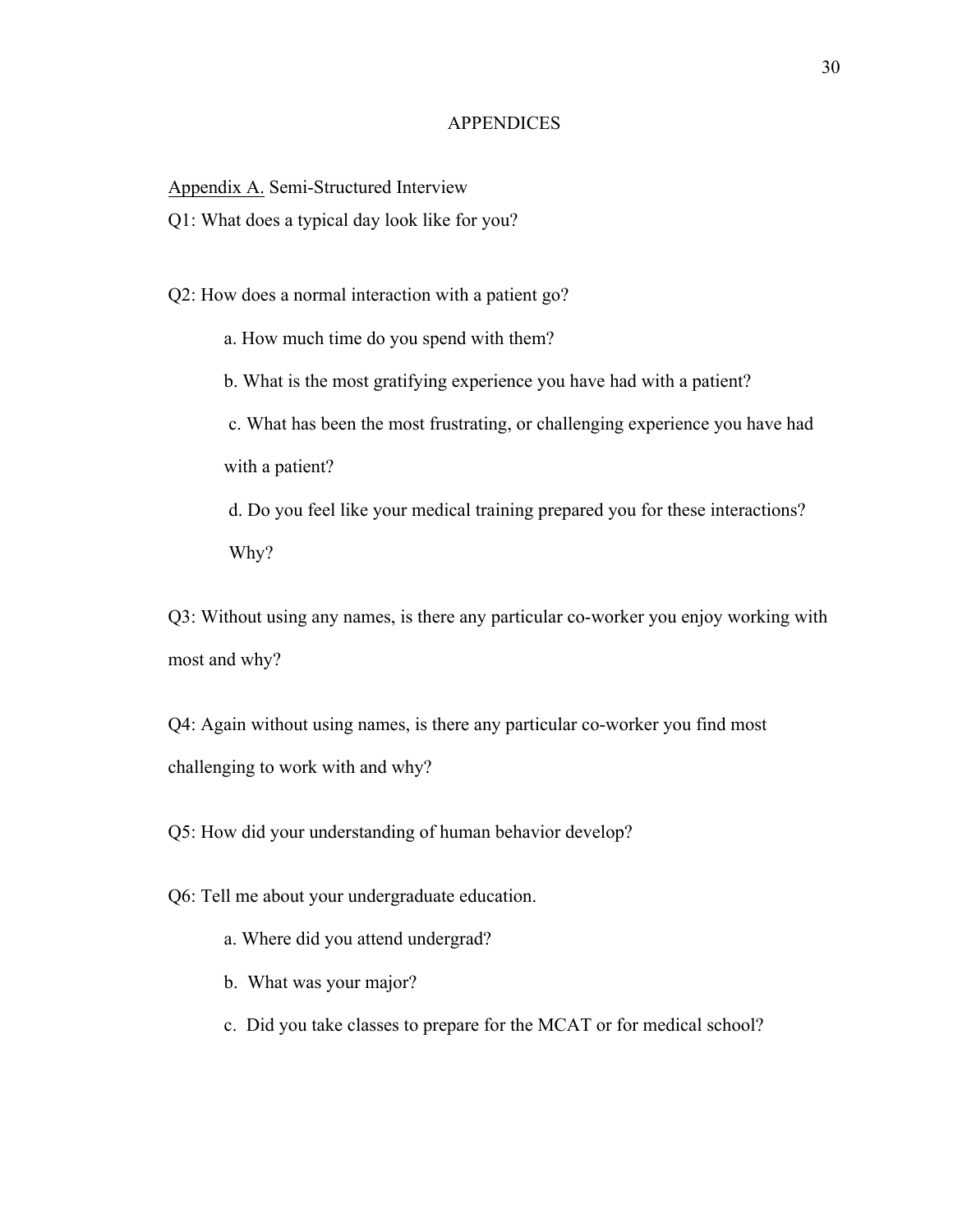#### **APPENDICES**

Appendix A. Semi-Structured Interview

Q1: What does a typical day look like for you?

Q2: How does a normal interaction with a patient go?

a. How much time do you spend with them?

b. What is the most gratifying experience you have had with a patient?

c. What has been the most frustrating, or challenging experience you have had with a patient?

d. Do you feel like your medical training prepared you for these interactions? Why?

Q3: Without using any names, is there any particular co-worker you enjoy working with most and why?

Q4: Again without using names, is there any particular co-worker you find most challenging to work with and why?

Q5: How did your understanding of human behavior develop?

Q6: Tell me about your undergraduate education.

- a. Where did you attend undergrad?
- b. What was your major?
- c. Did you take classes to prepare for the MCAT or for medical school?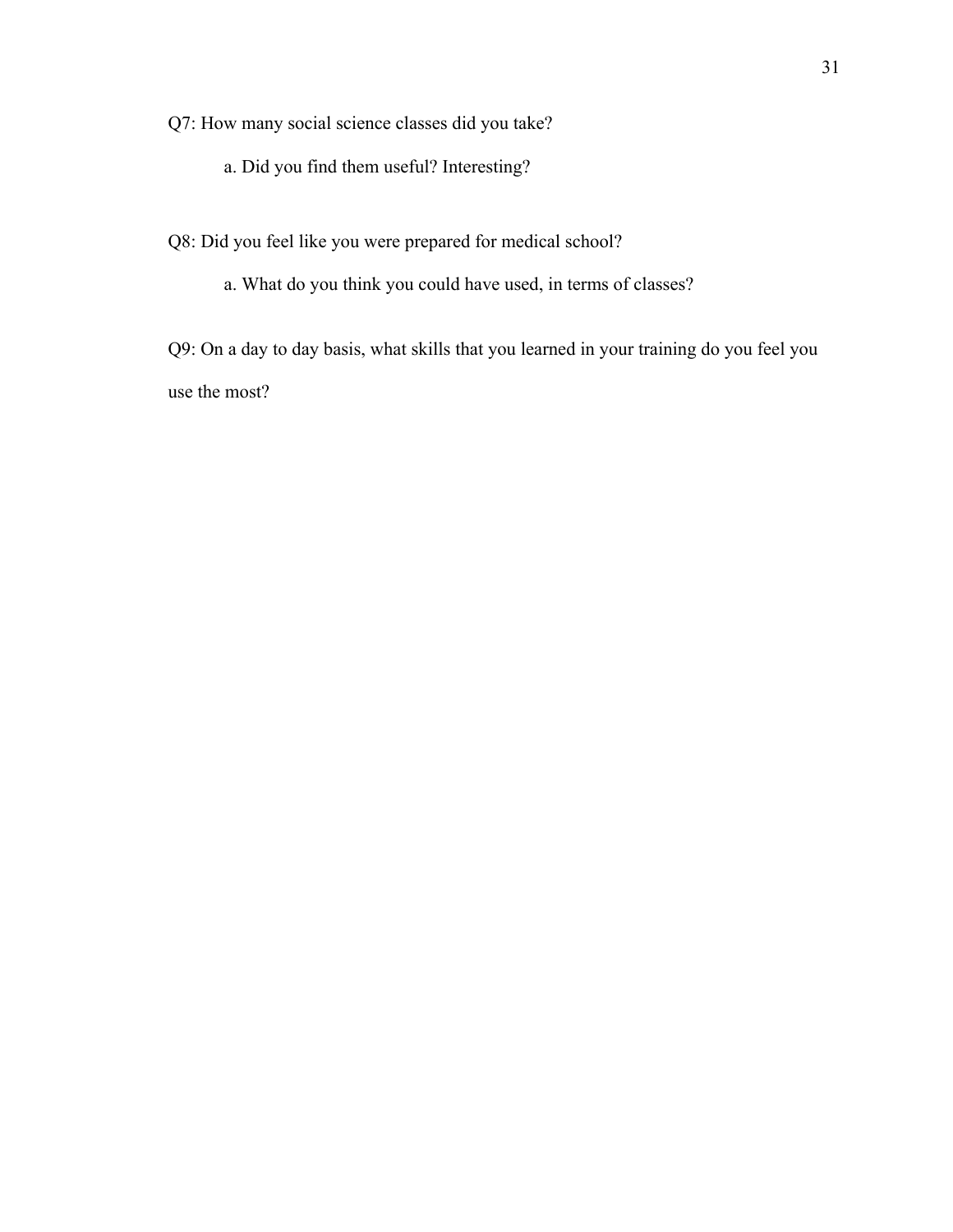Q7: How many social science classes did you take?

- a. Did you find them useful? Interesting?
- Q8: Did you feel like you were prepared for medical school?
	- a. What do you think you could have used, in terms of classes?

Q9: On a day to day basis, what skills that you learned in your training do you feel you use the most?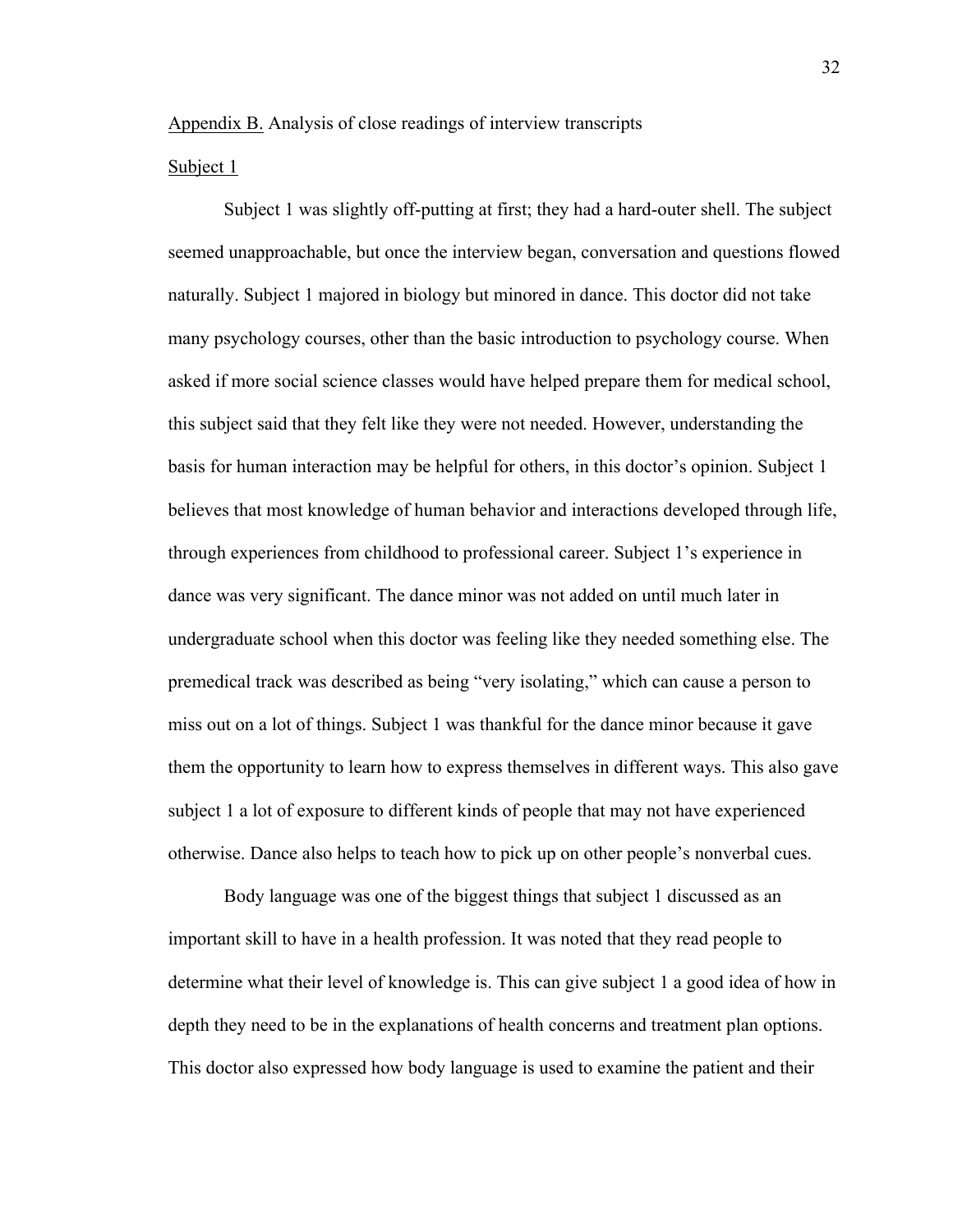## Appendix B. Analysis of close readings of interview transcripts

#### Subject 1

Subject 1 was slightly off-putting at first; they had a hard-outer shell. The subject seemed unapproachable, but once the interview began, conversation and questions flowed naturally. Subject 1 majored in biology but minored in dance. This doctor did not take many psychology courses, other than the basic introduction to psychology course. When asked if more social science classes would have helped prepare them for medical school, this subject said that they felt like they were not needed. However, understanding the basis for human interaction may be helpful for others, in this doctor's opinion. Subject 1 believes that most knowledge of human behavior and interactions developed through life, through experiences from childhood to professional career. Subject 1's experience in dance was very significant. The dance minor was not added on until much later in undergraduate school when this doctor was feeling like they needed something else. The premedical track was described as being "very isolating," which can cause a person to miss out on a lot of things. Subject 1 was thankful for the dance minor because it gave them the opportunity to learn how to express themselves in different ways. This also gave subject 1 a lot of exposure to different kinds of people that may not have experienced otherwise. Dance also helps to teach how to pick up on other people's nonverbal cues.

Body language was one of the biggest things that subject 1 discussed as an important skill to have in a health profession. It was noted that they read people to determine what their level of knowledge is. This can give subject 1 a good idea of how in depth they need to be in the explanations of health concerns and treatment plan options. This doctor also expressed how body language is used to examine the patient and their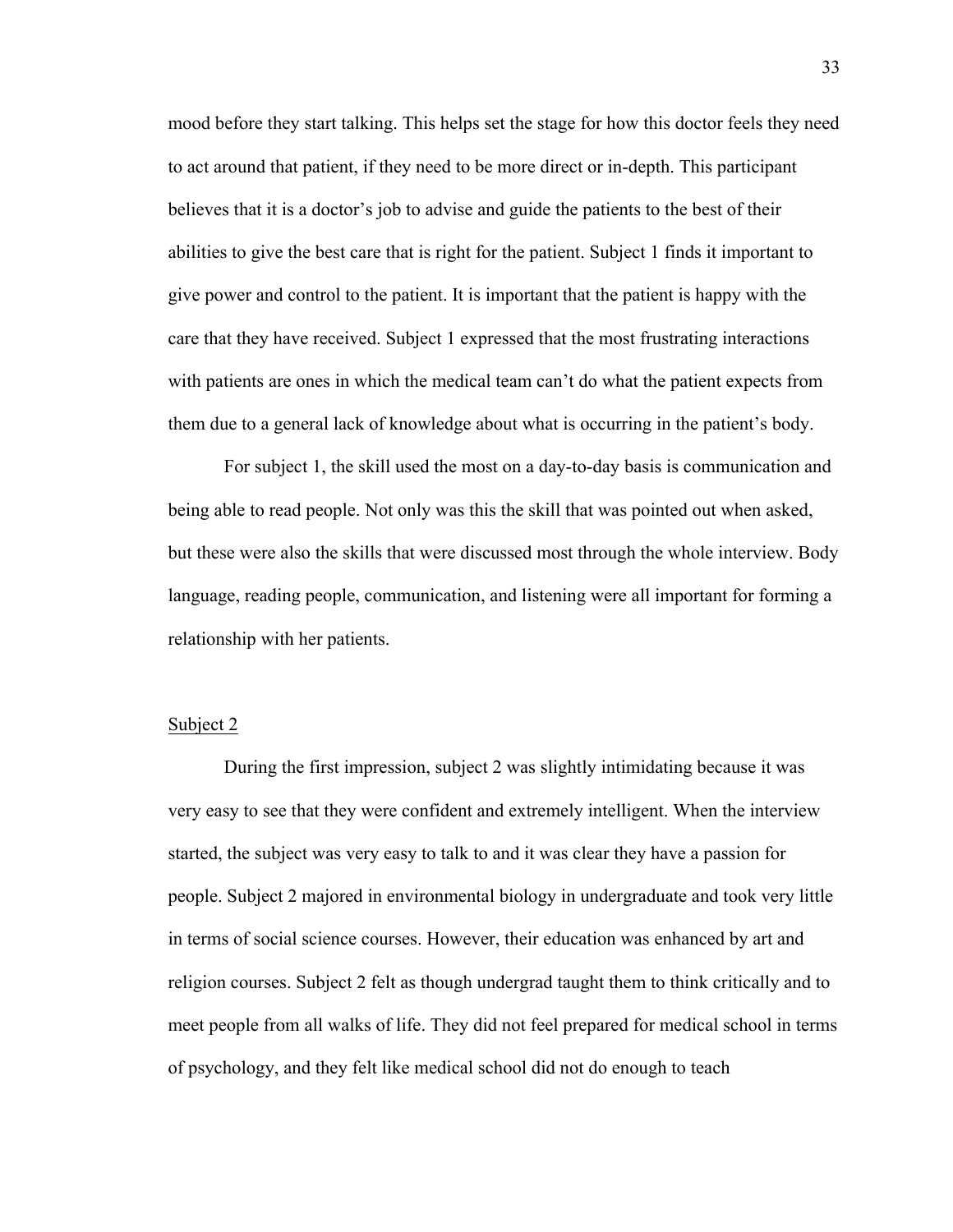mood before they start talking. This helps set the stage for how this doctor feels they need to act around that patient, if they need to be more direct or in-depth. This participant believes that it is a doctor's job to advise and guide the patients to the best of their abilities to give the best care that is right for the patient. Subject 1 finds it important to give power and control to the patient. It is important that the patient is happy with the care that they have received. Subject 1 expressed that the most frustrating interactions with patients are ones in which the medical team can't do what the patient expects from them due to a general lack of knowledge about what is occurring in the patient's body.

For subject 1, the skill used the most on a day-to-day basis is communication and being able to read people. Not only was this the skill that was pointed out when asked, but these were also the skills that were discussed most through the whole interview. Body language, reading people, communication, and listening were all important for forming a relationship with her patients.

#### Subject 2

During the first impression, subject 2 was slightly intimidating because it was very easy to see that they were confident and extremely intelligent. When the interview started, the subject was very easy to talk to and it was clear they have a passion for people. Subject 2 majored in environmental biology in undergraduate and took very little in terms of social science courses. However, their education was enhanced by art and religion courses. Subject 2 felt as though undergrad taught them to think critically and to meet people from all walks of life. They did not feel prepared for medical school in terms of psychology, and they felt like medical school did not do enough to teach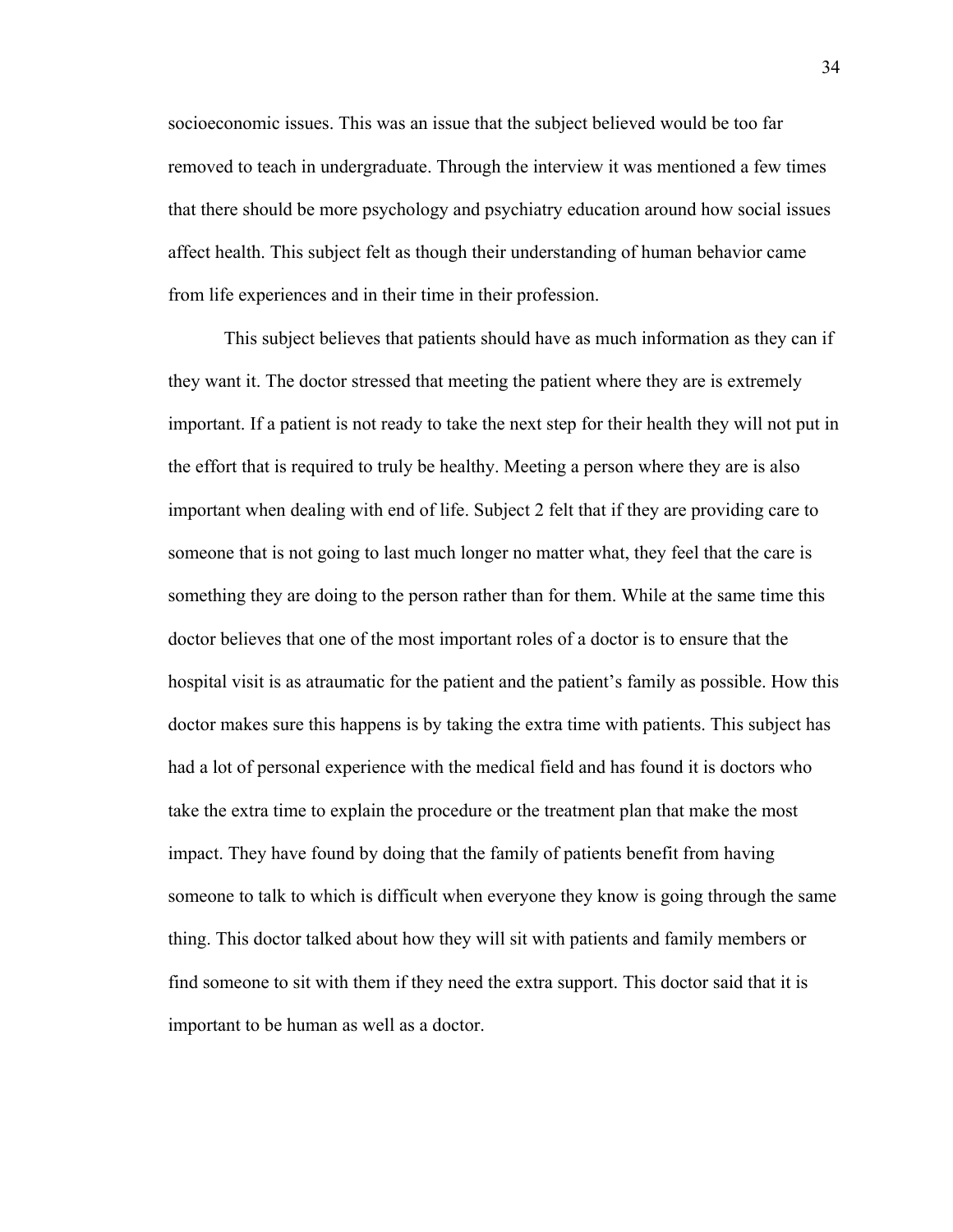socioeconomic issues. This was an issue that the subject believed would be too far removed to teach in undergraduate. Through the interview it was mentioned a few times that there should be more psychology and psychiatry education around how social issues affect health. This subject felt as though their understanding of human behavior came from life experiences and in their time in their profession.

This subject believes that patients should have as much information as they can if they want it. The doctor stressed that meeting the patient where they are is extremely important. If a patient is not ready to take the next step for their health they will not put in the effort that is required to truly be healthy. Meeting a person where they are is also important when dealing with end of life. Subject 2 felt that if they are providing care to someone that is not going to last much longer no matter what, they feel that the care is something they are doing to the person rather than for them. While at the same time this doctor believes that one of the most important roles of a doctor is to ensure that the hospital visit is as atraumatic for the patient and the patient's family as possible. How this doctor makes sure this happens is by taking the extra time with patients. This subject has had a lot of personal experience with the medical field and has found it is doctors who take the extra time to explain the procedure or the treatment plan that make the most impact. They have found by doing that the family of patients benefit from having someone to talk to which is difficult when everyone they know is going through the same thing. This doctor talked about how they will sit with patients and family members or find someone to sit with them if they need the extra support. This doctor said that it is important to be human as well as a doctor.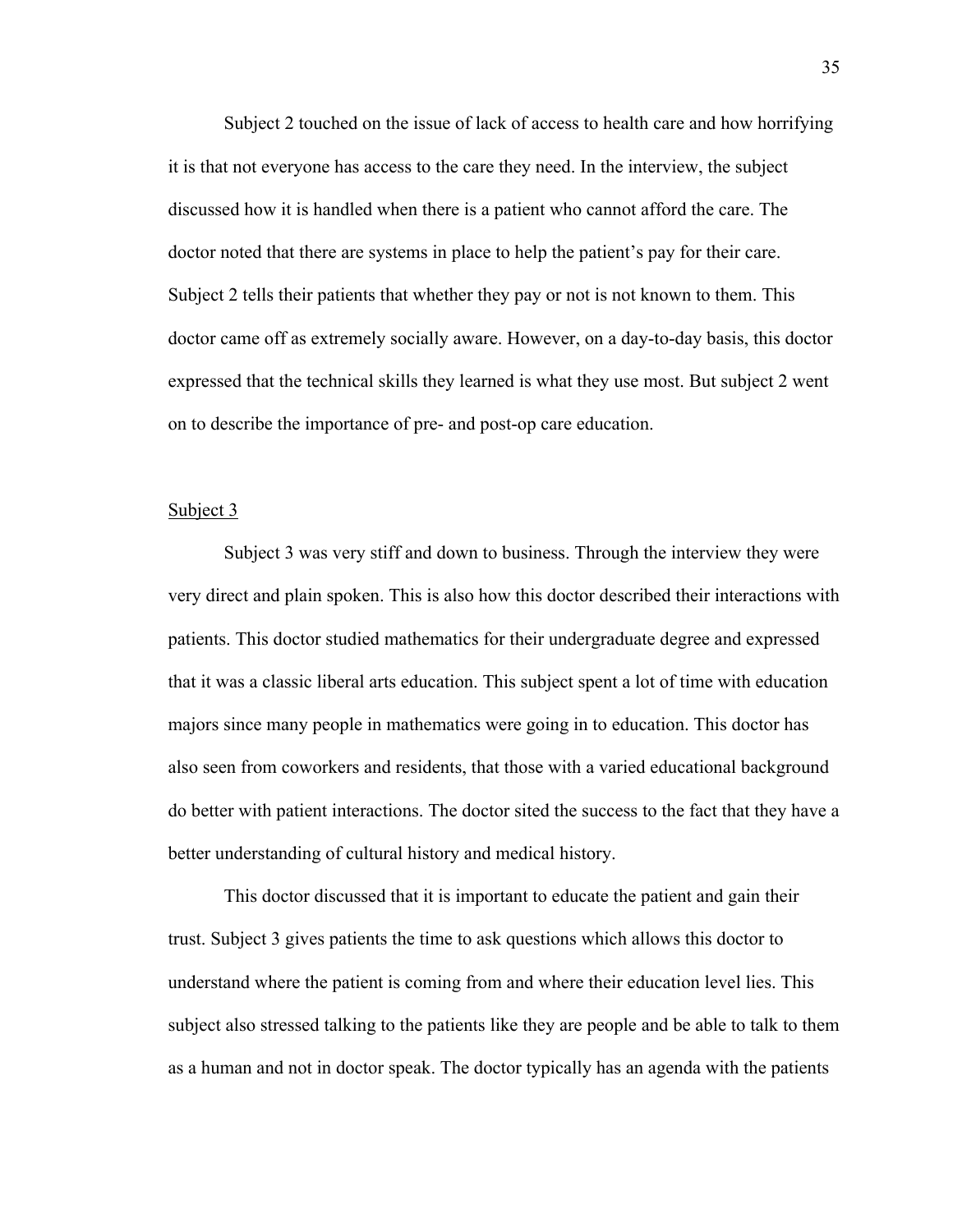Subject 2 touched on the issue of lack of access to health care and how horrifying it is that not everyone has access to the care they need. In the interview, the subject discussed how it is handled when there is a patient who cannot afford the care. The doctor noted that there are systems in place to help the patient's pay for their care. Subject 2 tells their patients that whether they pay or not is not known to them. This doctor came off as extremely socially aware. However, on a day-to-day basis, this doctor expressed that the technical skills they learned is what they use most. But subject 2 went on to describe the importance of pre- and post-op care education.

#### Subject 3

Subject 3 was very stiff and down to business. Through the interview they were very direct and plain spoken. This is also how this doctor described their interactions with patients. This doctor studied mathematics for their undergraduate degree and expressed that it was a classic liberal arts education. This subject spent a lot of time with education majors since many people in mathematics were going in to education. This doctor has also seen from coworkers and residents, that those with a varied educational background do better with patient interactions. The doctor sited the success to the fact that they have a better understanding of cultural history and medical history.

This doctor discussed that it is important to educate the patient and gain their trust. Subject 3 gives patients the time to ask questions which allows this doctor to understand where the patient is coming from and where their education level lies. This subject also stressed talking to the patients like they are people and be able to talk to them as a human and not in doctor speak. The doctor typically has an agenda with the patients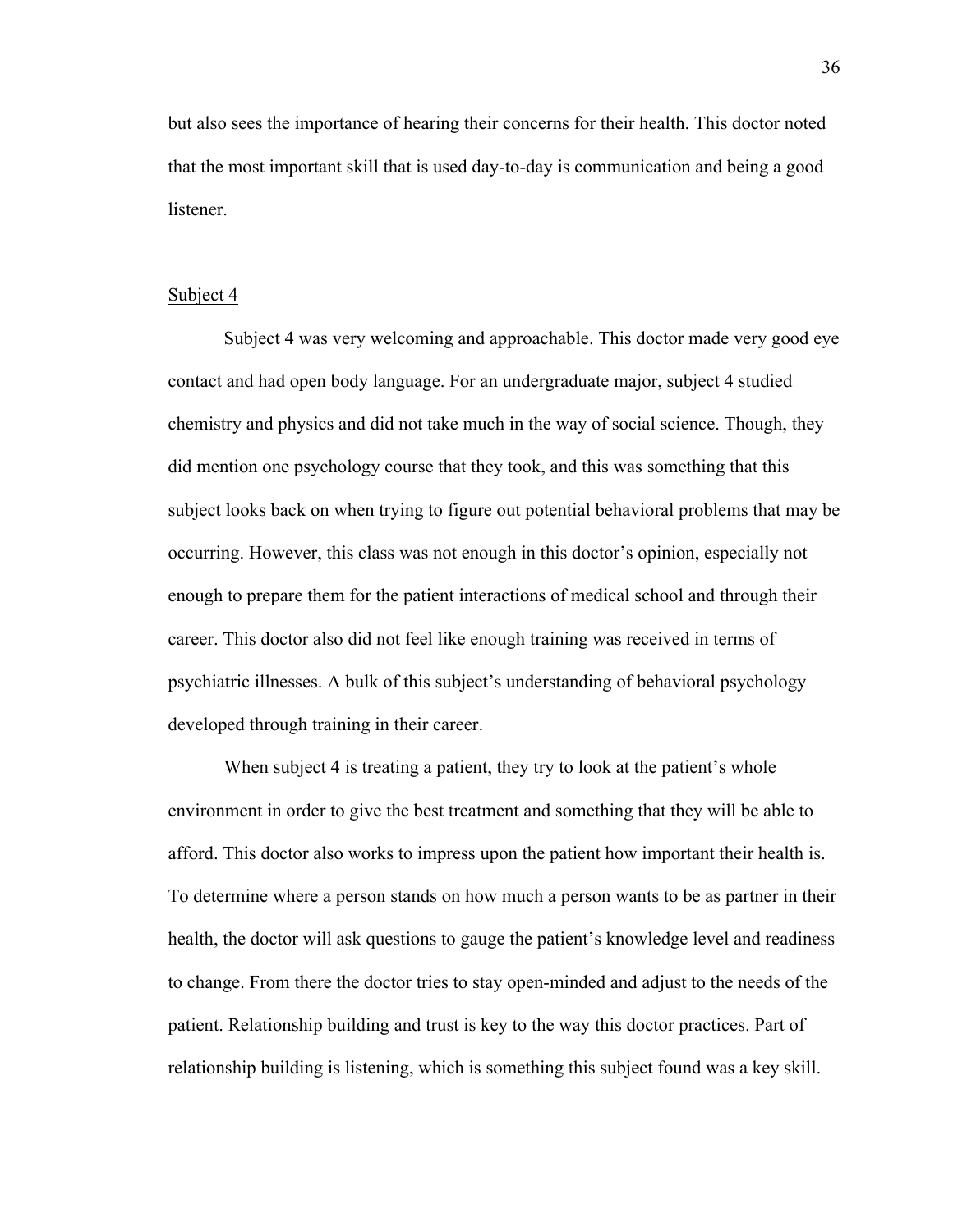but also sees the importance of hearing their concerns for their health. This doctor noted that the most important skill that is used day-to-day is communication and being a good listener.

#### Subject 4

Subject 4 was very welcoming and approachable. This doctor made very good eye contact and had open body language. For an undergraduate major, subject 4 studied chemistry and physics and did not take much in the way of social science. Though, they did mention one psychology course that they took, and this was something that this subject looks back on when trying to figure out potential behavioral problems that may be occurring. However, this class was not enough in this doctor's opinion, especially not enough to prepare them for the patient interactions of medical school and through their career. This doctor also did not feel like enough training was received in terms of psychiatric illnesses. A bulk of this subject's understanding of behavioral psychology developed through training in their career.

When subject 4 is treating a patient, they try to look at the patient's whole environment in order to give the best treatment and something that they will be able to afford. This doctor also works to impress upon the patient how important their health is. To determine where a person stands on how much a person wants to be as partner in their health, the doctor will ask questions to gauge the patient's knowledge level and readiness to change. From there the doctor tries to stay open-minded and adjust to the needs of the patient. Relationship building and trust is key to the way this doctor practices. Part of relationship building is listening, which is something this subject found was a key skill.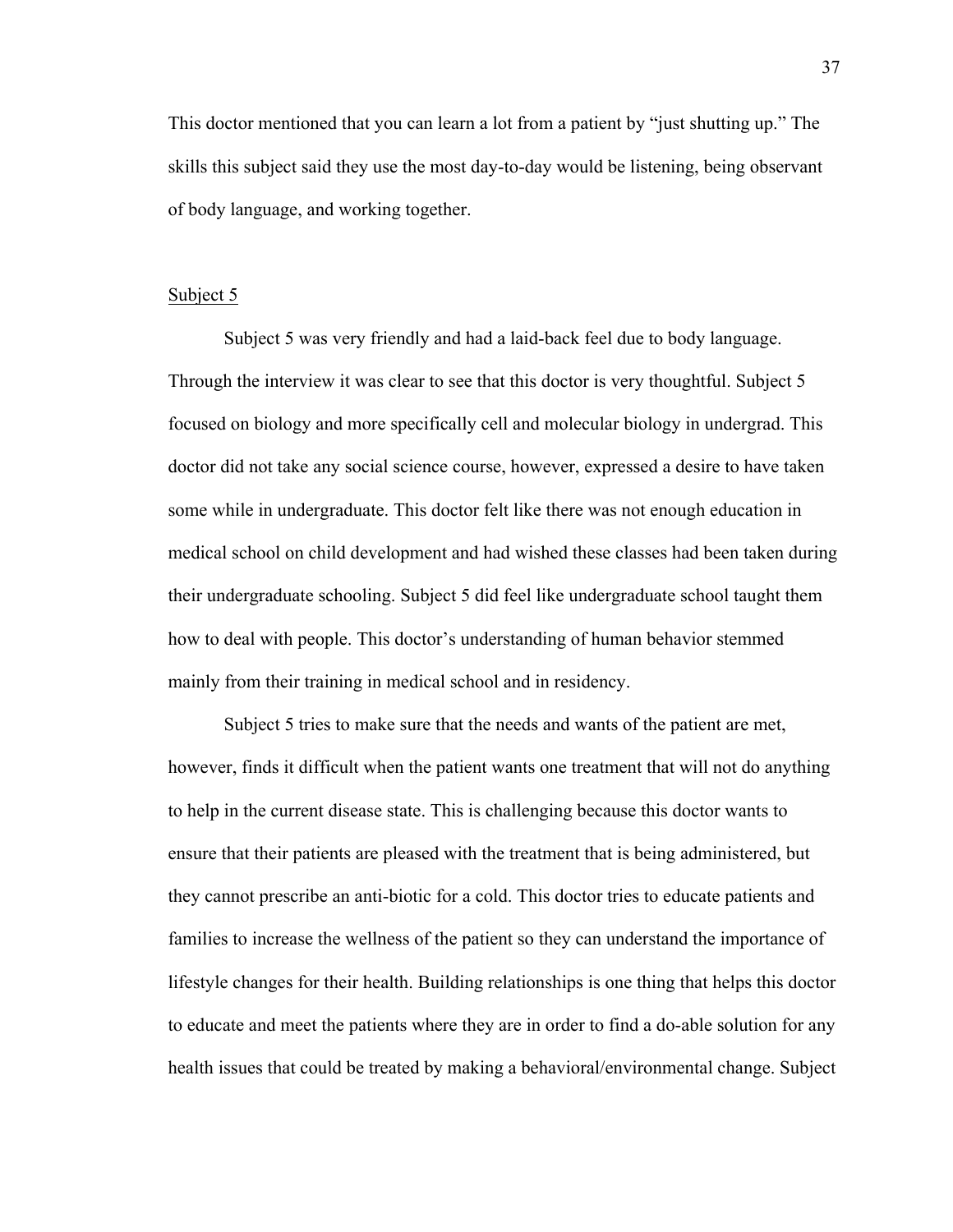This doctor mentioned that you can learn a lot from a patient by "just shutting up." The skills this subject said they use the most day-to-day would be listening, being observant of body language, and working together.

#### Subject 5

Subject 5 was very friendly and had a laid-back feel due to body language. Through the interview it was clear to see that this doctor is very thoughtful. Subject 5 focused on biology and more specifically cell and molecular biology in undergrad. This doctor did not take any social science course, however, expressed a desire to have taken some while in undergraduate. This doctor felt like there was not enough education in medical school on child development and had wished these classes had been taken during their undergraduate schooling. Subject 5 did feel like undergraduate school taught them how to deal with people. This doctor's understanding of human behavior stemmed mainly from their training in medical school and in residency.

Subject 5 tries to make sure that the needs and wants of the patient are met, however, finds it difficult when the patient wants one treatment that will not do anything to help in the current disease state. This is challenging because this doctor wants to ensure that their patients are pleased with the treatment that is being administered, but they cannot prescribe an anti-biotic for a cold. This doctor tries to educate patients and families to increase the wellness of the patient so they can understand the importance of lifestyle changes for their health. Building relationships is one thing that helps this doctor to educate and meet the patients where they are in order to find a do-able solution for any health issues that could be treated by making a behavioral/environmental change. Subject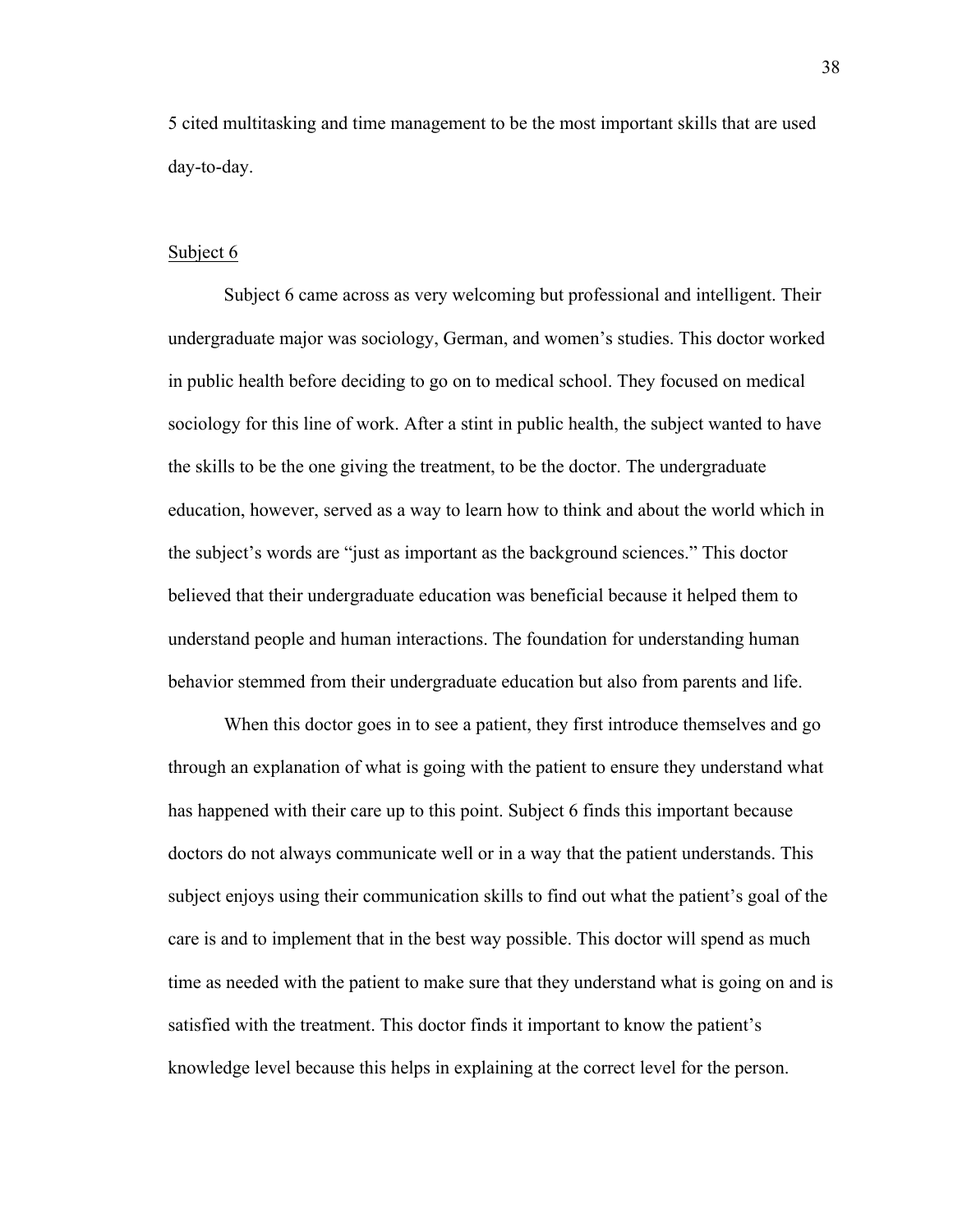5 cited multitasking and time management to be the most important skills that are used day-to-day.

### Subject 6

Subject 6 came across as very welcoming but professional and intelligent. Their undergraduate major was sociology, German, and women's studies. This doctor worked in public health before deciding to go on to medical school. They focused on medical sociology for this line of work. After a stint in public health, the subject wanted to have the skills to be the one giving the treatment, to be the doctor. The undergraduate education, however, served as a way to learn how to think and about the world which in the subject's words are "just as important as the background sciences." This doctor believed that their undergraduate education was beneficial because it helped them to understand people and human interactions. The foundation for understanding human behavior stemmed from their undergraduate education but also from parents and life.

When this doctor goes in to see a patient, they first introduce themselves and go through an explanation of what is going with the patient to ensure they understand what has happened with their care up to this point. Subject 6 finds this important because doctors do not always communicate well or in a way that the patient understands. This subject enjoys using their communication skills to find out what the patient's goal of the care is and to implement that in the best way possible. This doctor will spend as much time as needed with the patient to make sure that they understand what is going on and is satisfied with the treatment. This doctor finds it important to know the patient's knowledge level because this helps in explaining at the correct level for the person.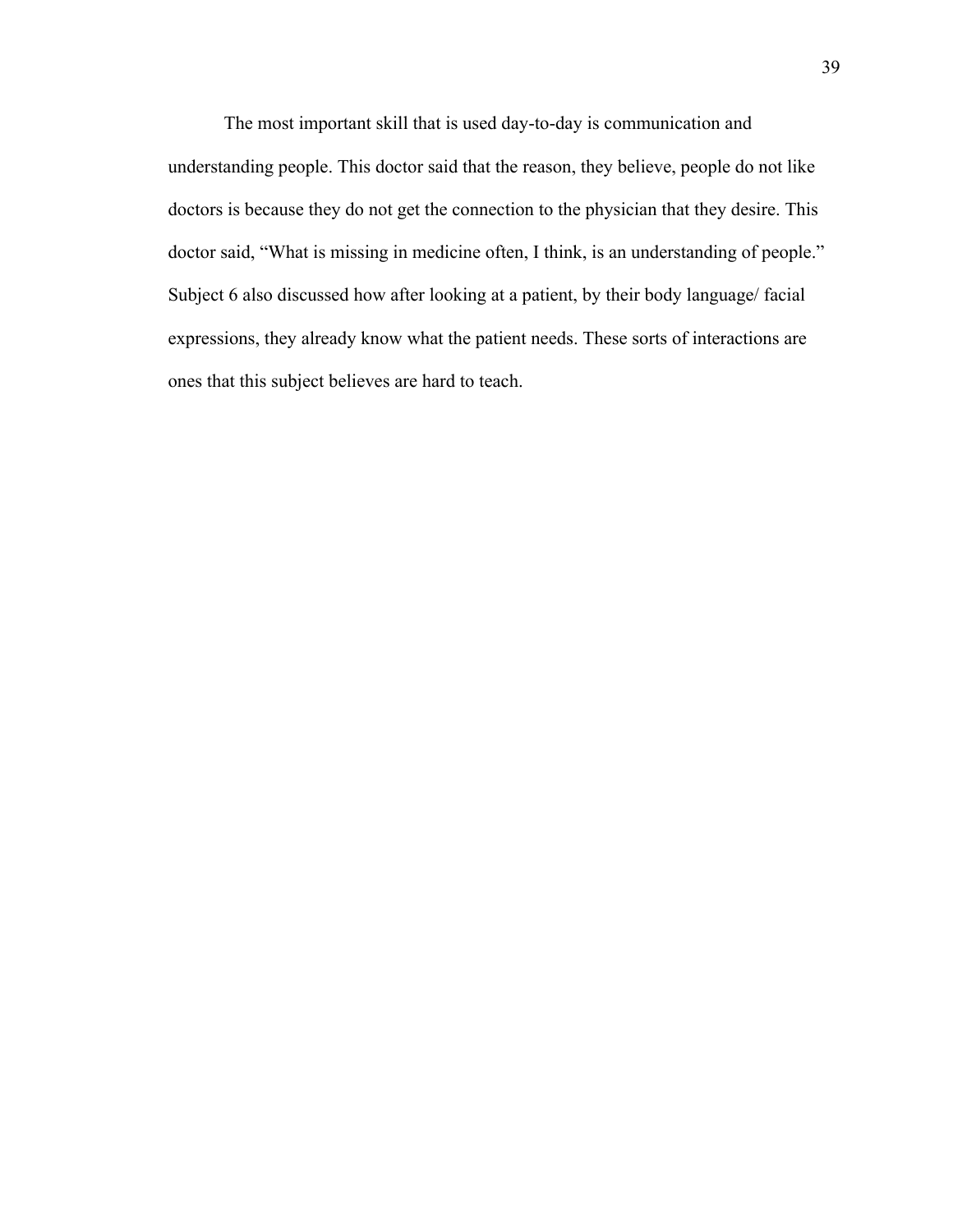The most important skill that is used day-to-day is communication and understanding people. This doctor said that the reason, they believe, people do not like doctors is because they do not get the connection to the physician that they desire. This doctor said, "What is missing in medicine often, I think, is an understanding of people." Subject 6 also discussed how after looking at a patient, by their body language/ facial expressions, they already know what the patient needs. These sorts of interactions are ones that this subject believes are hard to teach.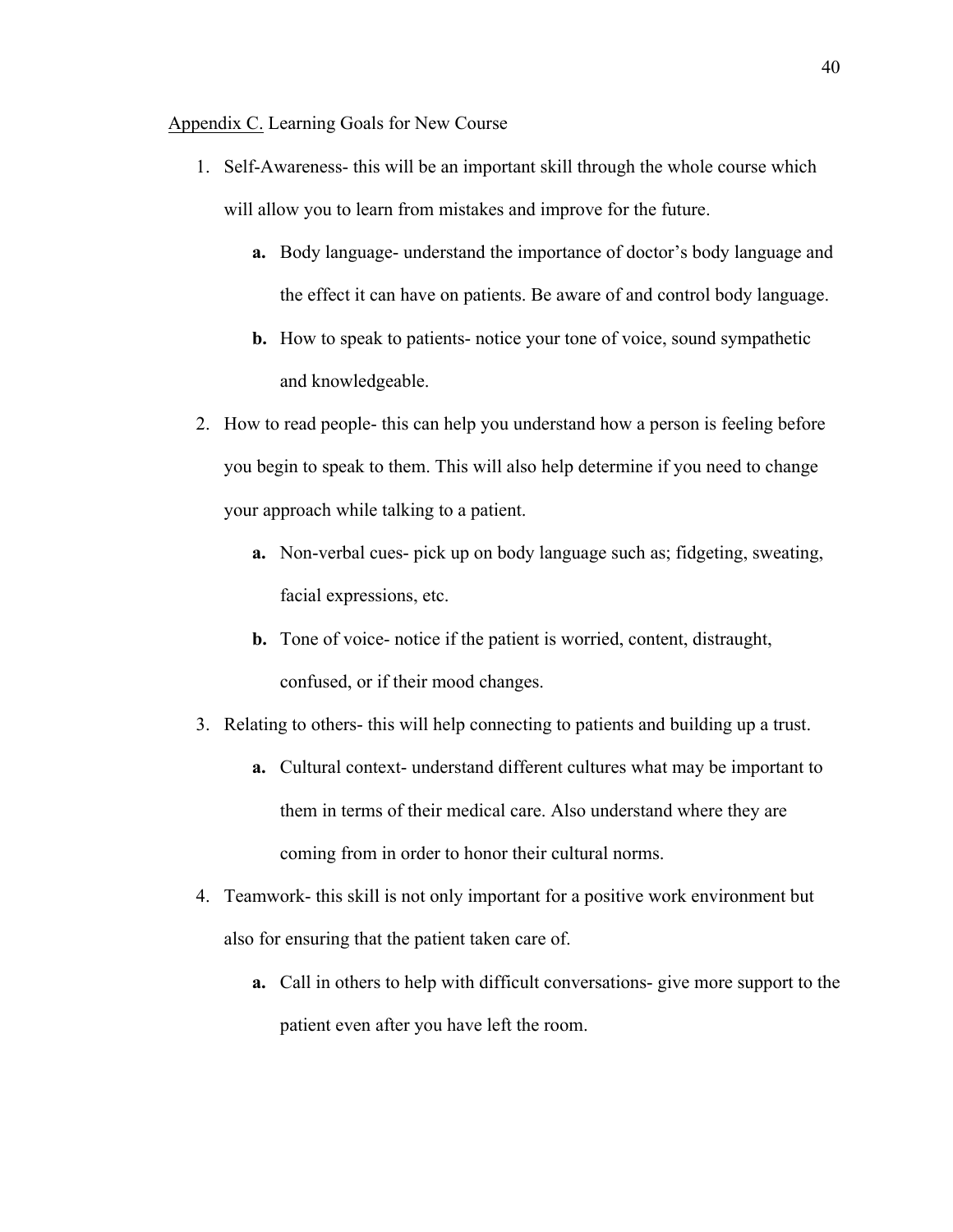Appendix C. Learning Goals for New Course

- 1. Self-Awareness- this will be an important skill through the whole course which will allow you to learn from mistakes and improve for the future.
	- **a.** Body language- understand the importance of doctor's body language and the effect it can have on patients. Be aware of and control body language.
	- **b.** How to speak to patients- notice your tone of voice, sound sympathetic and knowledgeable.
- 2. How to read people- this can help you understand how a person is feeling before you begin to speak to them. This will also help determine if you need to change your approach while talking to a patient.
	- **a.** Non-verbal cues- pick up on body language such as; fidgeting, sweating, facial expressions, etc.
	- **b.** Tone of voice- notice if the patient is worried, content, distraught, confused, or if their mood changes.
- 3. Relating to others- this will help connecting to patients and building up a trust.
	- **a.** Cultural context- understand different cultures what may be important to them in terms of their medical care. Also understand where they are coming from in order to honor their cultural norms.
- 4. Teamwork- this skill is not only important for a positive work environment but also for ensuring that the patient taken care of.
	- **a.** Call in others to help with difficult conversations- give more support to the patient even after you have left the room.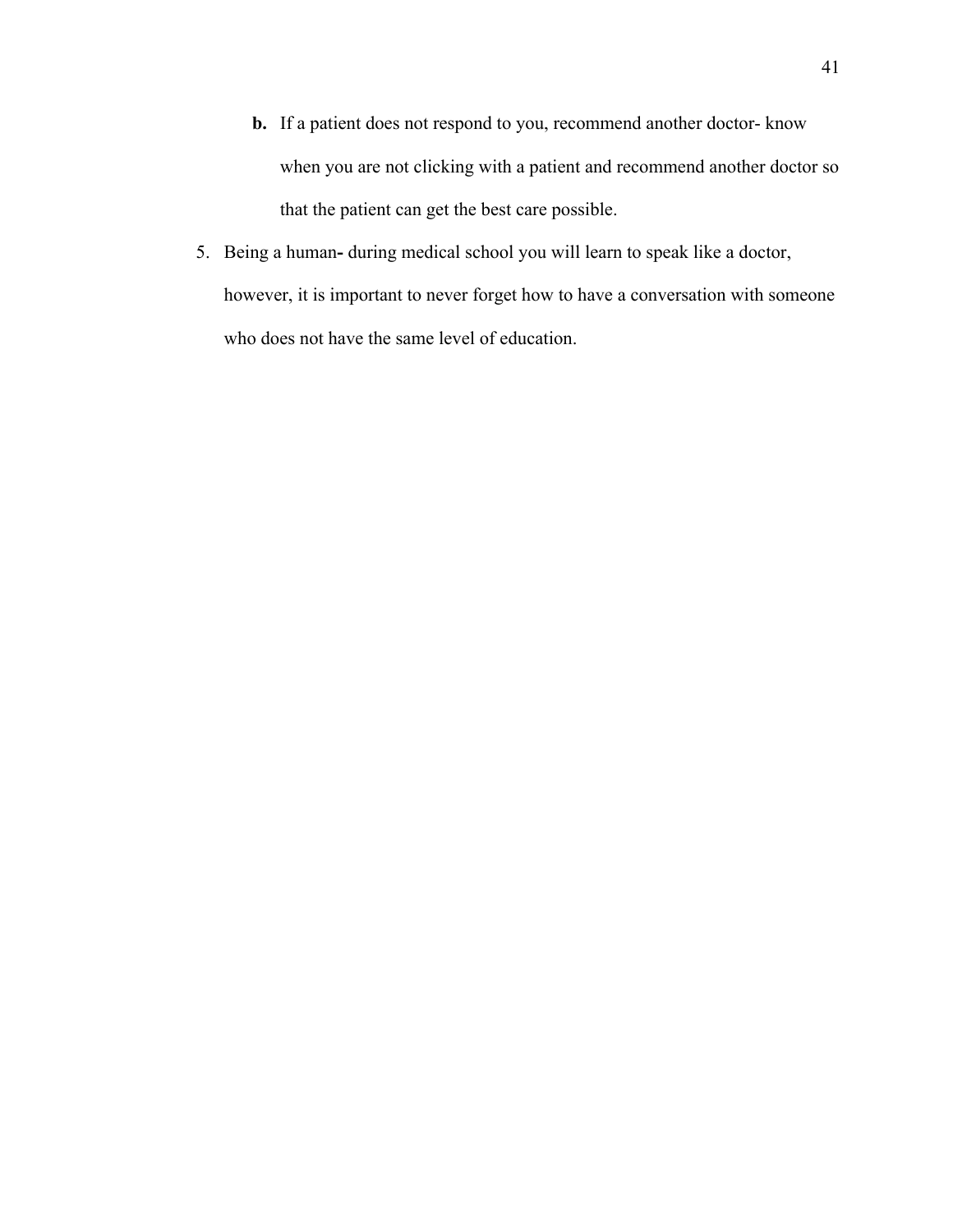- **b.** If a patient does not respond to you, recommend another doctor- know when you are not clicking with a patient and recommend another doctor so that the patient can get the best care possible.
- 5. Being a human**-** during medical school you will learn to speak like a doctor, however, it is important to never forget how to have a conversation with someone who does not have the same level of education.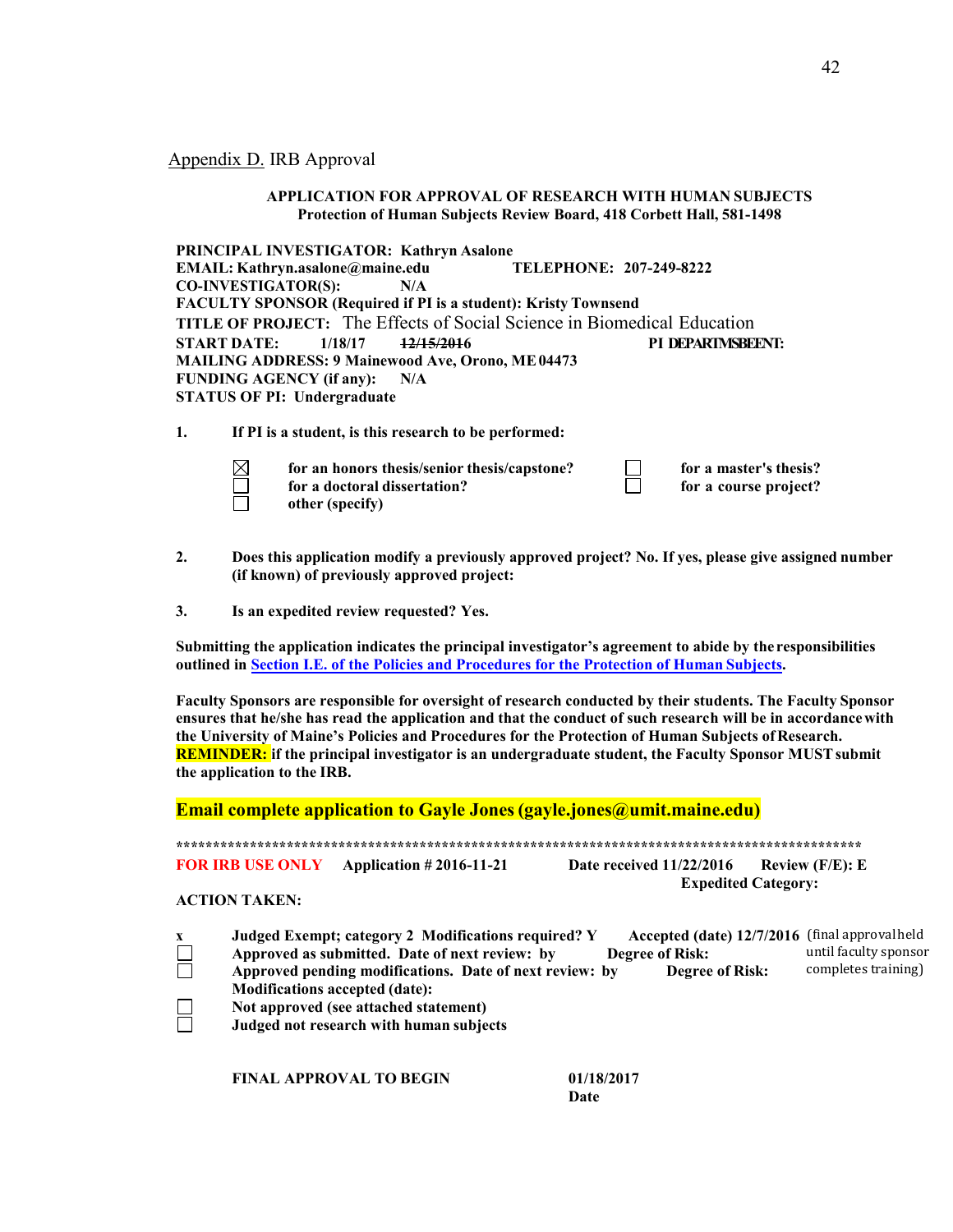Appendix D. IRB Approval

#### **APPLICATION FOR APPROVAL OF RESEARCH WITH HUMAN SUBJECTS Protection of Human Subjects Review Board, 418 Corbett Hall, 581-1498**

**PRINCIPAL INVESTIGATOR: Kathryn Asalone EMAIL: Kathryn.asalone@maine.edu TELEPHONE: 207-249-8222 CO-INVESTIGATOR(S): N/A FACULTY SPONSOR (Required if PI is a student): Kristy Townsend TITLE OF PROJECT:** The Effects of Social Science in Biomedical Education<br> **START DATE:** 1/18/17 12/15/2016 **START DATE: 1/18/17 12/15/2016 PI DEPARTMSBEENT: MAILING ADDRESS: 9 Mainewood Ave, Orono, ME04473 FUNDING AGENCY (if any): N/A STATUS OF PI: Undergraduate**

**1. If PI is a student, is this research to be performed:**

| $\boxtimes$ | for an honors thesis/senior thesis/capstone? | for a master's thesis? |
|-------------|----------------------------------------------|------------------------|
|             | for a doctoral dissertation?                 | for a course project?  |
|             | other (specify)                              |                        |

- **2. Does this application modify a previously approved project? No. If yes, please give assigned number (if known) of previously approved project:**
- **3. Is an expedited review requested? Yes.**

**Submitting the application indicates the principal investigator's agreement to abide by the responsibilities outlined in Section I.E. of the Policies and Procedures for the Protection of Human Subjects.**

**Faculty Sponsors are responsible for oversight of research conducted by their students. The Faculty Sponsor ensures that he/she has read the application and that the conduct of such research will be in accordancewith the University of Maine's Policies and Procedures for the Protection of Human Subjects ofResearch. REMINDER: if the principal investigator is an undergraduate student, the Faculty Sponsor MUSTsubmit the application to the IRB.**

**Email complete application to Gayle Jones(gayle.jones@umit.maine.edu)**

**\*\*\*\*\*\*\*\*\*\*\*\*\*\*\*\*\*\*\*\*\*\*\*\*\*\*\*\*\*\*\*\*\*\*\*\*\*\*\*\*\*\*\*\*\*\*\*\*\*\*\*\*\*\*\*\*\*\*\*\*\*\*\*\*\*\*\*\*\*\*\*\*\*\*\*\*\*\*\*\*\*\*\*\*\*\*\*\*\*\*\*\*\*** 

**FOR IRB USE ONLY Application # 2016-11-21 Date received 11/22/2016 Review (F/E): E Expedited Category:**

#### **ACTION TAKEN:**

| $\mathbf{x}$ | Judged Exempt; category 2 Modifications required? Y     | Accepted (date) 12/7/2016 (final approval held |                       |
|--------------|---------------------------------------------------------|------------------------------------------------|-----------------------|
| $\Box$       | Approved as submitted. Date of next review: by          | <b>Degree of Risk:</b>                         | until faculty sponsor |
|              | Approved pending modifications. Date of next review: by | <b>Degree of Risk:</b>                         | completes training)   |
|              | <b>Modifications accepted (date):</b>                   |                                                |                       |
| $\Box$       | Not approved (see attached statement)                   |                                                |                       |
|              | Judged not research with human subjects                 |                                                |                       |

**FINAL APPROVAL TO BEGIN 01/18/2017**

**Date**